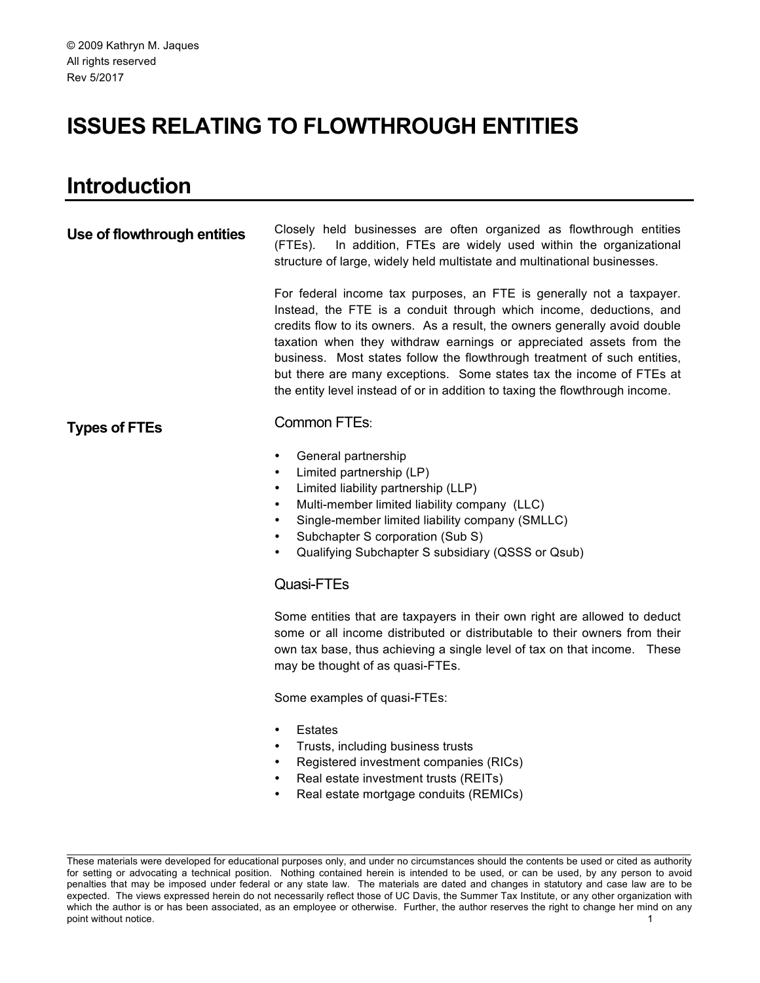# **ISSUES RELATING TO FLOWTHROUGH ENTITIES**

# **Introduction**

| Use of flowthrough entities | Closely held businesses are often organized as flowthrough entities<br>In addition, FTEs are widely used within the organizational<br>(FTEs).<br>structure of large, widely held multistate and multinational businesses.                                                                                                                                                                                                                                                                                                            |  |  |  |  |
|-----------------------------|--------------------------------------------------------------------------------------------------------------------------------------------------------------------------------------------------------------------------------------------------------------------------------------------------------------------------------------------------------------------------------------------------------------------------------------------------------------------------------------------------------------------------------------|--|--|--|--|
|                             | For federal income tax purposes, an FTE is generally not a taxpayer.<br>Instead, the FTE is a conduit through which income, deductions, and<br>credits flow to its owners. As a result, the owners generally avoid double<br>taxation when they withdraw earnings or appreciated assets from the<br>business. Most states follow the flowthrough treatment of such entities,<br>but there are many exceptions. Some states tax the income of FTEs at<br>the entity level instead of or in addition to taxing the flowthrough income. |  |  |  |  |
| <b>Types of FTEs</b>        | Common FTEs:                                                                                                                                                                                                                                                                                                                                                                                                                                                                                                                         |  |  |  |  |
|                             | General partnership<br>$\bullet$<br>Limited partnership (LP)<br>$\bullet$<br>Limited liability partnership (LLP)<br>$\bullet$<br>Multi-member limited liability company (LLC)<br>$\bullet$<br>Single-member limited liability company (SMLLC)<br>$\bullet$<br>Subchapter S corporation (Sub S)<br>Qualifying Subchapter S subsidiary (QSSS or Qsub)<br>$\bullet$                                                                                                                                                                     |  |  |  |  |
|                             | Quasi-FTEs                                                                                                                                                                                                                                                                                                                                                                                                                                                                                                                           |  |  |  |  |
|                             | Some entities that are taxpayers in their own right are allowed to deduct<br>some or all income distributed or distributable to their owners from their<br>own tax base, thus achieving a single level of tax on that income. These<br>may be thought of as quasi-FTEs.                                                                                                                                                                                                                                                              |  |  |  |  |
|                             | Some examples of quasi-FTEs:                                                                                                                                                                                                                                                                                                                                                                                                                                                                                                         |  |  |  |  |
|                             | <b>Estates</b><br>$\bullet$<br>Trusts, including business trusts<br>$\bullet$<br>Registered investment companies (RICs)<br>$\bullet$<br>Real estate investment trusts (REITs)<br>Real estate mortgage conduits (REMICs)                                                                                                                                                                                                                                                                                                              |  |  |  |  |

These materials were developed for educational purposes only, and under no circumstances should the contents be used or cited as authority for setting or advocating a technical position. Nothing contained herein is intended to be used, or can be used, by any person to avoid penalties that may be imposed under federal or any state law. The materials are dated and changes in statutory and case law are to be expected. The views expressed herein do not necessarily reflect those of UC Davis, the Summer Tax Institute, or any other organization with which the author is or has been associated, as an employee or otherwise. Further, the author reserves the right to change her mind on any point without notice. 1 and 1 and 1 and 1 and 1 and 1 and 1 and 1 and 1 and 1 and 1 and 1 and 1 and 1 and 1 and 1 and 1 and 1 and 1 and 1 and 1 and 1 and 1 and 1 and 1 and 1 and 1 and 1 and 1 and 1 and 1 and 1 and 1 and 1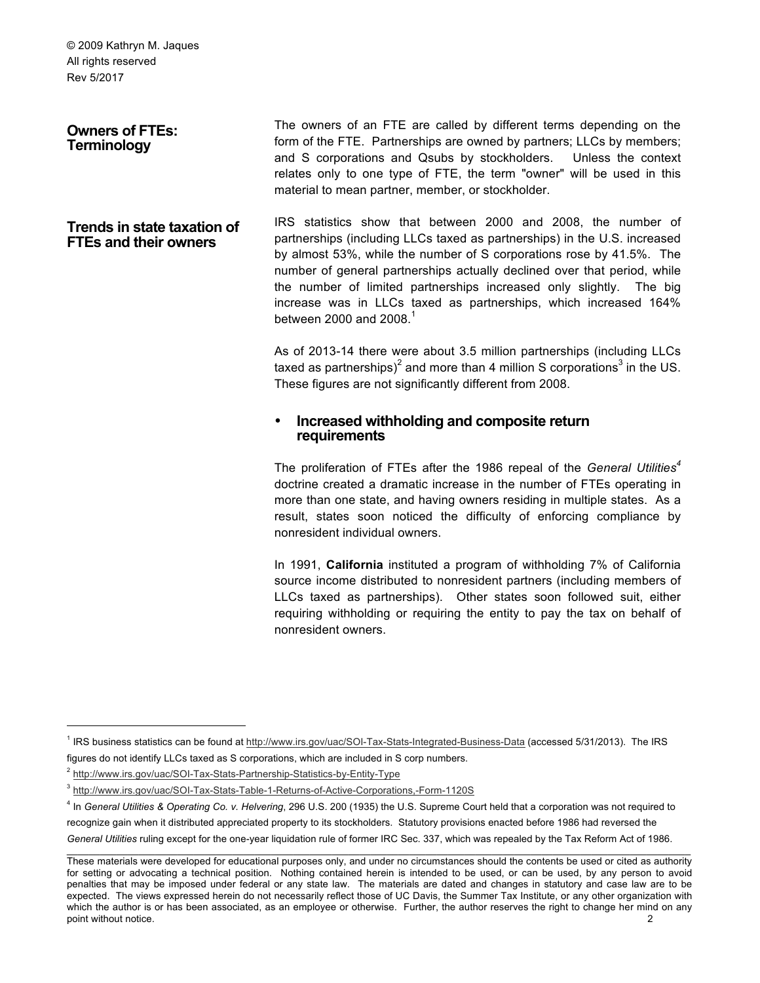**Owners of FTEs: Terminology**

The owners of an FTE are called by different terms depending on the form of the FTE. Partnerships are owned by partners; LLCs by members; and S corporations and Qsubs by stockholders. Unless the context relates only to one type of FTE, the term "owner" will be used in this material to mean partner, member, or stockholder.

**Trends in state taxation of FTEs and their owners** IRS statistics show that between 2000 and 2008, the number of partnerships (including LLCs taxed as partnerships) in the U.S. increased by almost 53%, while the number of S corporations rose by 41.5%. The number of general partnerships actually declined over that period, while the number of limited partnerships increased only slightly. The big increase was in LLCs taxed as partnerships, which increased 164% between 2000 and 2008 $<sup>1</sup>$ </sup>

> As of 2013-14 there were about 3.5 million partnerships (including LLCs taxed as partnerships)<sup>2</sup> and more than 4 million S corporations<sup>3</sup> in the US. These figures are not significantly different from 2008.

# • **Increased withholding and composite return requirements**

The proliferation of FTEs after the 1986 repeal of the *General Utilities<sup>4</sup>* doctrine created a dramatic increase in the number of FTEs operating in more than one state, and having owners residing in multiple states. As a result, states soon noticed the difficulty of enforcing compliance by nonresident individual owners.

In 1991, **California** instituted a program of withholding 7% of California source income distributed to nonresident partners (including members of LLCs taxed as partnerships). Other states soon followed suit, either requiring withholding or requiring the entity to pay the tax on behalf of nonresident owners.

<sup>&</sup>lt;sup>1</sup> IRS business statistics can be found at http://www.irs.gov/uac/SOI-Tax-Stats-Integrated-Business-Data (accessed 5/31/2013). The IRS figures do not identify LLCs taxed as S corporations, which are included in S corp numbers.

<sup>2</sup> http://www.irs.gov/uac/SOI-Tax-Stats-Partnership-Statistics-by-Entity-Type

<sup>3</sup> http://www.irs.gov/uac/SOI-Tax-Stats-Table-1-Returns-of-Active-Corporations,-Form-1120S

 $\_$  , and the state of the state of the state of the state of the state of the state of the state of the state of the state of the state of the state of the state of the state of the state of the state of the state of the <sup>4</sup> In *General Utilities & Operating Co. v. Helvering*, 296 U.S. 200 (1935) the U.S. Supreme Court held that a corporation was not required to recognize gain when it distributed appreciated property to its stockholders. Statutory provisions enacted before 1986 had reversed the *General Utilities* ruling except for the one-year liquidation rule of former IRC Sec. 337, which was repealed by the Tax Reform Act of 1986.

These materials were developed for educational purposes only, and under no circumstances should the contents be used or cited as authority for setting or advocating a technical position. Nothing contained herein is intended to be used, or can be used, by any person to avoid penalties that may be imposed under federal or any state law. The materials are dated and changes in statutory and case law are to be expected. The views expressed herein do not necessarily reflect those of UC Davis, the Summer Tax Institute, or any other organization with which the author is or has been associated, as an employee or otherwise. Further, the author reserves the right to change her mind on any point without notice. 2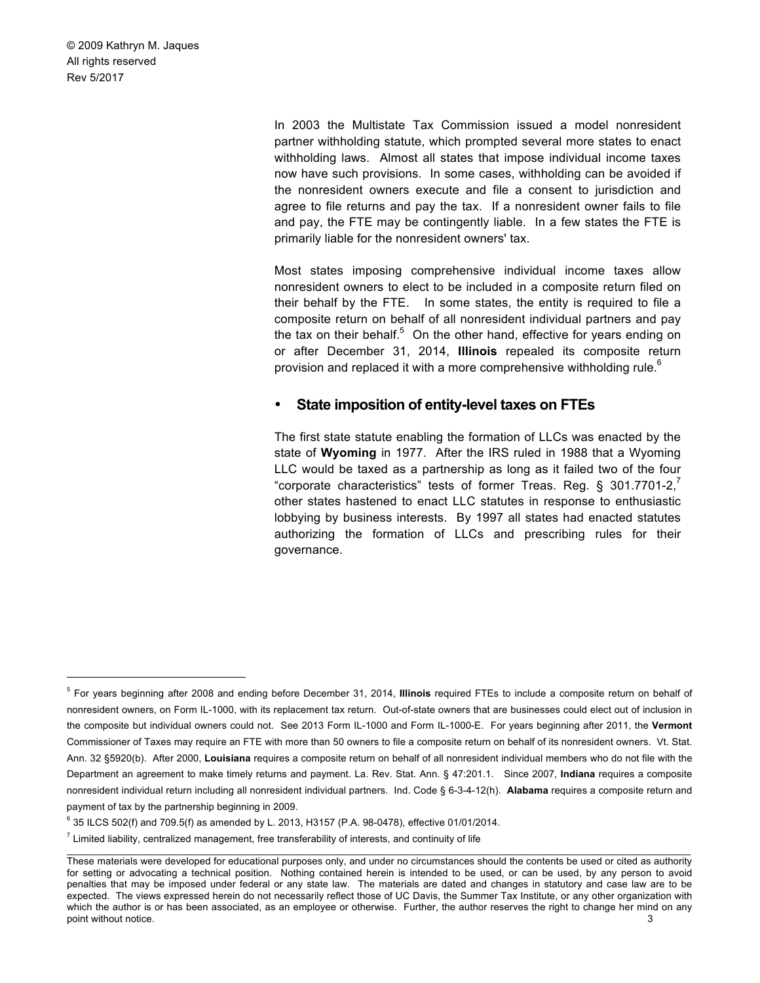> In 2003 the Multistate Tax Commission issued a model nonresident partner withholding statute, which prompted several more states to enact withholding laws. Almost all states that impose individual income taxes now have such provisions. In some cases, withholding can be avoided if the nonresident owners execute and file a consent to jurisdiction and agree to file returns and pay the tax. If a nonresident owner fails to file and pay, the FTE may be contingently liable. In a few states the FTE is primarily liable for the nonresident owners' tax.

> Most states imposing comprehensive individual income taxes allow nonresident owners to elect to be included in a composite return filed on their behalf by the FTE. In some states, the entity is required to file a composite return on behalf of all nonresident individual partners and pay the tax on their behalf. $5$  On the other hand, effective for years ending on or after December 31, 2014, **Illinois** repealed its composite return provision and replaced it with a more comprehensive withholding rule.<sup>6</sup>

#### • **State imposition of entity-level taxes on FTEs**

The first state statute enabling the formation of LLCs was enacted by the state of **Wyoming** in 1977. After the IRS ruled in 1988 that a Wyoming LLC would be taxed as a partnership as long as it failed two of the four "corporate characteristics" tests of former Treas. Reg. § 301.7701-2, other states hastened to enact LLC statutes in response to enthusiastic lobbying by business interests. By 1997 all states had enacted statutes authorizing the formation of LLCs and prescribing rules for their governance.

 <sup>5</sup> For years beginning after 2008 and ending before December 31, 2014, **Illinois** required FTEs to include a composite return on behalf of nonresident owners, on Form IL-1000, with its replacement tax return. Out-of-state owners that are businesses could elect out of inclusion in the composite but individual owners could not. See 2013 Form IL-1000 and Form IL-1000-E. For years beginning after 2011, the **Vermont**  Commissioner of Taxes may require an FTE with more than 50 owners to file a composite return on behalf of its nonresident owners. Vt. Stat. Ann. 32 §5920(b). After 2000, **Louisiana** requires a composite return on behalf of all nonresident individual members who do not file with the Department an agreement to make timely returns and payment. La. Rev. Stat. Ann. § 47:201.1. Since 2007, **Indiana** requires a composite nonresident individual return including all nonresident individual partners. Ind. Code § 6-3-4-12(h). **Alabama** requires a composite return and payment of tax by the partnership beginning in 2009.

 $6$  35 ILCS 502(f) and 709.5(f) as amended by L. 2013, H3157 (P.A. 98-0478), effective 01/01/2014.

 $<sup>7</sup>$  Limited liability, centralized management, free transferability of interests, and continuity of life</sup>

These materials were developed for educational purposes only, and under no circumstances should the contents be used or cited as authority for setting or advocating a technical position. Nothing contained herein is intended to be used, or can be used, by any person to avoid penalties that may be imposed under federal or any state law. The materials are dated and changes in statutory and case law are to be expected. The views expressed herein do not necessarily reflect those of UC Davis, the Summer Tax Institute, or any other organization with which the author is or has been associated, as an employee or otherwise. Further, the author reserves the right to change her mind on any point without notice. 3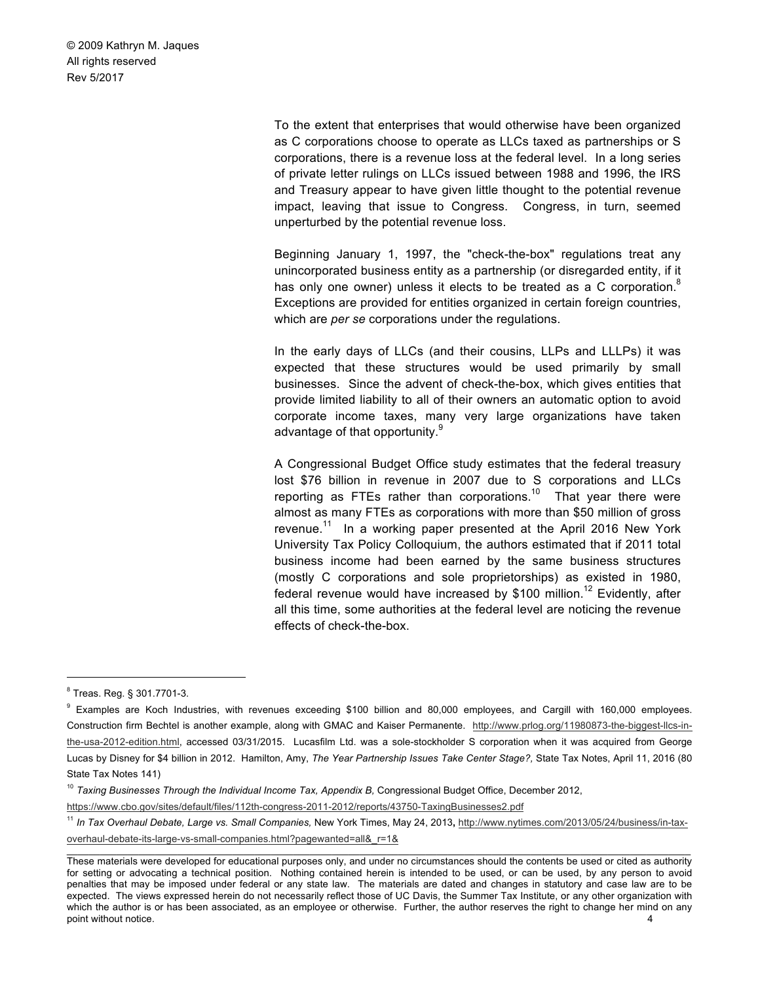> To the extent that enterprises that would otherwise have been organized as C corporations choose to operate as LLCs taxed as partnerships or S corporations, there is a revenue loss at the federal level. In a long series of private letter rulings on LLCs issued between 1988 and 1996, the IRS and Treasury appear to have given little thought to the potential revenue impact, leaving that issue to Congress. Congress, in turn, seemed unperturbed by the potential revenue loss.

> Beginning January 1, 1997, the "check-the-box" regulations treat any unincorporated business entity as a partnership (or disregarded entity, if it has only one owner) unless it elects to be treated as a C corporation. $8$ Exceptions are provided for entities organized in certain foreign countries, which are *per se* corporations under the regulations.

> In the early days of LLCs (and their cousins, LLPs and LLLPs) it was expected that these structures would be used primarily by small businesses. Since the advent of check-the-box, which gives entities that provide limited liability to all of their owners an automatic option to avoid corporate income taxes, many very large organizations have taken advantage of that opportunity.<sup>9</sup>

> A Congressional Budget Office study estimates that the federal treasury lost \$76 billion in revenue in 2007 due to S corporations and LLCs reporting as FTEs rather than corporations.<sup>10</sup> That year there were almost as many FTEs as corporations with more than \$50 million of gross revenue.<sup>11</sup> In a working paper presented at the April 2016 New York University Tax Policy Colloquium, the authors estimated that if 2011 total business income had been earned by the same business structures (mostly C corporations and sole proprietorships) as existed in 1980, federal revenue would have increased by \$100 million.<sup>12</sup> Evidently, after all this time, some authorities at the federal level are noticing the revenue effects of check-the-box.

https://www.cbo.gov/sites/default/files/112th-congress-2011-2012/reports/43750-TaxingBusinesses2.pdf

 <sup>8</sup> Treas. Reg. § 301.7701-3.

<sup>&</sup>lt;sup>9</sup> Examples are Koch Industries, with revenues exceeding \$100 billion and 80,000 employees, and Cargill with 160,000 employees. Construction firm Bechtel is another example, along with GMAC and Kaiser Permanente. http://www.prlog.org/11980873-the-biggest-llcs-inthe-usa-2012-edition.html, accessed 03/31/2015. Lucasfilm Ltd. was a sole-stockholder S corporation when it was acquired from George Lucas by Disney for \$4 billion in 2012. Hamilton, Amy, *The Year Partnership Issues Take Center Stage?,* State Tax Notes, April 11, 2016 (80 State Tax Notes 141)

<sup>&</sup>lt;sup>10</sup> Taxing Businesses Through the Individual Income Tax, Appendix B, Congressional Budget Office, December 2012,

 $\_$  , and the state of the state of the state of the state of the state of the state of the state of the state of the state of the state of the state of the state of the state of the state of the state of the state of the <sup>11</sup> In Tax Overhaul Debate, Large vs. Small Companies, New York Times, May 24, 2013, http://www.nytimes.com/2013/05/24/business/in-taxoverhaul-debate-its-large-vs-small-companies.html?pagewanted=all&\_r=1&

These materials were developed for educational purposes only, and under no circumstances should the contents be used or cited as authority for setting or advocating a technical position. Nothing contained herein is intended to be used, or can be used, by any person to avoid penalties that may be imposed under federal or any state law. The materials are dated and changes in statutory and case law are to be expected. The views expressed herein do not necessarily reflect those of UC Davis, the Summer Tax Institute, or any other organization with which the author is or has been associated, as an employee or otherwise. Further, the author reserves the right to change her mind on any point without notice. 4 and  $\sim$  4 and  $\sim$  4 and  $\sim$  4 and  $\sim$  4 and  $\sim$  4 and  $\sim$  4 and  $\sim$  4 and  $\sim$  4 and  $\sim$  4 and  $\sim$  4 and  $\sim$  4 and  $\sim$  4 and  $\sim$  4 and  $\sim$  4 and  $\sim$  4 and  $\sim$  4 and  $\sim$  4 and  $\sim$  4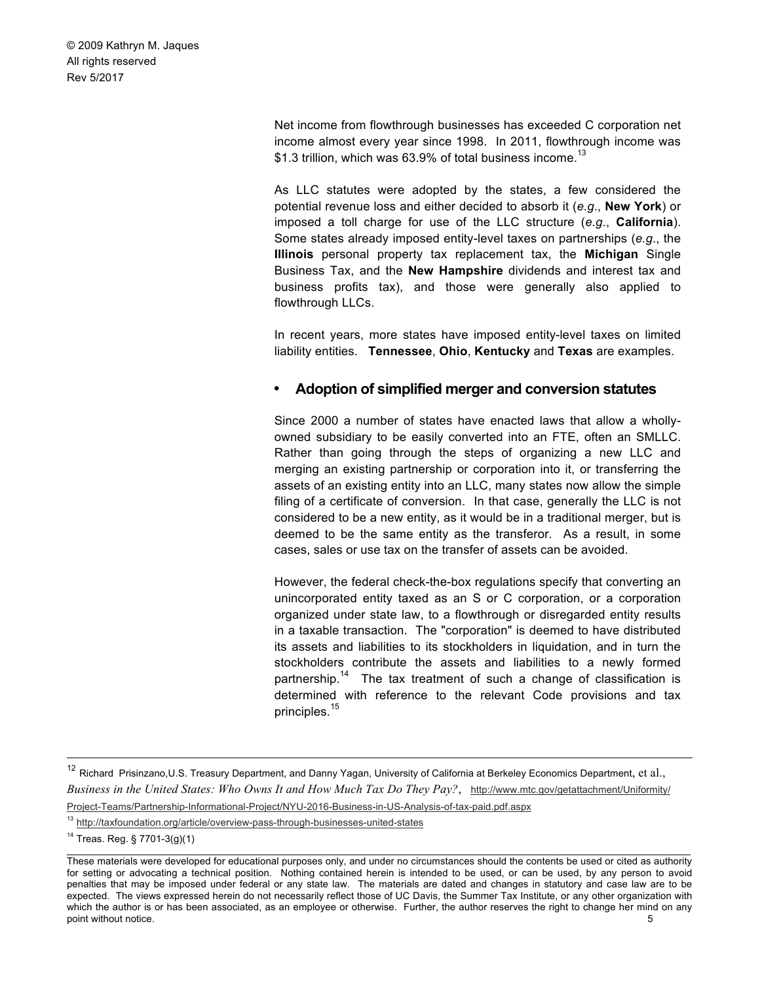> Net income from flowthrough businesses has exceeded C corporation net income almost every year since 1998. In 2011, flowthrough income was \$1.3 trillion, which was 63.9% of total business income.<sup>13</sup>

> As LLC statutes were adopted by the states, a few considered the potential revenue loss and either decided to absorb it (*e.g*., **New York**) or imposed a toll charge for use of the LLC structure (*e.g*., **California**). Some states already imposed entity-level taxes on partnerships (*e.g*., the **Illinois** personal property tax replacement tax, the **Michigan** Single Business Tax, and the **New Hampshire** dividends and interest tax and business profits tax), and those were generally also applied to flowthrough LLCs.

> In recent years, more states have imposed entity-level taxes on limited liability entities. **Tennessee**, **Ohio**, **Kentucky** and **Texas** are examples.

# • **Adoption of simplified merger and conversion statutes**

Since 2000 a number of states have enacted laws that allow a whollyowned subsidiary to be easily converted into an FTE, often an SMLLC. Rather than going through the steps of organizing a new LLC and merging an existing partnership or corporation into it, or transferring the assets of an existing entity into an LLC, many states now allow the simple filing of a certificate of conversion. In that case, generally the LLC is not considered to be a new entity, as it would be in a traditional merger, but is deemed to be the same entity as the transferor. As a result, in some cases, sales or use tax on the transfer of assets can be avoided.

However, the federal check-the-box regulations specify that converting an unincorporated entity taxed as an S or C corporation, or a corporation organized under state law, to a flowthrough or disregarded entity results in a taxable transaction. The "corporation" is deemed to have distributed its assets and liabilities to its stockholders in liquidation, and in turn the stockholders contribute the assets and liabilities to a newly formed partnership.<sup>14</sup> The tax treatment of such a change of classification is determined with reference to the relevant Code provisions and tax principles.<sup>15</sup>

<sup>&</sup>lt;sup>12</sup> Richard Prisinzano, U.S. Treasury Department, and Danny Yagan, University of California at Berkeley Economics Department, et al., *Business in the United States: Who Owns It and How Much Tax Do They Pay?*, http://www.mtc.gov/getattachment/Uniformity/ Project-Teams/Partnership-Informational-Project/NYU-2016-Business-in-US-Analysis-of-tax-paid.pdf.aspx

<sup>13</sup> http://taxfoundation.org/article/overview-pass-through-businesses-united-states

<sup>14</sup> Treas. Reg. § 7701-3(g)(1)

These materials were developed for educational purposes only, and under no circumstances should the contents be used or cited as authority for setting or advocating a technical position. Nothing contained herein is intended to be used, or can be used, by any person to avoid penalties that may be imposed under federal or any state law. The materials are dated and changes in statutory and case law are to be expected. The views expressed herein do not necessarily reflect those of UC Davis, the Summer Tax Institute, or any other organization with which the author is or has been associated, as an employee or otherwise. Further, the author reserves the right to change her mind on any point without notice. 5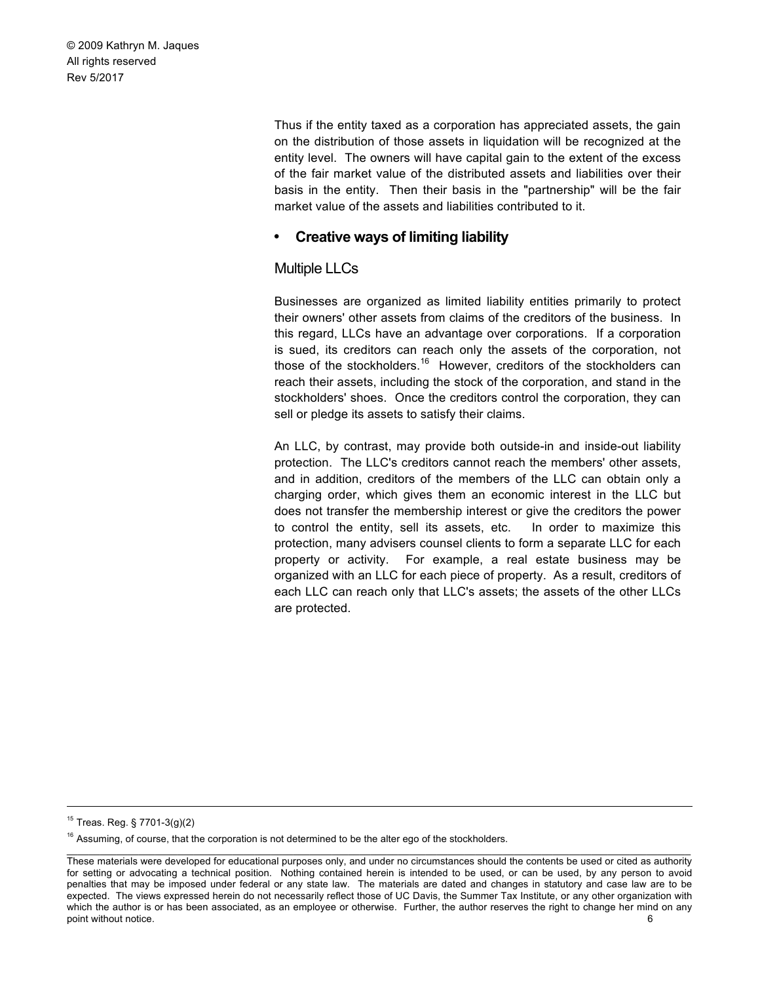> Thus if the entity taxed as a corporation has appreciated assets, the gain on the distribution of those assets in liquidation will be recognized at the entity level. The owners will have capital gain to the extent of the excess of the fair market value of the distributed assets and liabilities over their basis in the entity. Then their basis in the "partnership" will be the fair market value of the assets and liabilities contributed to it.

# • **Creative ways of limiting liability**

# Multiple LLCs

Businesses are organized as limited liability entities primarily to protect their owners' other assets from claims of the creditors of the business. In this regard, LLCs have an advantage over corporations. If a corporation is sued, its creditors can reach only the assets of the corporation, not those of the stockholders.<sup>16</sup> However, creditors of the stockholders can reach their assets, including the stock of the corporation, and stand in the stockholders' shoes. Once the creditors control the corporation, they can sell or pledge its assets to satisfy their claims.

An LLC, by contrast, may provide both outside-in and inside-out liability protection. The LLC's creditors cannot reach the members' other assets, and in addition, creditors of the members of the LLC can obtain only a charging order, which gives them an economic interest in the LLC but does not transfer the membership interest or give the creditors the power to control the entity, sell its assets, etc. In order to maximize this protection, many advisers counsel clients to form a separate LLC for each property or activity. For example, a real estate business may be organized with an LLC for each piece of property. As a result, creditors of each LLC can reach only that LLC's assets; the assets of the other LLCs are protected.

 <sup>15</sup> Treas. Reg. § 7701-3(g)(2)

<sup>&</sup>lt;sup>16</sup> Assuming, of course, that the corporation is not determined to be the alter ego of the stockholders.

 $\_$  , and the state of the state of the state of the state of the state of the state of the state of the state of the state of the state of the state of the state of the state of the state of the state of the state of the These materials were developed for educational purposes only, and under no circumstances should the contents be used or cited as authority for setting or advocating a technical position. Nothing contained herein is intended to be used, or can be used, by any person to avoid penalties that may be imposed under federal or any state law. The materials are dated and changes in statutory and case law are to be expected. The views expressed herein do not necessarily reflect those of UC Davis, the Summer Tax Institute, or any other organization with which the author is or has been associated, as an employee or otherwise. Further, the author reserves the right to change her mind on any point without notice. 6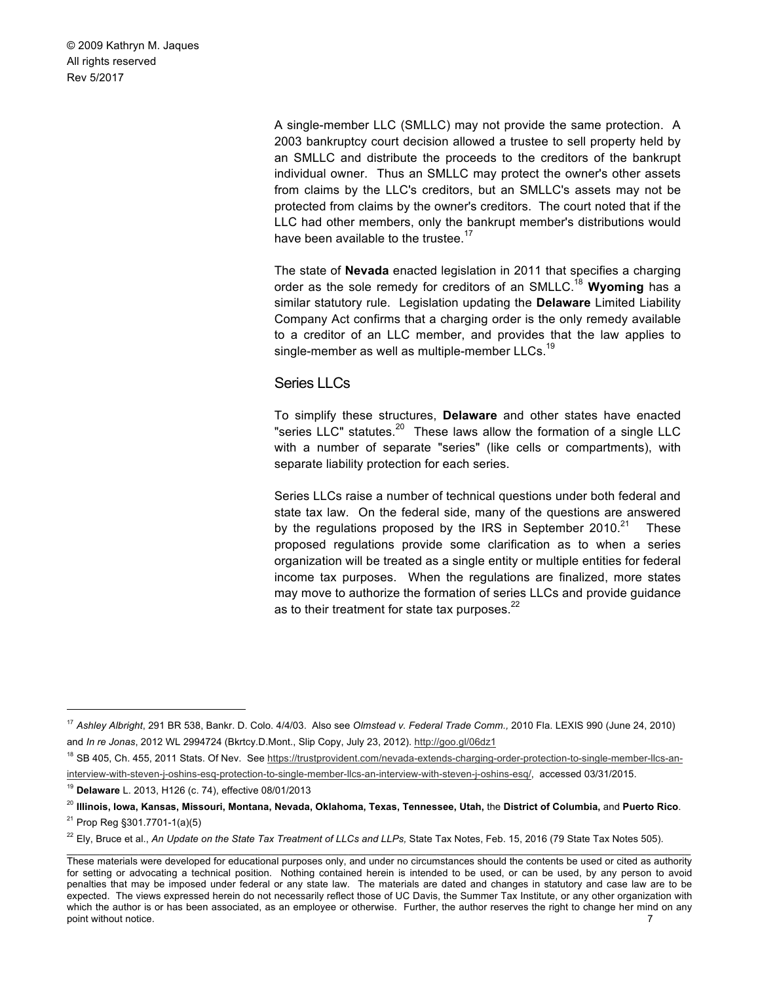> A single-member LLC (SMLLC) may not provide the same protection. A 2003 bankruptcy court decision allowed a trustee to sell property held by an SMLLC and distribute the proceeds to the creditors of the bankrupt individual owner. Thus an SMLLC may protect the owner's other assets from claims by the LLC's creditors, but an SMLLC's assets may not be protected from claims by the owner's creditors. The court noted that if the LLC had other members, only the bankrupt member's distributions would have been available to the trustee.<sup>17</sup>

> The state of **Nevada** enacted legislation in 2011 that specifies a charging order as the sole remedy for creditors of an SMLLC.18 **Wyoming** has a similar statutory rule. Legislation updating the **Delaware** Limited Liability Company Act confirms that a charging order is the only remedy available to a creditor of an LLC member, and provides that the law applies to single-member as well as multiple-member LLCs.<sup>19</sup>

#### Series LLCs

To simplify these structures, **Delaware** and other states have enacted "series LLC" statutes. $^{20}$  These laws allow the formation of a single LLC with a number of separate "series" (like cells or compartments), with separate liability protection for each series.

Series LLCs raise a number of technical questions under both federal and state tax law. On the federal side, many of the questions are answered by the regulations proposed by the IRS in September 2010.<sup>21</sup> These proposed regulations provide some clarification as to when a series organization will be treated as a single entity or multiple entities for federal income tax purposes. When the regulations are finalized, more states may move to authorize the formation of series LLCs and provide guidance as to their treatment for state tax purposes. $^{22}$ 

 <sup>17</sup> *Ashley Albright*, 291 BR 538, Bankr. D. Colo. 4/4/03. Also see *Olmstead v. Federal Trade Comm.,* 2010 Fla. LEXIS 990 (June 24, 2010) and *In re Jonas*, 2012 WL 2994724 (Bkrtcy.D.Mont., Slip Copy, July 23, 2012). http://goo.gl/06dz1

<sup>&</sup>lt;sup>18</sup> SB 405, Ch. 455, 2011 Stats. Of Nev. See https://trustprovident.com/nevada-extends-charging-order-protection-to-single-member-llcs-aninterview-with-steven-j-oshins-esq-protection-to-single-member-llcs-an-interview-with-steven-j-oshins-esq/, accessed 03/31/2015.

<sup>19</sup> **Delaware** L. 2013, H126 (c. 74), effective 08/01/2013

<sup>20</sup> **Illinois, Iowa, Kansas, Missouri, Montana, Nevada, Oklahoma, Texas, Tennessee, Utah,** the **District of Columbia,** and **Puerto Rico**.

<sup>21</sup> Prop Reg §301.7701-1(a)(5)

<sup>&</sup>lt;sup>22</sup> Ely, Bruce et al., An Update on the State Tax Treatment of LLCs and LLPs, State Tax Notes, Feb. 15, 2016 (79 State Tax Notes 505).

These materials were developed for educational purposes only, and under no circumstances should the contents be used or cited as authority for setting or advocating a technical position. Nothing contained herein is intended to be used, or can be used, by any person to avoid penalties that may be imposed under federal or any state law. The materials are dated and changes in statutory and case law are to be expected. The views expressed herein do not necessarily reflect those of UC Davis, the Summer Tax Institute, or any other organization with which the author is or has been associated, as an employee or otherwise. Further, the author reserves the right to change her mind on any point without notice. 7 7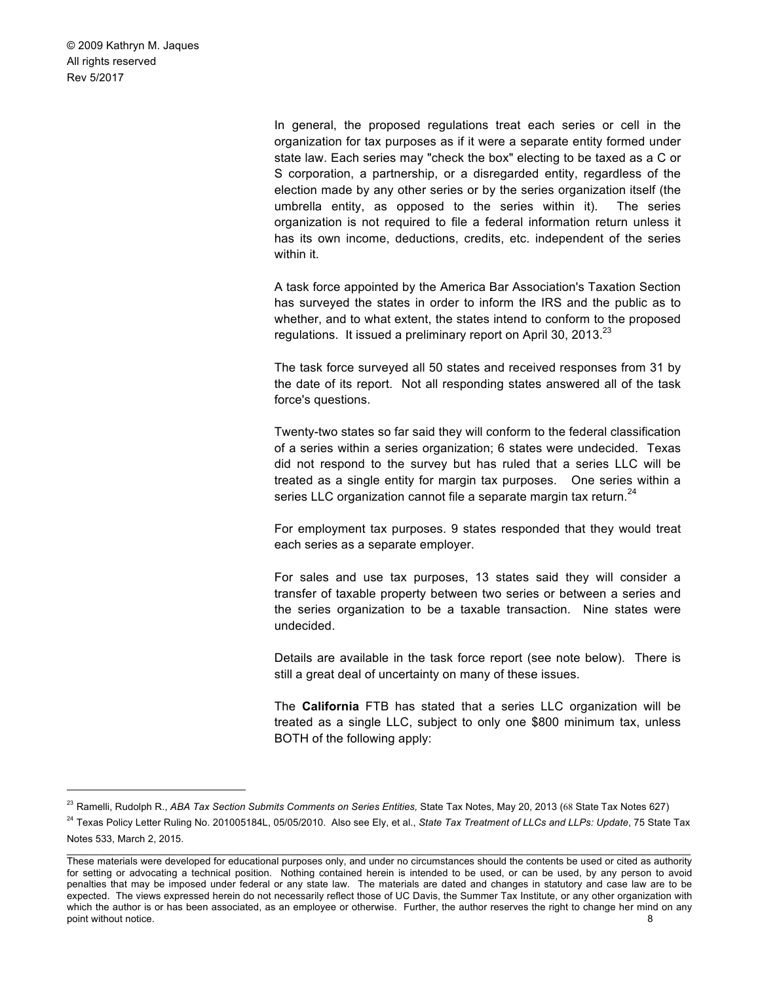> In general, the proposed regulations treat each series or cell in the organization for tax purposes as if it were a separate entity formed under state law. Each series may "check the box" electing to be taxed as a C or S corporation, a partnership, or a disregarded entity, regardless of the election made by any other series or by the series organization itself (the umbrella entity, as opposed to the series within it). The series organization is not required to file a federal information return unless it has its own income, deductions, credits, etc. independent of the series within it.

> A task force appointed by the America Bar Association's Taxation Section has surveyed the states in order to inform the IRS and the public as to whether, and to what extent, the states intend to conform to the proposed regulations. It issued a preliminary report on April 30, 2013.<sup>23</sup>

> The task force surveyed all 50 states and received responses from 31 by the date of its report. Not all responding states answered all of the task force's questions.

> Twenty-two states so far said they will conform to the federal classification of a series within a series organization; 6 states were undecided. Texas did not respond to the survey but has ruled that a series LLC will be treated as a single entity for margin tax purposes. One series within a series LLC organization cannot file a separate margin tax return.<sup>24</sup>

> For employment tax purposes. 9 states responded that they would treat each series as a separate employer.

> For sales and use tax purposes, 13 states said they will consider a transfer of taxable property between two series or between a series and the series organization to be a taxable transaction. Nine states were undecided.

> Details are available in the task force report (see note below). There is still a great deal of uncertainty on many of these issues.

> The **California** FTB has stated that a series LLC organization will be treated as a single LLC, subject to only one \$800 minimum tax, unless BOTH of the following apply:

 <sup>23</sup> Ramelli, Rudolph R., *ABA Tax Section Submits Comments on Series Entities,* State Tax Notes, May 20, 2013 (68 State Tax Notes 627)

 $\_$  , and the state of the state of the state of the state of the state of the state of the state of the state of the state of the state of the state of the state of the state of the state of the state of the state of the <sup>24</sup> Texas Policy Letter Ruling No. 201005184L, 05/05/2010. Also see Ely, et al., *State Tax Treatment of LLCs and LLPs: Update*, 75 State Tax Notes 533, March 2, 2015.

These materials were developed for educational purposes only, and under no circumstances should the contents be used or cited as authority for setting or advocating a technical position. Nothing contained herein is intended to be used, or can be used, by any person to avoid penalties that may be imposed under federal or any state law. The materials are dated and changes in statutory and case law are to be expected. The views expressed herein do not necessarily reflect those of UC Davis, the Summer Tax Institute, or any other organization with which the author is or has been associated, as an employee or otherwise. Further, the author reserves the right to change her mind on any point without notice. 8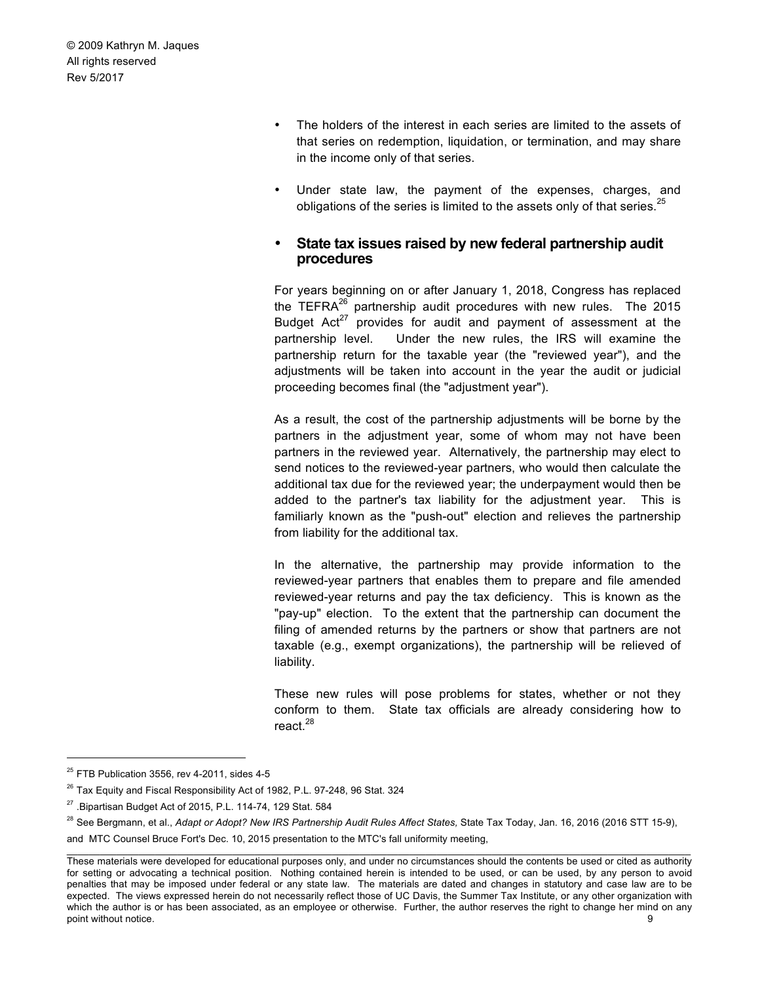- The holders of the interest in each series are limited to the assets of that series on redemption, liquidation, or termination, and may share in the income only of that series.
- Under state law, the payment of the expenses, charges, and obligations of the series is limited to the assets only of that series.<sup>25</sup>

#### • **State tax issues raised by new federal partnership audit procedures**

For years beginning on or after January 1, 2018, Congress has replaced the TEFRA<sup>26</sup> partnership audit procedures with new rules. The 2015 Budget  $Act^{27}$  provides for audit and payment of assessment at the partnership level. Under the new rules, the IRS will examine the partnership return for the taxable year (the "reviewed year"), and the adjustments will be taken into account in the year the audit or judicial proceeding becomes final (the "adjustment year").

As a result, the cost of the partnership adjustments will be borne by the partners in the adjustment year, some of whom may not have been partners in the reviewed year. Alternatively, the partnership may elect to send notices to the reviewed-year partners, who would then calculate the additional tax due for the reviewed year; the underpayment would then be added to the partner's tax liability for the adjustment year. This is familiarly known as the "push-out" election and relieves the partnership from liability for the additional tax.

In the alternative, the partnership may provide information to the reviewed-year partners that enables them to prepare and file amended reviewed-year returns and pay the tax deficiency. This is known as the "pay-up" election. To the extent that the partnership can document the filing of amended returns by the partners or show that partners are not taxable (e.g., exempt organizations), the partnership will be relieved of liability.

These new rules will pose problems for states, whether or not they conform to them. State tax officials are already considering how to react.<sup>28</sup>

 $25$  FTB Publication 3556, rev 4-2011, sides 4-5

<sup>&</sup>lt;sup>26</sup> Tax Equity and Fiscal Responsibility Act of 1982, P.L. 97-248, 96 Stat. 324

 $27$ . Bipartisan Budget Act of 2015, P.L. 114-74, 129 Stat. 584

 $\_$  , and the state of the state of the state of the state of the state of the state of the state of the state of the state of the state of the state of the state of the state of the state of the state of the state of the <sup>28</sup> See Bergmann, et al., *Adapt or Adopt? New IRS Partnership Audit Rules Affect States, State Tax Today, Jan. 16, 2016 (2016 STT 15-9),* and MTC Counsel Bruce Fort's Dec. 10, 2015 presentation to the MTC's fall uniformity meeting,

These materials were developed for educational purposes only, and under no circumstances should the contents be used or cited as authority for setting or advocating a technical position. Nothing contained herein is intended to be used, or can be used, by any person to avoid penalties that may be imposed under federal or any state law. The materials are dated and changes in statutory and case law are to be expected. The views expressed herein do not necessarily reflect those of UC Davis, the Summer Tax Institute, or any other organization with which the author is or has been associated, as an employee or otherwise. Further, the author reserves the right to change her mind on any point without notice. 9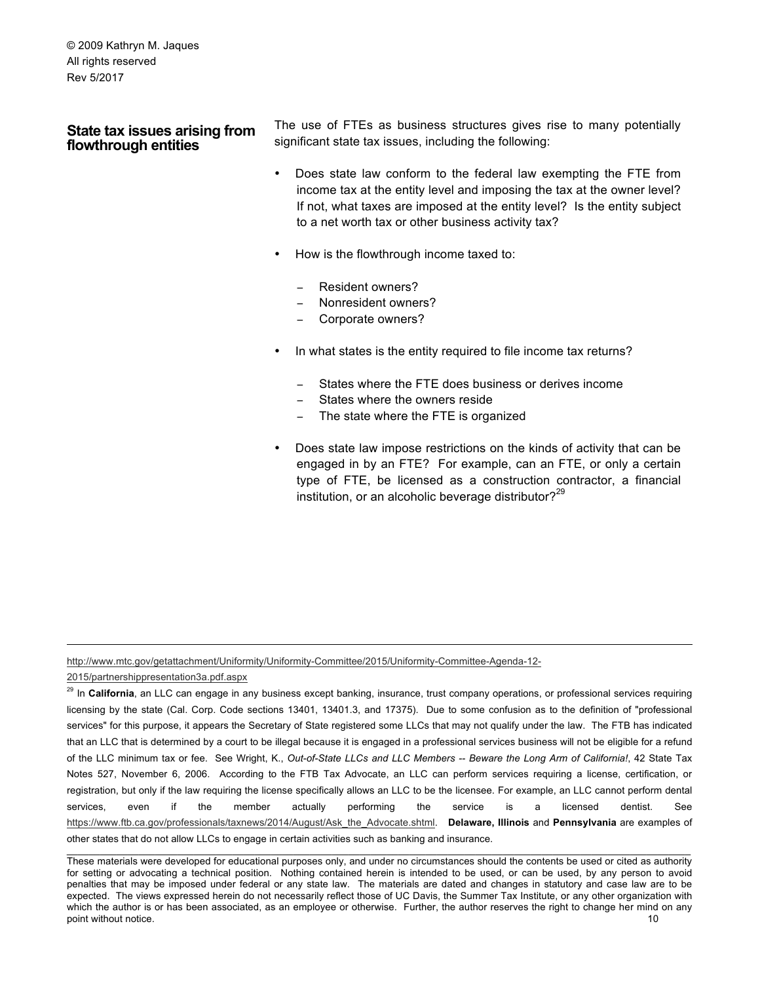### **State tax issues arising from flowthrough entities**

The use of FTEs as business structures gives rise to many potentially significant state tax issues, including the following:

- Does state law conform to the federal law exempting the FTE from income tax at the entity level and imposing the tax at the owner level? If not, what taxes are imposed at the entity level? Is the entity subject to a net worth tax or other business activity tax?
- How is the flowthrough income taxed to:
	- Resident owners?
	- − Nonresident owners?
	- Corporate owners?
- In what states is the entity required to file income tax returns?
	- States where the FTE does business or derives income
	- States where the owners reside
	- The state where the FTE is organized
- Does state law impose restrictions on the kinds of activity that can be engaged in by an FTE? For example, can an FTE, or only a certain type of FTE, be licensed as a construction contractor, a financial institution, or an alcoholic beverage distributor? $29$

http://www.mtc.gov/getattachment/Uniformity/Uniformity-Committee/2015/Uniformity-Committee-Agenda-12-

2015/partnershippresentation3a.pdf.aspx

1

 $\_$  , and the state of the state of the state of the state of the state of the state of the state of the state of the state of the state of the state of the state of the state of the state of the state of the state of the <sup>29</sup> In California, an LLC can engage in any business except banking, insurance, trust company operations, or professional services requiring licensing by the state (Cal. Corp. Code sections 13401, 13401.3, and 17375). Due to some confusion as to the definition of "professional services" for this purpose, it appears the Secretary of State registered some LLCs that may not qualify under the law. The FTB has indicated that an LLC that is determined by a court to be illegal because it is engaged in a professional services business will not be eligible for a refund of the LLC minimum tax or fee. See Wright, K., *Out-of-State LLCs and LLC Members -- Beware the Long Arm of California!*, 42 State Tax Notes 527, November 6, 2006. According to the FTB Tax Advocate, an LLC can perform services requiring a license, certification, or registration, but only if the law requiring the license specifically allows an LLC to be the licensee. For example, an LLC cannot perform dental services, even if the member actually performing the service is a licensed dentist. See https://www.ftb.ca.gov/professionals/taxnews/2014/August/Ask\_the\_Advocate.shtml. **Delaware, Illinois** and **Pennsylvania** are examples of other states that do not allow LLCs to engage in certain activities such as banking and insurance.

These materials were developed for educational purposes only, and under no circumstances should the contents be used or cited as authority for setting or advocating a technical position. Nothing contained herein is intended to be used, or can be used, by any person to avoid penalties that may be imposed under federal or any state law. The materials are dated and changes in statutory and case law are to be expected. The views expressed herein do not necessarily reflect those of UC Davis, the Summer Tax Institute, or any other organization with which the author is or has been associated, as an employee or otherwise. Further, the author reserves the right to change her mind on any point without notice. 10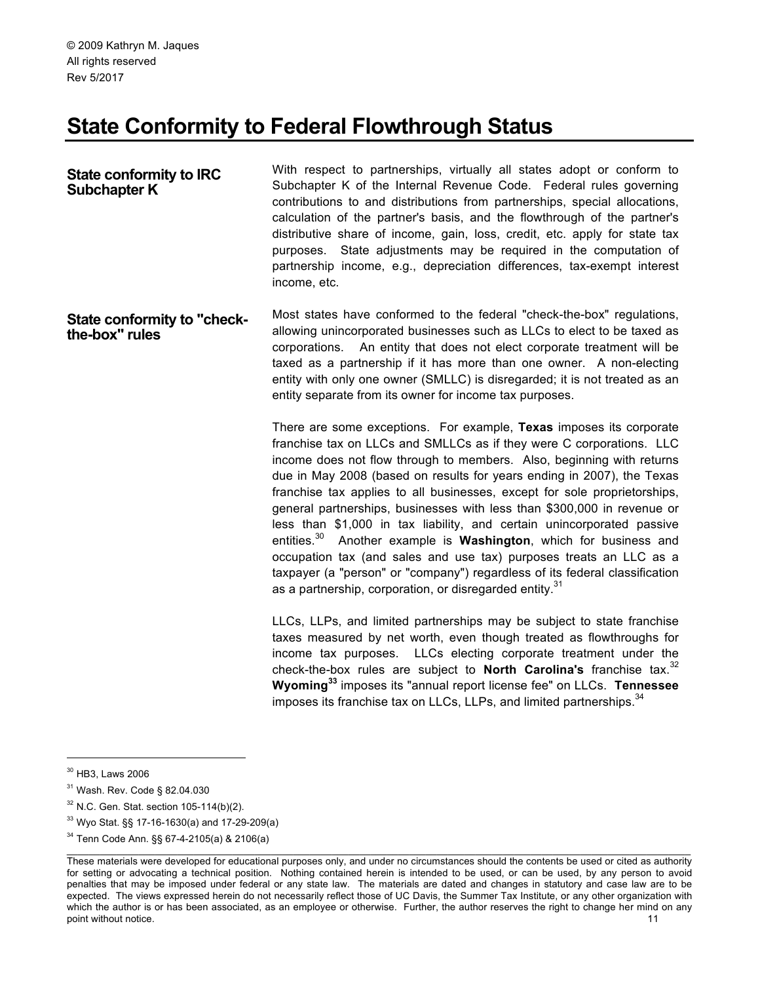# **State Conformity to Federal Flowthrough Status**

**State conformity to IRC Subchapter K** With respect to partnerships, virtually all states adopt or conform to Subchapter K of the Internal Revenue Code. Federal rules governing contributions to and distributions from partnerships, special allocations, calculation of the partner's basis, and the flowthrough of the partner's distributive share of income, gain, loss, credit, etc. apply for state tax purposes. State adjustments may be required in the computation of partnership income, e.g., depreciation differences, tax-exempt interest income, etc.

**State conformity to "checkthe-box" rules**  Most states have conformed to the federal "check-the-box" regulations, allowing unincorporated businesses such as LLCs to elect to be taxed as corporations. An entity that does not elect corporate treatment will be taxed as a partnership if it has more than one owner. A non-electing entity with only one owner (SMLLC) is disregarded; it is not treated as an entity separate from its owner for income tax purposes.

> There are some exceptions. For example, **Texas** imposes its corporate franchise tax on LLCs and SMLLCs as if they were C corporations. LLC income does not flow through to members. Also, beginning with returns due in May 2008 (based on results for years ending in 2007), the Texas franchise tax applies to all businesses, except for sole proprietorships, general partnerships, businesses with less than \$300,000 in revenue or less than \$1,000 in tax liability, and certain unincorporated passive entities.30 Another example is **Washington**, which for business and occupation tax (and sales and use tax) purposes treats an LLC as a taxpayer (a "person" or "company") regardless of its federal classification as a partnership, corporation, or disregarded entity.<sup>31</sup>

> LLCs, LLPs, and limited partnerships may be subject to state franchise taxes measured by net worth, even though treated as flowthroughs for income tax purposes. LLCs electing corporate treatment under the check-the-box rules are subject to **North Carolina's** franchise tax.<sup>32</sup> **Wyoming<sup>33</sup>** imposes its "annual report license fee" on LLCs. **Tennessee**  imposes its franchise tax on LLCs, LLPs, and limited partnerships.<sup>34</sup>

 <sup>30</sup> HB3, Laws 2006

<sup>&</sup>lt;sup>31</sup> Wash. Rev. Code § 82.04.030

 $32$  N.C. Gen. Stat. section 105-114(b)(2).

<sup>33</sup> Wyo Stat. §§ 17-16-1630(a) and 17-29-209(a)

<sup>34</sup> Tenn Code Ann. §§ 67-4-2105(a) & 2106(a)

These materials were developed for educational purposes only, and under no circumstances should the contents be used or cited as authority for setting or advocating a technical position. Nothing contained herein is intended to be used, or can be used, by any person to avoid penalties that may be imposed under federal or any state law. The materials are dated and changes in statutory and case law are to be expected. The views expressed herein do not necessarily reflect those of UC Davis, the Summer Tax Institute, or any other organization with which the author is or has been associated, as an employee or otherwise. Further, the author reserves the right to change her mind on any point without notice. 11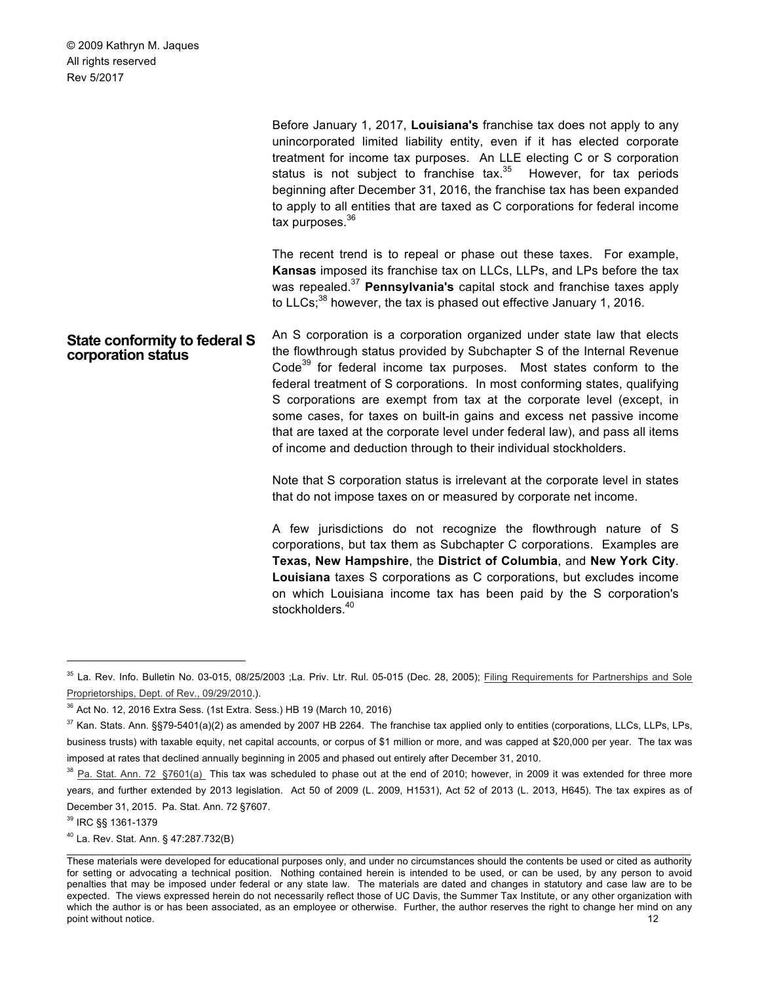|                                                     | Before January 1, 2017, Louisiana's franchise tax does not apply to any<br>unincorporated limited liability entity, even if it has elected corporate<br>treatment for income tax purposes. An LLE electing C or S corporation<br>status is not subject to franchise tax. <sup>35</sup> However, for tax periods<br>beginning after December 31, 2016, the franchise tax has been expanded<br>to apply to all entities that are taxed as C corporations for federal income<br>tax purposes. $36$                                                                                                                           |
|-----------------------------------------------------|---------------------------------------------------------------------------------------------------------------------------------------------------------------------------------------------------------------------------------------------------------------------------------------------------------------------------------------------------------------------------------------------------------------------------------------------------------------------------------------------------------------------------------------------------------------------------------------------------------------------------|
|                                                     | The recent trend is to repeal or phase out these taxes. For example,<br>Kansas imposed its franchise tax on LLCs, LLPs, and LPs before the tax<br>was repealed. <sup>37</sup> Pennsylvania's capital stock and franchise taxes apply<br>to LLCs; $^{38}$ however, the tax is phased out effective January 1, 2016.                                                                                                                                                                                                                                                                                                        |
| State conformity to federal S<br>corporation status | An S corporation is a corporation organized under state law that elects<br>the flowthrough status provided by Subchapter S of the Internal Revenue<br>Code <sup>39</sup> for federal income tax purposes. Most states conform to the<br>federal treatment of S corporations. In most conforming states, qualifying<br>S corporations are exempt from tax at the corporate level (except, in<br>some cases, for taxes on built-in gains and excess net passive income<br>that are taxed at the corporate level under federal law), and pass all items<br>of income and deduction through to their individual stockholders. |
|                                                     | Note that S corporation status is irrelevant at the corporate level in states<br>that do not impose taxes on or measured by corporate net income.                                                                                                                                                                                                                                                                                                                                                                                                                                                                         |
|                                                     | A few jurisdictions do not recognize the flowthrough nature of S<br>corporations, but tax them as Subchapter C corporations. Examples are<br>Texas, New Hampshire, the District of Columbia, and New York City.<br>Louisiana taxes S corporations as C corporations, but excludes income<br>on which Louisiana income tax has been paid by the S corporation's<br>stockholders. <sup>40</sup>                                                                                                                                                                                                                             |

<sup>&</sup>lt;sup>35</sup> La. Rev. Info. Bulletin No. 03-015, 08/25/2003 ;La. Priv. Ltr. Rul. 05-015 (Dec. 28, 2005); Filing Requirements for Partnerships and Sole Proprietorships, Dept. of Rev., 09/29/2010.).

<sup>39</sup> IRC §§ 1361-1379

<sup>40</sup> La. Rev. Stat. Ann. § 47:287.732(B)

<sup>36</sup> Act No. 12, 2016 Extra Sess. (1st Extra. Sess.) HB 19 (March 10, 2016)

 $37$  Kan. Stats. Ann. §§79-5401(a)(2) as amended by 2007 HB 2264. The franchise tax applied only to entities (corporations, LLCs, LLPs, LPs, business trusts) with taxable equity, net capital accounts, or corpus of \$1 million or more, and was capped at \$20,000 per year. The tax was imposed at rates that declined annually beginning in 2005 and phased out entirely after December 31, 2010.

 $38$  Pa. Stat. Ann. 72 §7601(a) This tax was scheduled to phase out at the end of 2010; however, in 2009 it was extended for three more years, and further extended by 2013 legislation. Act 50 of 2009 (L. 2009, H1531), Act 52 of 2013 (L. 2013, H645). The tax expires as of December 31, 2015. Pa. Stat. Ann. 72 §7607.

These materials were developed for educational purposes only, and under no circumstances should the contents be used or cited as authority for setting or advocating a technical position. Nothing contained herein is intended to be used, or can be used, by any person to avoid penalties that may be imposed under federal or any state law. The materials are dated and changes in statutory and case law are to be expected. The views expressed herein do not necessarily reflect those of UC Davis, the Summer Tax Institute, or any other organization with which the author is or has been associated, as an employee or otherwise. Further, the author reserves the right to change her mind on any point without notice. 12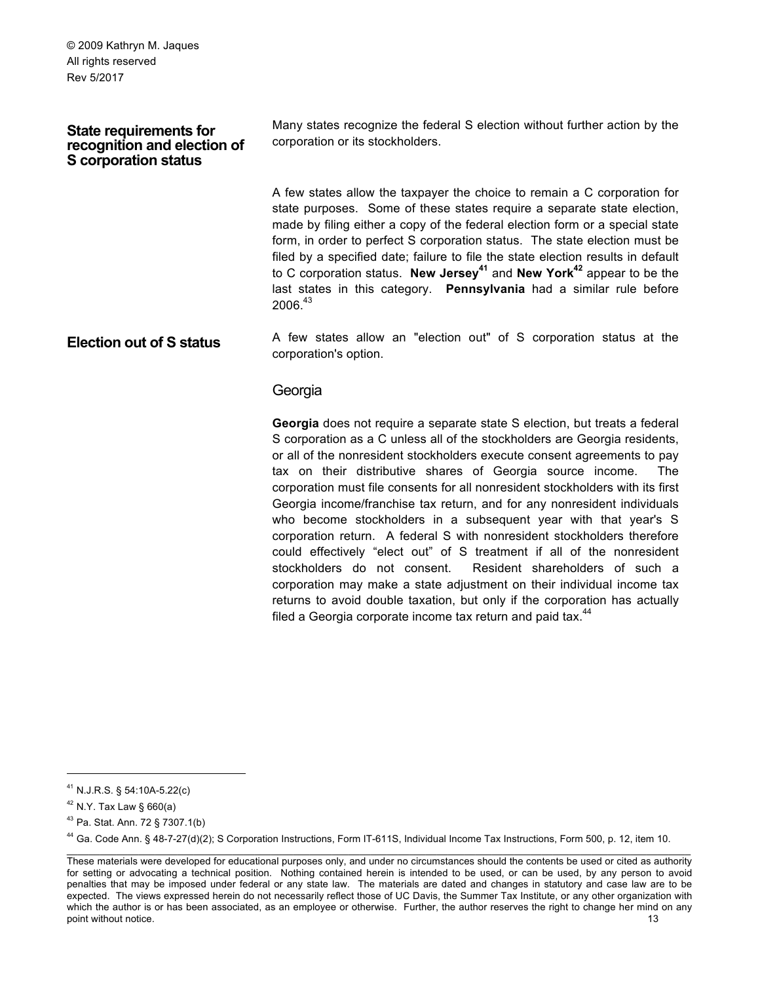#### **State requirements for recognition and election of S corporation status**

Many states recognize the federal S election without further action by the corporation or its stockholders.

A few states allow the taxpayer the choice to remain a C corporation for state purposes. Some of these states require a separate state election, made by filing either a copy of the federal election form or a special state form, in order to perfect S corporation status. The state election must be filed by a specified date; failure to file the state election results in default to C corporation status. **New Jersey<sup>41</sup>** and **New York42** appear to be the last states in this category. **Pennsylvania** had a similar rule before  $2006.<sup>43</sup>$ 

**Election out of S status** A few states allow an "election out" of S corporation status at the corporation's option.

#### Georgia

**Georgia** does not require a separate state S election, but treats a federal S corporation as a C unless all of the stockholders are Georgia residents, or all of the nonresident stockholders execute consent agreements to pay tax on their distributive shares of Georgia source income. The corporation must file consents for all nonresident stockholders with its first Georgia income/franchise tax return, and for any nonresident individuals who become stockholders in a subsequent year with that year's S corporation return. A federal S with nonresident stockholders therefore could effectively "elect out" of S treatment if all of the nonresident stockholders do not consent. Resident shareholders of such a corporation may make a state adjustment on their individual income tax returns to avoid double taxation, but only if the corporation has actually filed a Georgia corporate income tax return and paid tax. $44$ 

 <sup>41</sup> N.J.R.S. § 54:10A-5.22(c)

<sup>42</sup> N.Y. Tax Law § 660(a)

<sup>43</sup> Pa. Stat. Ann. 72 § 7307.1(b)

<sup>44</sup> Ga. Code Ann. § 48-7-27(d)(2); S Corporation Instructions, Form IT-611S, Individual Income Tax Instructions, Form 500, p. 12, item 10.

These materials were developed for educational purposes only, and under no circumstances should the contents be used or cited as authority for setting or advocating a technical position. Nothing contained herein is intended to be used, or can be used, by any person to avoid penalties that may be imposed under federal or any state law. The materials are dated and changes in statutory and case law are to be expected. The views expressed herein do not necessarily reflect those of UC Davis, the Summer Tax Institute, or any other organization with which the author is or has been associated, as an employee or otherwise. Further, the author reserves the right to change her mind on any point without notice. 13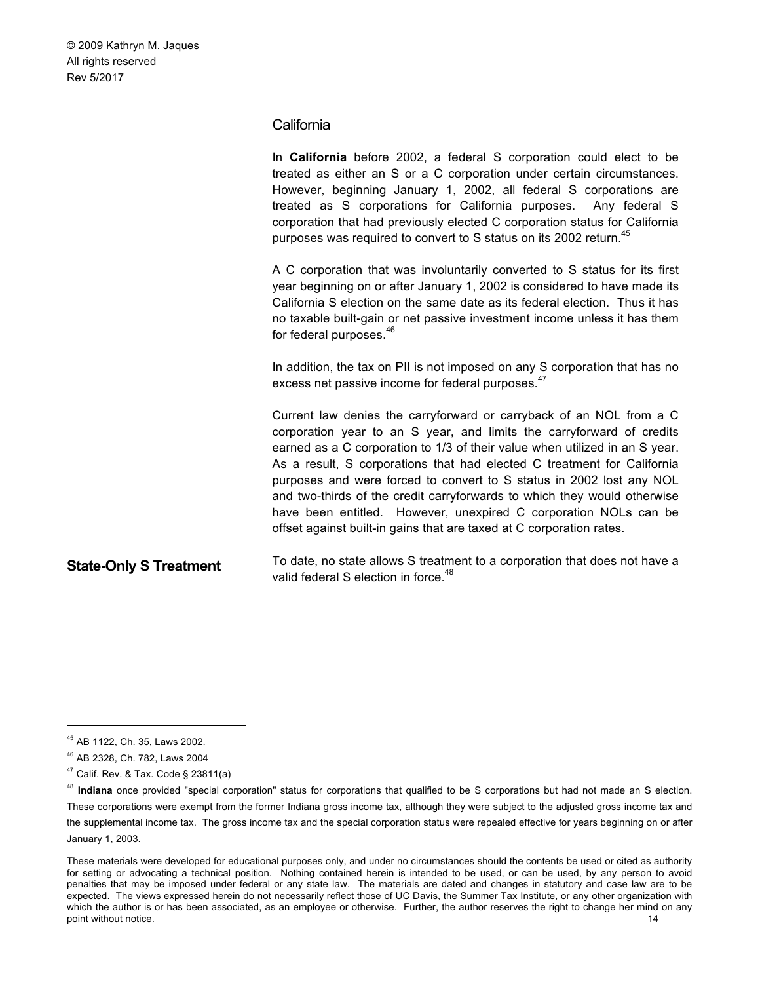#### **California**

In **California** before 2002, a federal S corporation could elect to be treated as either an S or a C corporation under certain circumstances. However, beginning January 1, 2002, all federal S corporations are treated as S corporations for California purposes. Any federal S corporation that had previously elected C corporation status for California purposes was required to convert to S status on its 2002 return.<sup>45</sup> A C corporation that was involuntarily converted to S status for its first year beginning on or after January 1, 2002 is considered to have made its California S election on the same date as its federal election. Thus it has no taxable built-gain or net passive investment income unless it has them for federal purposes.<sup>46</sup> In addition, the tax on PII is not imposed on any S corporation that has no excess net passive income for federal purposes.<sup>47</sup> Current law denies the carryforward or carryback of an NOL from a C corporation year to an S year, and limits the carryforward of credits earned as a C corporation to 1/3 of their value when utilized in an S year. As a result, S corporations that had elected C treatment for California purposes and were forced to convert to S status in 2002 lost any NOL and two-thirds of the credit carryforwards to which they would otherwise have been entitled. However, unexpired C corporation NOLs can be offset against built-in gains that are taxed at C corporation rates. **State-Only S Treatment** To date, no state allows S treatment to a corporation that does not have a valid federal S election in force.<sup>48</sup>

 <sup>45</sup> AB 1122, Ch. 35, Laws 2002.

<sup>46</sup> AB 2328, Ch. 782, Laws 2004

 $47$  Calif. Rev. & Tax. Code § 23811(a)

<sup>&</sup>lt;sup>48</sup> Indiana once provided "special corporation" status for corporations that qualified to be S corporations but had not made an S election. These corporations were exempt from the former Indiana gross income tax, although they were subject to the adjusted gross income tax and the supplemental income tax. The gross income tax and the special corporation status were repealed effective for years beginning on or after January 1, 2003.

These materials were developed for educational purposes only, and under no circumstances should the contents be used or cited as authority for setting or advocating a technical position. Nothing contained herein is intended to be used, or can be used, by any person to avoid penalties that may be imposed under federal or any state law. The materials are dated and changes in statutory and case law are to be expected. The views expressed herein do not necessarily reflect those of UC Davis, the Summer Tax Institute, or any other organization with which the author is or has been associated, as an employee or otherwise. Further, the author reserves the right to change her mind on any point without notice. 14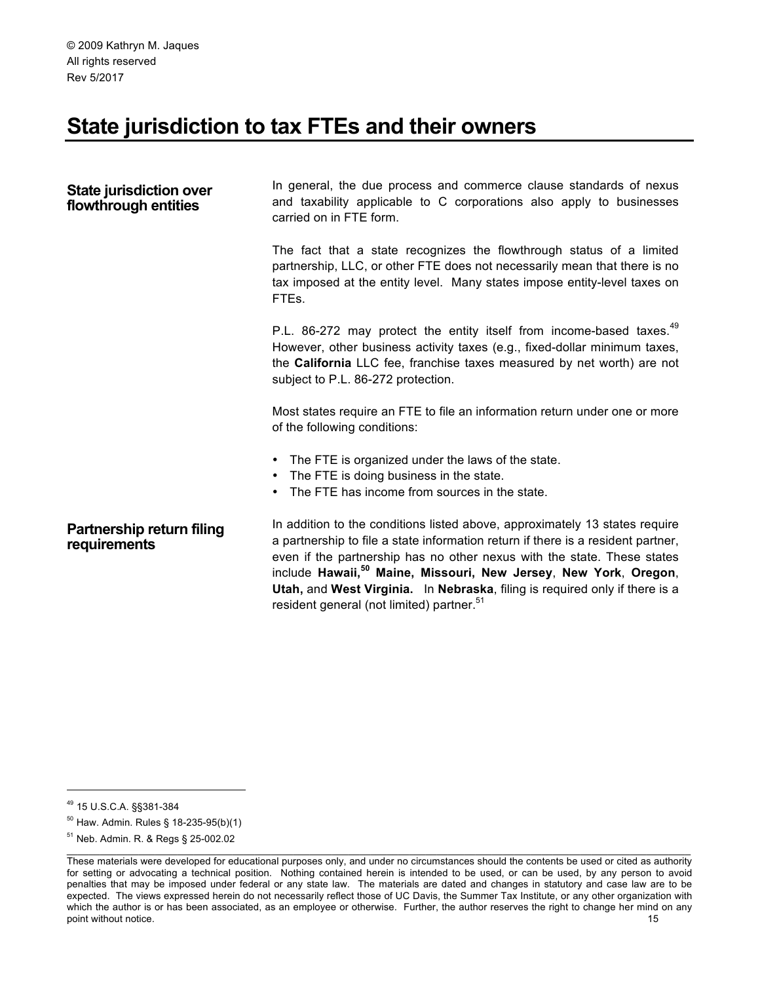# **State jurisdiction to tax FTEs and their owners**

| State jurisdiction over<br>flowthrough entities | In general, the due process and commerce clause standards of nexus<br>and taxability applicable to C corporations also apply to businesses<br>carried on in FTE form.                                                                                                                                                                                                                                                                                              |
|-------------------------------------------------|--------------------------------------------------------------------------------------------------------------------------------------------------------------------------------------------------------------------------------------------------------------------------------------------------------------------------------------------------------------------------------------------------------------------------------------------------------------------|
|                                                 | The fact that a state recognizes the flowthrough status of a limited<br>partnership, LLC, or other FTE does not necessarily mean that there is no<br>tax imposed at the entity level. Many states impose entity-level taxes on<br>FTEs.                                                                                                                                                                                                                            |
|                                                 | P.L. 86-272 may protect the entity itself from income-based taxes. <sup>49</sup><br>However, other business activity taxes (e.g., fixed-dollar minimum taxes,<br>the California LLC fee, franchise taxes measured by net worth) are not<br>subject to P.L. 86-272 protection.                                                                                                                                                                                      |
|                                                 | Most states require an FTE to file an information return under one or more<br>of the following conditions:                                                                                                                                                                                                                                                                                                                                                         |
|                                                 | • The FTE is organized under the laws of the state.<br>The FTE is doing business in the state.<br>The FTE has income from sources in the state.<br>$\bullet$                                                                                                                                                                                                                                                                                                       |
| Partnership return filing<br>requirements       | In addition to the conditions listed above, approximately 13 states require<br>a partnership to file a state information return if there is a resident partner,<br>even if the partnership has no other nexus with the state. These states<br>include Hawaii, <sup>50</sup> Maine, Missouri, New Jersey, New York, Oregon,<br>Utah, and West Virginia. In Nebraska, filing is required only if there is a<br>resident general (not limited) partner. <sup>51</sup> |

 <sup>49</sup> 15 U.S.C.A. §§381-384

<sup>50</sup> Haw. Admin. Rules § 18-235-95(b)(1)

<sup>51</sup> Neb. Admin. R. & Regs § 25-002.02

These materials were developed for educational purposes only, and under no circumstances should the contents be used or cited as authority for setting or advocating a technical position. Nothing contained herein is intended to be used, or can be used, by any person to avoid penalties that may be imposed under federal or any state law. The materials are dated and changes in statutory and case law are to be expected. The views expressed herein do not necessarily reflect those of UC Davis, the Summer Tax Institute, or any other organization with which the author is or has been associated, as an employee or otherwise. Further, the author reserves the right to change her mind on any point without notice. 15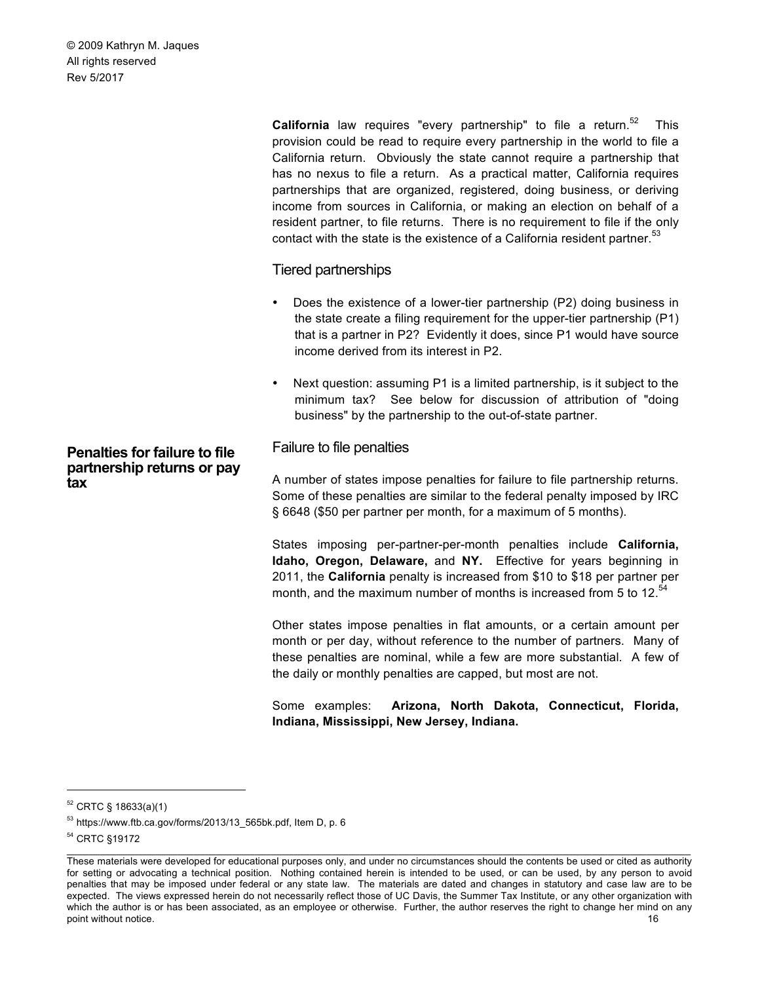**California** law requires "every partnership" to file a return.<sup>52</sup> This provision could be read to require every partnership in the world to file a California return. Obviously the state cannot require a partnership that has no nexus to file a return. As a practical matter, California requires partnerships that are organized, registered, doing business, or deriving income from sources in California, or making an election on behalf of a resident partner, to file returns. There is no requirement to file if the only contact with the state is the existence of a California resident partner.<sup>53</sup>

#### Tiered partnerships

- Does the existence of a lower-tier partnership (P2) doing business in the state create a filing requirement for the upper-tier partnership (P1) that is a partner in P2? Evidently it does, since P1 would have source income derived from its interest in P2.
- Next question: assuming P1 is a limited partnership, is it subject to the minimum tax? See below for discussion of attribution of "doing business" by the partnership to the out-of-state partner.

# Failure to file penalties

A number of states impose penalties for failure to file partnership returns. Some of these penalties are similar to the federal penalty imposed by IRC § 6648 (\$50 per partner per month, for a maximum of 5 months).

States imposing per-partner-per-month penalties include **California, Idaho, Oregon, Delaware,** and **NY.** Effective for years beginning in 2011, the **California** penalty is increased from \$10 to \$18 per partner per month, and the maximum number of months is increased from 5 to 12. $54$ 

Other states impose penalties in flat amounts, or a certain amount per month or per day, without reference to the number of partners. Many of these penalties are nominal, while a few are more substantial. A few of the daily or monthly penalties are capped, but most are not.

Some examples: **Arizona, North Dakota, Connecticut, Florida, Indiana, Mississippi, New Jersey, Indiana.**

 $\_$  , and the state of the state of the state of the state of the state of the state of the state of the state of the state of the state of the state of the state of the state of the state of the state of the state of the

**Penalties for failure to file partnership returns or pay** 

**tax**

 <sup>52</sup> CRTC § 18633(a)(1)

<sup>53</sup> https://www.ftb.ca.gov/forms/2013/13\_565bk.pdf, Item D, p. 6

<sup>54</sup> CRTC §19172

These materials were developed for educational purposes only, and under no circumstances should the contents be used or cited as authority for setting or advocating a technical position. Nothing contained herein is intended to be used, or can be used, by any person to avoid penalties that may be imposed under federal or any state law. The materials are dated and changes in statutory and case law are to be expected. The views expressed herein do not necessarily reflect those of UC Davis, the Summer Tax Institute, or any other organization with which the author is or has been associated, as an employee or otherwise. Further, the author reserves the right to change her mind on any point without notice. 16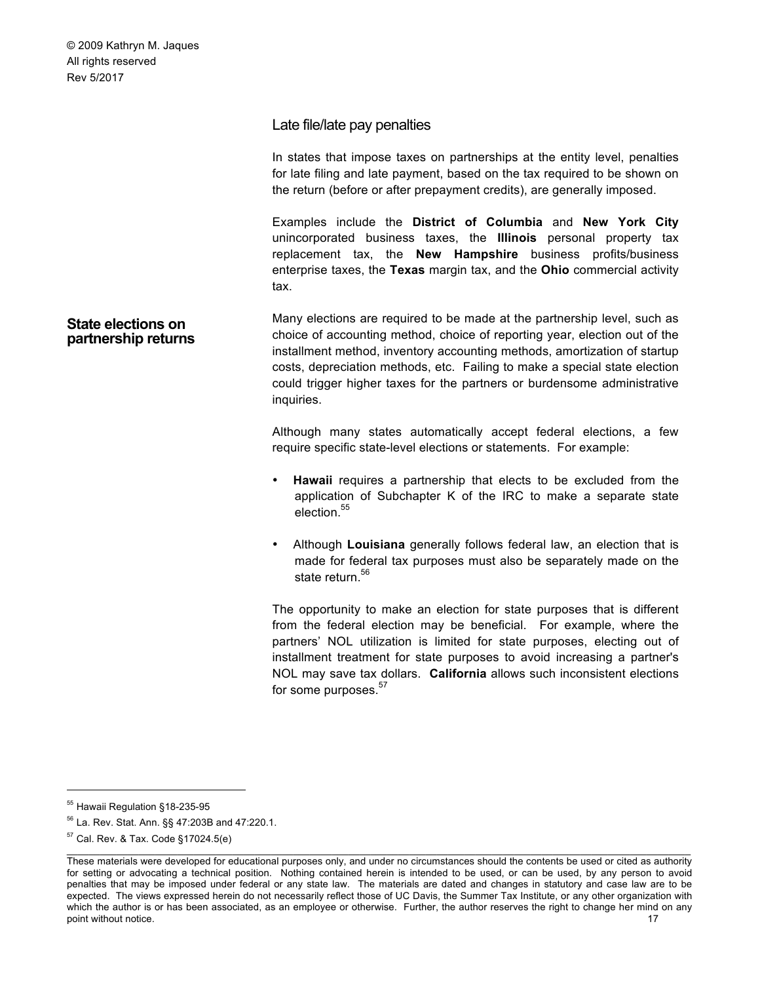| Late file/late pay penalties |  |
|------------------------------|--|
|------------------------------|--|

In states that impose taxes on partnerships at the entity level, penalties for late filing and late payment, based on the tax required to be shown on the return (before or after prepayment credits), are generally imposed.

Examples include the **District of Columbia** and **New York City**  unincorporated business taxes, the **Illinois** personal property tax replacement tax, the **New Hampshire** business profits/business enterprise taxes, the **Texas** margin tax, and the **Ohio** commercial activity tax.

**State elections on partnership returns** Many elections are required to be made at the partnership level, such as choice of accounting method, choice of reporting year, election out of the installment method, inventory accounting methods, amortization of startup costs, depreciation methods, etc. Failing to make a special state election could trigger higher taxes for the partners or burdensome administrative inquiries.

> Although many states automatically accept federal elections, a few require specific state-level elections or statements. For example:

- **Hawaii** requires a partnership that elects to be excluded from the application of Subchapter K of the IRC to make a separate state election.<sup>55</sup>
- Although **Louisiana** generally follows federal law, an election that is made for federal tax purposes must also be separately made on the state return.<sup>56</sup>

The opportunity to make an election for state purposes that is different from the federal election may be beneficial. For example, where the partners' NOL utilization is limited for state purposes, electing out of installment treatment for state purposes to avoid increasing a partner's NOL may save tax dollars. **California** allows such inconsistent elections for some purposes.<sup>57</sup>

 <sup>55</sup> Hawaii Regulation §18-235-95

<sup>56</sup> La. Rev. Stat. Ann. §§ 47:203B and 47:220.1.

<sup>57</sup> Cal. Rev. & Tax. Code §17024.5(e)

These materials were developed for educational purposes only, and under no circumstances should the contents be used or cited as authority for setting or advocating a technical position. Nothing contained herein is intended to be used, or can be used, by any person to avoid penalties that may be imposed under federal or any state law. The materials are dated and changes in statutory and case law are to be expected. The views expressed herein do not necessarily reflect those of UC Davis, the Summer Tax Institute, or any other organization with which the author is or has been associated, as an employee or otherwise. Further, the author reserves the right to change her mind on any point without notice. 17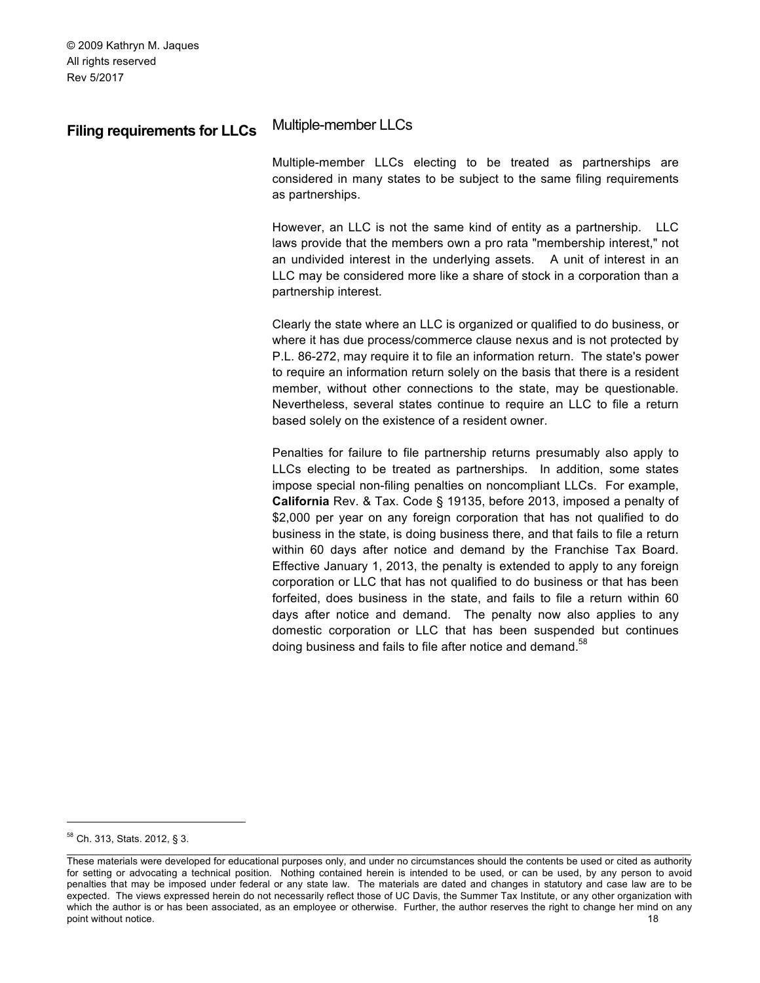# **Filing requirements for LLCs** Multiple-member LLCs

Multiple-member LLCs electing to be treated as partnerships are considered in many states to be subject to the same filing requirements as partnerships.

However, an LLC is not the same kind of entity as a partnership. LLC laws provide that the members own a pro rata "membership interest," not an undivided interest in the underlying assets. A unit of interest in an LLC may be considered more like a share of stock in a corporation than a partnership interest.

Clearly the state where an LLC is organized or qualified to do business, or where it has due process/commerce clause nexus and is not protected by P.L. 86-272, may require it to file an information return. The state's power to require an information return solely on the basis that there is a resident member, without other connections to the state, may be questionable. Nevertheless, several states continue to require an LLC to file a return based solely on the existence of a resident owner.

Penalties for failure to file partnership returns presumably also apply to LLCs electing to be treated as partnerships. In addition, some states impose special non-filing penalties on noncompliant LLCs. For example, **California** Rev. & Tax. Code § 19135, before 2013, imposed a penalty of \$2,000 per year on any foreign corporation that has not qualified to do business in the state, is doing business there, and that fails to file a return within 60 days after notice and demand by the Franchise Tax Board. Effective January 1, 2013, the penalty is extended to apply to any foreign corporation or LLC that has not qualified to do business or that has been forfeited, does business in the state, and fails to file a return within 60 days after notice and demand. The penalty now also applies to any domestic corporation or LLC that has been suspended but continues doing business and fails to file after notice and demand.<sup>58</sup>

 <sup>58</sup> Ch. 313, Stats. 2012, § 3.

 $\_$  , and the state of the state of the state of the state of the state of the state of the state of the state of the state of the state of the state of the state of the state of the state of the state of the state of the These materials were developed for educational purposes only, and under no circumstances should the contents be used or cited as authority for setting or advocating a technical position. Nothing contained herein is intended to be used, or can be used, by any person to avoid penalties that may be imposed under federal or any state law. The materials are dated and changes in statutory and case law are to be expected. The views expressed herein do not necessarily reflect those of UC Davis, the Summer Tax Institute, or any other organization with which the author is or has been associated, as an employee or otherwise. Further, the author reserves the right to change her mind on any point without notice. 18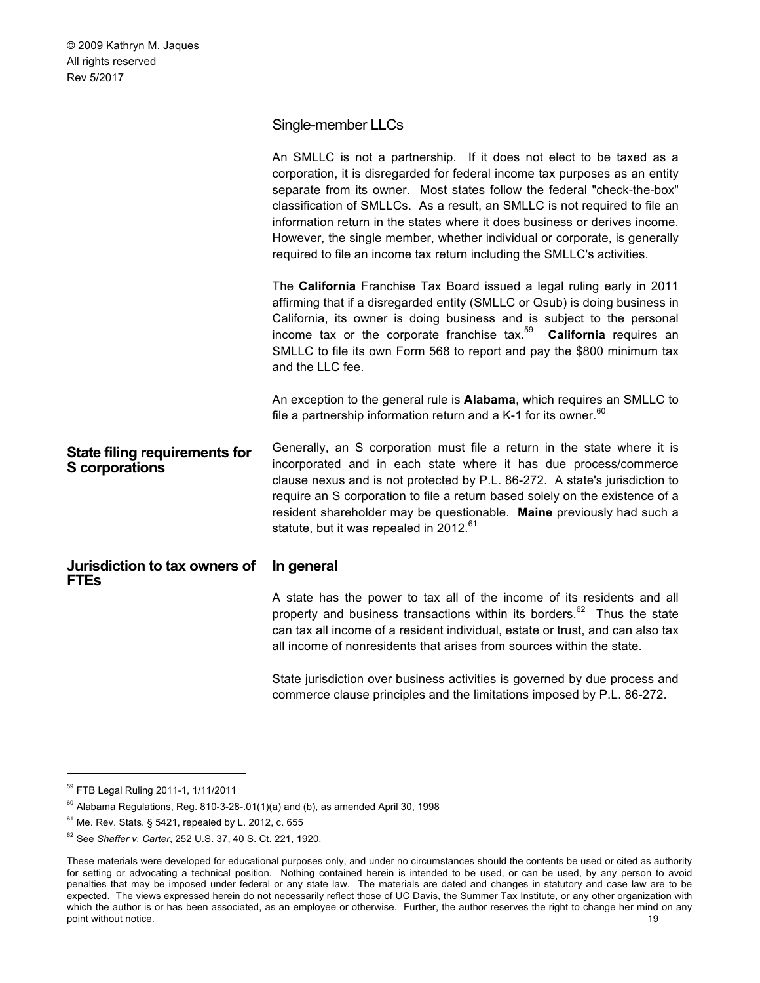# Single-member LLCs

|                                                               | An SMLLC is not a partnership. If it does not elect to be taxed as a<br>corporation, it is disregarded for federal income tax purposes as an entity<br>separate from its owner. Most states follow the federal "check-the-box"<br>classification of SMLLCs. As a result, an SMLLC is not required to file an<br>information return in the states where it does business or derives income.<br>However, the single member, whether individual or corporate, is generally<br>required to file an income tax return including the SMLLC's activities. |
|---------------------------------------------------------------|----------------------------------------------------------------------------------------------------------------------------------------------------------------------------------------------------------------------------------------------------------------------------------------------------------------------------------------------------------------------------------------------------------------------------------------------------------------------------------------------------------------------------------------------------|
|                                                               | The California Franchise Tax Board issued a legal ruling early in 2011<br>affirming that if a disregarded entity (SMLLC or Qsub) is doing business in<br>California, its owner is doing business and is subject to the personal<br>income tax or the corporate franchise tax. <sup>59</sup> California requires an<br>SMLLC to file its own Form 568 to report and pay the \$800 minimum tax<br>and the LLC fee.                                                                                                                                   |
|                                                               | An exception to the general rule is Alabama, which requires an SMLLC to<br>file a partnership information return and a K-1 for its owner. <sup>60</sup>                                                                                                                                                                                                                                                                                                                                                                                            |
| <b>State filing requirements for</b><br><b>S</b> corporations | Generally, an S corporation must file a return in the state where it is<br>incorporated and in each state where it has due process/commerce<br>clause nexus and is not protected by P.L. 86-272. A state's jurisdiction to<br>require an S corporation to file a return based solely on the existence of a<br>resident shareholder may be questionable. Maine previously had such a<br>statute, but it was repealed in 2012. <sup>61</sup>                                                                                                         |
| Jurisdiction to tax owners of<br><b>FTEs</b>                  | In general                                                                                                                                                                                                                                                                                                                                                                                                                                                                                                                                         |
|                                                               | A state has the power to tax all of the income of its residents and all<br>property and business transactions within its borders. <sup>62</sup> Thus the state<br>can tax all income of a resident individual, estate or trust, and can also tax                                                                                                                                                                                                                                                                                                   |

State jurisdiction over business activities is governed by due process and commerce clause principles and the limitations imposed by P.L. 86-272.

all income of nonresidents that arises from sources within the state.

 <sup>59</sup> FTB Legal Ruling 2011-1, 1/11/2011

 $60$  Alabama Regulations, Reg. 810-3-28-.01(1)(a) and (b), as amended April 30, 1998

 $61$  Me. Rev. Stats. § 5421, repealed by L. 2012, c. 655

<sup>62</sup> See *Shaffer v. Carter*, 252 U.S. 37, 40 S. Ct. 221, 1920.

These materials were developed for educational purposes only, and under no circumstances should the contents be used or cited as authority for setting or advocating a technical position. Nothing contained herein is intended to be used, or can be used, by any person to avoid penalties that may be imposed under federal or any state law. The materials are dated and changes in statutory and case law are to be expected. The views expressed herein do not necessarily reflect those of UC Davis, the Summer Tax Institute, or any other organization with which the author is or has been associated, as an employee or otherwise. Further, the author reserves the right to change her mind on any point without notice. 19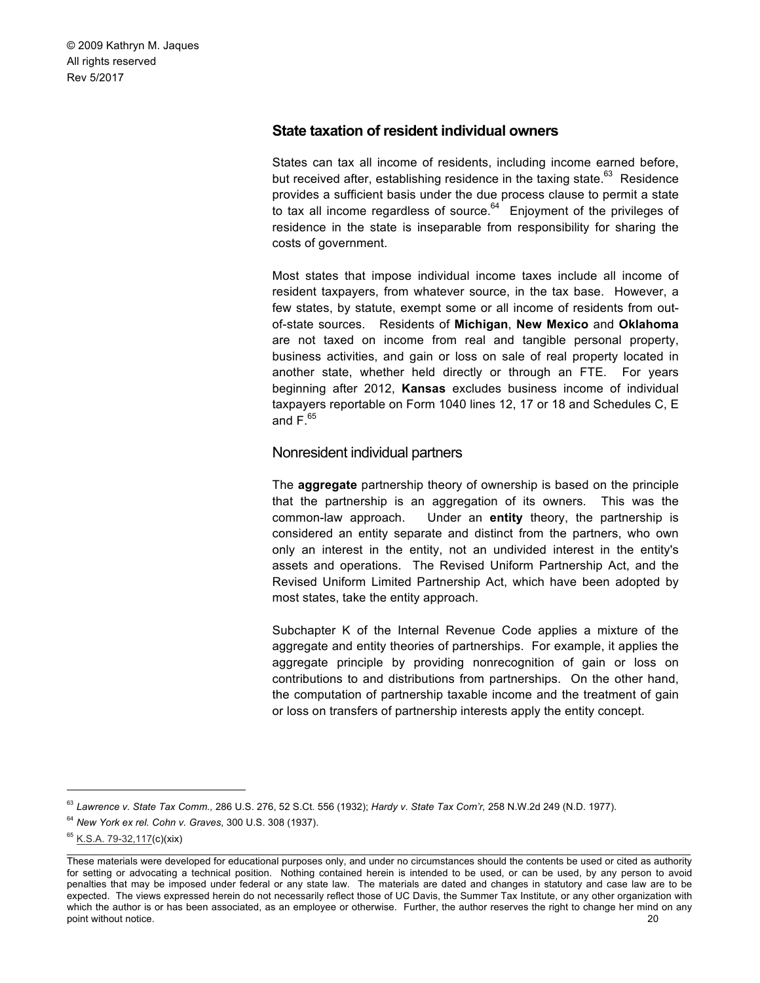### **State taxation of resident individual owners**

States can tax all income of residents, including income earned before, but received after, establishing residence in the taxing state. $63$  Residence provides a sufficient basis under the due process clause to permit a state to tax all income regardless of source. $64$  Enjoyment of the privileges of residence in the state is inseparable from responsibility for sharing the costs of government.

Most states that impose individual income taxes include all income of resident taxpayers, from whatever source, in the tax base. However, a few states, by statute, exempt some or all income of residents from outof-state sources. Residents of **Michigan**, **New Mexico** and **Oklahoma**  are not taxed on income from real and tangible personal property, business activities, and gain or loss on sale of real property located in another state, whether held directly or through an FTE. For years beginning after 2012, **Kansas** excludes business income of individual taxpayers reportable on Form 1040 lines 12, 17 or 18 and Schedules C, E and  $F<sup>65</sup>$ 

#### Nonresident individual partners

The **aggregate** partnership theory of ownership is based on the principle that the partnership is an aggregation of its owners. This was the common-law approach. Under an **entity** theory, the partnership is considered an entity separate and distinct from the partners, who own only an interest in the entity, not an undivided interest in the entity's assets and operations. The Revised Uniform Partnership Act, and the Revised Uniform Limited Partnership Act, which have been adopted by most states, take the entity approach.

Subchapter K of the Internal Revenue Code applies a mixture of the aggregate and entity theories of partnerships. For example, it applies the aggregate principle by providing nonrecognition of gain or loss on contributions to and distributions from partnerships. On the other hand, the computation of partnership taxable income and the treatment of gain or loss on transfers of partnership interests apply the entity concept.

 <sup>63</sup> *Lawrence v. State Tax Comm.,* 286 U.S. 276, 52 S.Ct. 556 (1932); *Hardy v. State Tax Com'r,* 258 N.W.2d 249 (N.D. 1977).

<sup>64</sup> *New York ex rel. Cohn v. Graves*, 300 U.S. 308 (1937).

 $\_$  , and the state of the state of the state of the state of the state of the state of the state of the state of the state of the state of the state of the state of the state of the state of the state of the state of the <sup>65</sup> K.S.A. 79-32,1<u>17(c)</u>(xix)

These materials were developed for educational purposes only, and under no circumstances should the contents be used or cited as authority for setting or advocating a technical position. Nothing contained herein is intended to be used, or can be used, by any person to avoid penalties that may be imposed under federal or any state law. The materials are dated and changes in statutory and case law are to be expected. The views expressed herein do not necessarily reflect those of UC Davis, the Summer Tax Institute, or any other organization with which the author is or has been associated, as an employee or otherwise. Further, the author reserves the right to change her mind on any point without notice. 20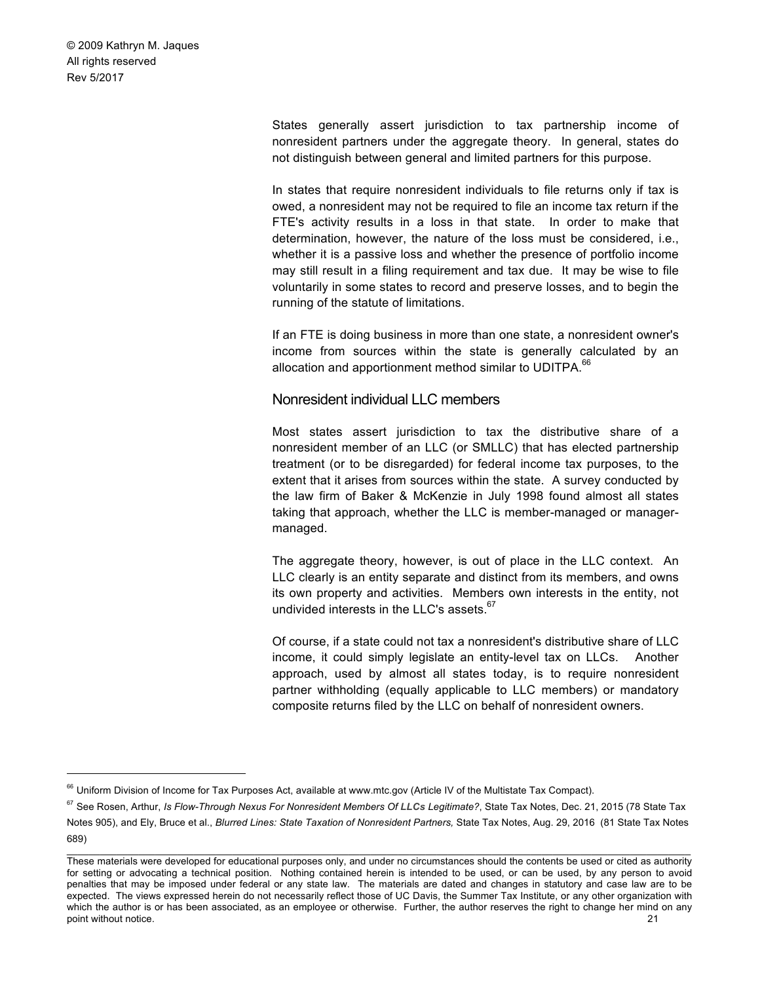> States generally assert jurisdiction to tax partnership income of nonresident partners under the aggregate theory. In general, states do not distinguish between general and limited partners for this purpose.

> In states that require nonresident individuals to file returns only if tax is owed, a nonresident may not be required to file an income tax return if the FTE's activity results in a loss in that state. In order to make that determination, however, the nature of the loss must be considered, i.e., whether it is a passive loss and whether the presence of portfolio income may still result in a filing requirement and tax due. It may be wise to file voluntarily in some states to record and preserve losses, and to begin the running of the statute of limitations.

> If an FTE is doing business in more than one state, a nonresident owner's income from sources within the state is generally calculated by an allocation and apportionment method similar to UDITPA.<sup>66</sup>

#### Nonresident individual LLC members

Most states assert jurisdiction to tax the distributive share of a nonresident member of an LLC (or SMLLC) that has elected partnership treatment (or to be disregarded) for federal income tax purposes, to the extent that it arises from sources within the state. A survey conducted by the law firm of Baker & McKenzie in July 1998 found almost all states taking that approach, whether the LLC is member-managed or managermanaged.

The aggregate theory, however, is out of place in the LLC context. An LLC clearly is an entity separate and distinct from its members, and owns its own property and activities. Members own interests in the entity, not undivided interests in the LLC's assets.<sup>67</sup>

Of course, if a state could not tax a nonresident's distributive share of LLC income, it could simply legislate an entity-level tax on LLCs. Another approach, used by almost all states today, is to require nonresident partner withholding (equally applicable to LLC members) or mandatory composite returns filed by the LLC on behalf of nonresident owners.

<sup>&</sup>lt;sup>66</sup> Uniform Division of Income for Tax Purposes Act, available at www.mtc.gov (Article IV of the Multistate Tax Compact).

<sup>&</sup>lt;sup>67</sup> See Rosen, Arthur, *Is Flow-Through Nexus For Nonresident Members Of LLCs Legitimate?*, State Tax Notes, Dec. 21, 2015 (78 State Tax

 $\_$  , and the state of the state of the state of the state of the state of the state of the state of the state of the state of the state of the state of the state of the state of the state of the state of the state of the Notes 905), and Ely, Bruce et al., *Blurred Lines: State Taxation of Nonresident Partners,* State Tax Notes, Aug. 29, 2016 (81 State Tax Notes 689)

These materials were developed for educational purposes only, and under no circumstances should the contents be used or cited as authority for setting or advocating a technical position. Nothing contained herein is intended to be used, or can be used, by any person to avoid penalties that may be imposed under federal or any state law. The materials are dated and changes in statutory and case law are to be expected. The views expressed herein do not necessarily reflect those of UC Davis, the Summer Tax Institute, or any other organization with which the author is or has been associated, as an employee or otherwise. Further, the author reserves the right to change her mind on any point without notice. 21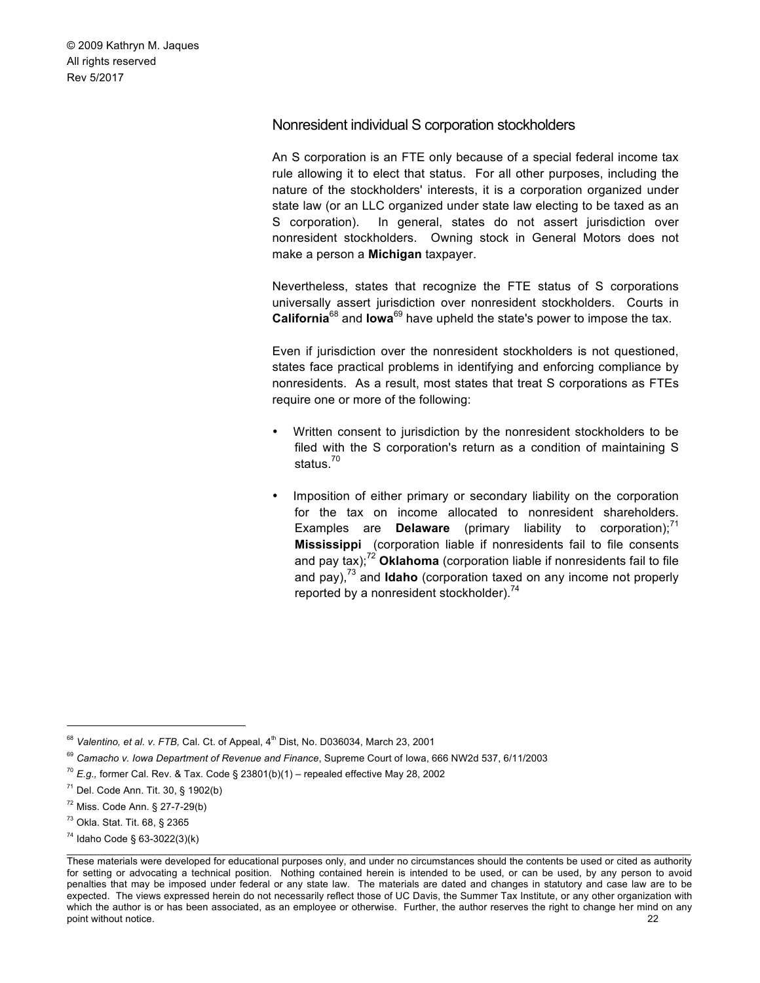# Nonresident individual S corporation stockholders

An S corporation is an FTE only because of a special federal income tax rule allowing it to elect that status. For all other purposes, including the nature of the stockholders' interests, it is a corporation organized under state law (or an LLC organized under state law electing to be taxed as an S corporation). In general, states do not assert jurisdiction over nonresident stockholders. Owning stock in General Motors does not make a person a **Michigan** taxpayer.

Nevertheless, states that recognize the FTE status of S corporations universally assert jurisdiction over nonresident stockholders. Courts in **California**<sup>68</sup> and **Iowa**<sup>69</sup> have upheld the state's power to impose the tax.

Even if jurisdiction over the nonresident stockholders is not questioned, states face practical problems in identifying and enforcing compliance by nonresidents. As a result, most states that treat S corporations as FTEs require one or more of the following:

- Written consent to jurisdiction by the nonresident stockholders to be filed with the S corporation's return as a condition of maintaining S status.<sup>70</sup>
- Imposition of either primary or secondary liability on the corporation for the tax on income allocated to nonresident shareholders. Examples are **Delaware** (primary liability to corporation);<sup>71</sup> **Mississippi** (corporation liable if nonresidents fail to file consents and pay tax);<sup>72</sup> Oklahoma (corporation liable if nonresidents fail to file and pay),<sup>73</sup> and **Idaho** (corporation taxed on any income not properly reported by a nonresident stockholder).<sup>74</sup>

<sup>74</sup> Idaho Code § 63-3022(3)(k)

<sup>&</sup>lt;sup>68</sup> Valentino, et al. v. FTB, Cal. Ct. of Appeal, 4<sup>th</sup> Dist, No. D036034, March 23, 2001

<sup>69</sup> *Camacho v. Iowa Department of Revenue and Finance*, Supreme Court of Iowa, 666 NW2d 537, 6/11/2003

 $70$  *E.g.*, former Cal. Rev. & Tax. Code § 23801(b)(1) – repealed effective May 28, 2002

 $71$  Del. Code Ann. Tit. 30, § 1902(b)

<sup>72</sup> Miss. Code Ann. § 27-7-29(b)

<sup>73</sup> Okla. Stat. Tit. 68, § 2365

These materials were developed for educational purposes only, and under no circumstances should the contents be used or cited as authority for setting or advocating a technical position. Nothing contained herein is intended to be used, or can be used, by any person to avoid penalties that may be imposed under federal or any state law. The materials are dated and changes in statutory and case law are to be expected. The views expressed herein do not necessarily reflect those of UC Davis, the Summer Tax Institute, or any other organization with which the author is or has been associated, as an employee or otherwise. Further, the author reserves the right to change her mind on any point without notice. 22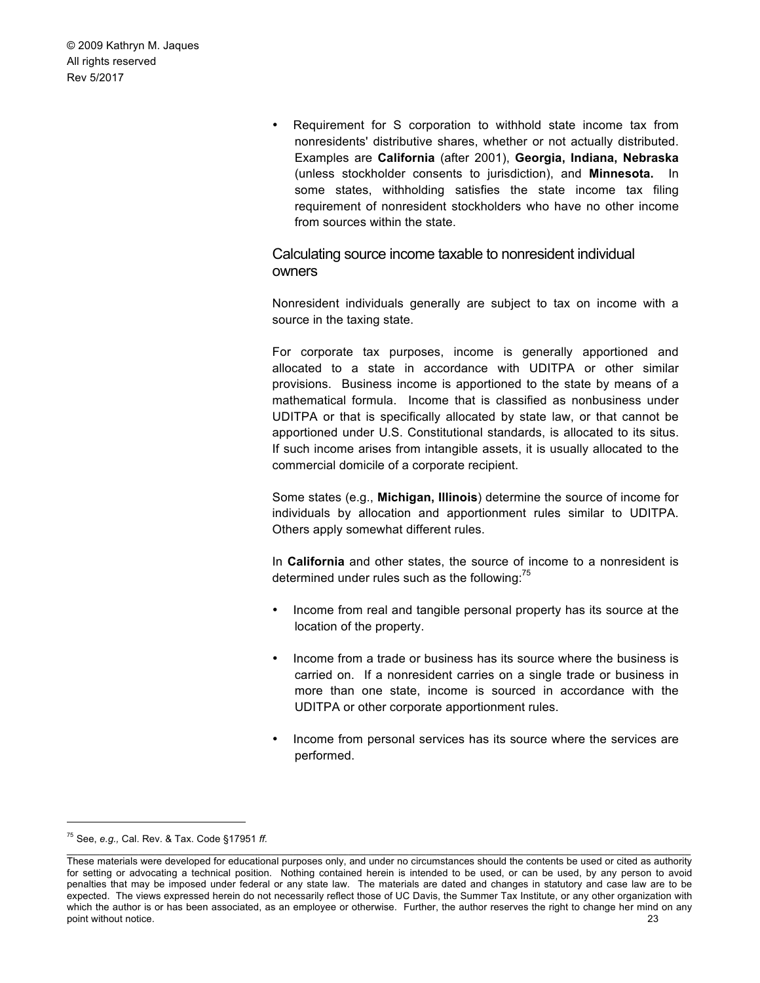> • Requirement for S corporation to withhold state income tax from nonresidents' distributive shares, whether or not actually distributed. Examples are **California** (after 2001), **Georgia, Indiana, Nebraska**  (unless stockholder consents to jurisdiction), and **Minnesota.** In some states, withholding satisfies the state income tax filing requirement of nonresident stockholders who have no other income from sources within the state.

Calculating source income taxable to nonresident individual owners

Nonresident individuals generally are subject to tax on income with a source in the taxing state.

For corporate tax purposes, income is generally apportioned and allocated to a state in accordance with UDITPA or other similar provisions. Business income is apportioned to the state by means of a mathematical formula. Income that is classified as nonbusiness under UDITPA or that is specifically allocated by state law, or that cannot be apportioned under U.S. Constitutional standards, is allocated to its situs. If such income arises from intangible assets, it is usually allocated to the commercial domicile of a corporate recipient.

Some states (e.g., **Michigan, Illinois**) determine the source of income for individuals by allocation and apportionment rules similar to UDITPA. Others apply somewhat different rules.

In **California** and other states, the source of income to a nonresident is determined under rules such as the following: $<sup>75</sup>$ </sup>

- Income from real and tangible personal property has its source at the location of the property.
- Income from a trade or business has its source where the business is carried on. If a nonresident carries on a single trade or business in more than one state, income is sourced in accordance with the UDITPA or other corporate apportionment rules.
- Income from personal services has its source where the services are performed.

 <sup>75</sup> See, *e.g.,* Cal. Rev. & Tax. Code §17951 *ff.*

These materials were developed for educational purposes only, and under no circumstances should the contents be used or cited as authority for setting or advocating a technical position. Nothing contained herein is intended to be used, or can be used, by any person to avoid penalties that may be imposed under federal or any state law. The materials are dated and changes in statutory and case law are to be expected. The views expressed herein do not necessarily reflect those of UC Davis, the Summer Tax Institute, or any other organization with which the author is or has been associated, as an employee or otherwise. Further, the author reserves the right to change her mind on any point without notice. 23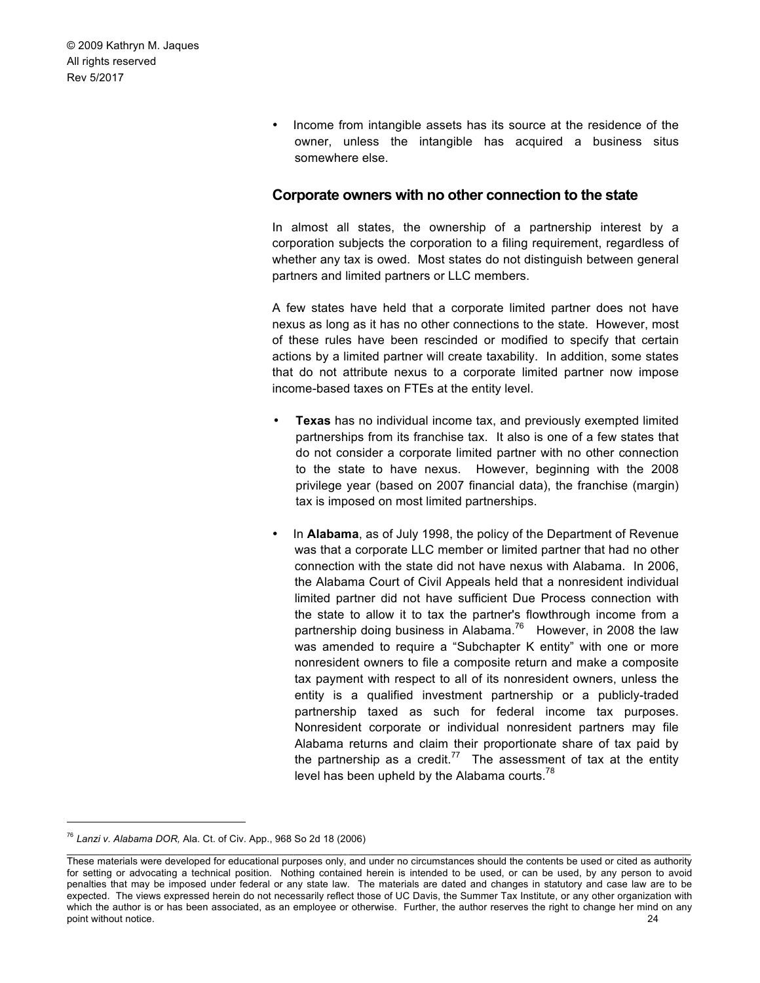> • Income from intangible assets has its source at the residence of the owner, unless the intangible has acquired a business situs somewhere else.

#### **Corporate owners with no other connection to the state**

In almost all states, the ownership of a partnership interest by a corporation subjects the corporation to a filing requirement, regardless of whether any tax is owed. Most states do not distinguish between general partners and limited partners or LLC members.

A few states have held that a corporate limited partner does not have nexus as long as it has no other connections to the state. However, most of these rules have been rescinded or modified to specify that certain actions by a limited partner will create taxability. In addition, some states that do not attribute nexus to a corporate limited partner now impose income-based taxes on FTEs at the entity level.

- **Texas** has no individual income tax, and previously exempted limited partnerships from its franchise tax. It also is one of a few states that do not consider a corporate limited partner with no other connection to the state to have nexus. However, beginning with the 2008 privilege year (based on 2007 financial data), the franchise (margin) tax is imposed on most limited partnerships.
- In **Alabama**, as of July 1998, the policy of the Department of Revenue was that a corporate LLC member or limited partner that had no other connection with the state did not have nexus with Alabama. In 2006, the Alabama Court of Civil Appeals held that a nonresident individual limited partner did not have sufficient Due Process connection with the state to allow it to tax the partner's flowthrough income from a partnership doing business in Alabama.<sup>76</sup> However, in 2008 the law was amended to require a "Subchapter K entity" with one or more nonresident owners to file a composite return and make a composite tax payment with respect to all of its nonresident owners, unless the entity is a qualified investment partnership or a publicly-traded partnership taxed as such for federal income tax purposes. Nonresident corporate or individual nonresident partners may file Alabama returns and claim their proportionate share of tax paid by the partnership as a credit.<sup>77</sup> The assessment of tax at the entity level has been upheld by the Alabama courts.<sup>78</sup>

 <sup>76</sup> *Lanzi v. Alabama DOR,* Ala. Ct. of Civ. App., 968 So 2d 18 (2006)

These materials were developed for educational purposes only, and under no circumstances should the contents be used or cited as authority for setting or advocating a technical position. Nothing contained herein is intended to be used, or can be used, by any person to avoid penalties that may be imposed under federal or any state law. The materials are dated and changes in statutory and case law are to be expected. The views expressed herein do not necessarily reflect those of UC Davis, the Summer Tax Institute, or any other organization with which the author is or has been associated, as an employee or otherwise. Further, the author reserves the right to change her mind on any point without notice. 24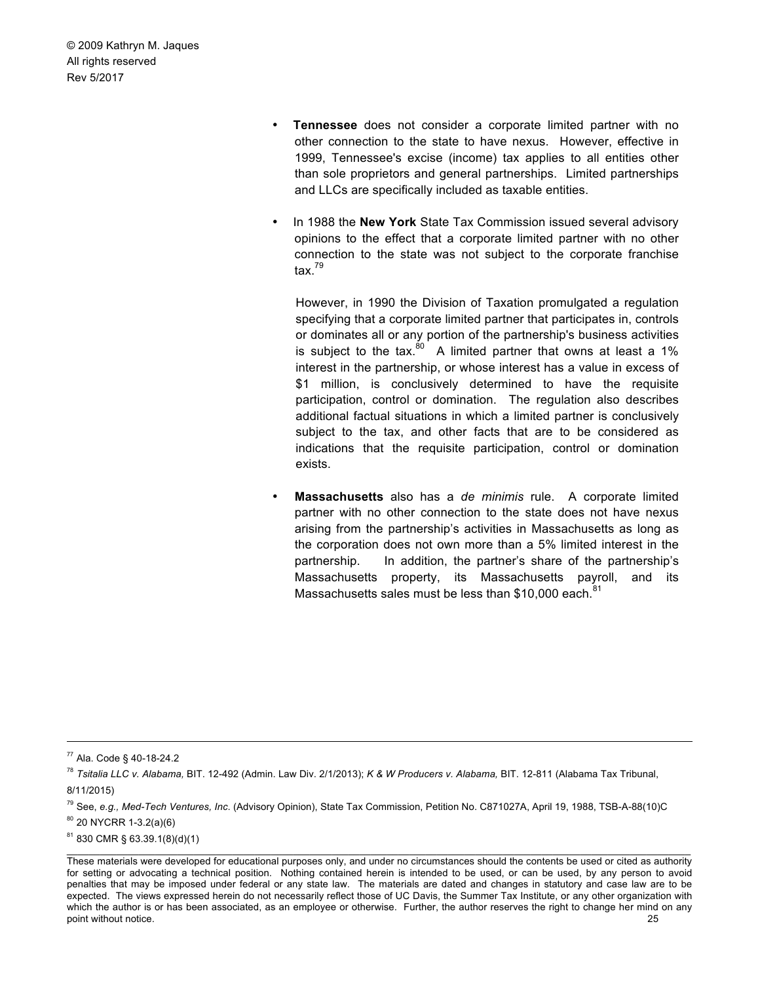- **Tennessee** does not consider a corporate limited partner with no other connection to the state to have nexus. However, effective in 1999, Tennessee's excise (income) tax applies to all entities other than sole proprietors and general partnerships. Limited partnerships and LLCs are specifically included as taxable entities.
- In 1988 the **New York** State Tax Commission issued several advisory opinions to the effect that a corporate limited partner with no other connection to the state was not subject to the corporate franchise tax. $79$

However, in 1990 the Division of Taxation promulgated a regulation specifying that a corporate limited partner that participates in, controls or dominates all or any portion of the partnership's business activities is subject to the tax. $80^\circ$  A limited partner that owns at least a 1% interest in the partnership, or whose interest has a value in excess of \$1 million, is conclusively determined to have the requisite participation, control or domination. The regulation also describes additional factual situations in which a limited partner is conclusively subject to the tax, and other facts that are to be considered as indications that the requisite participation, control or domination exists.

• **Massachusetts** also has a *de minimis* rule. A corporate limited partner with no other connection to the state does not have nexus arising from the partnership's activities in Massachusetts as long as the corporation does not own more than a 5% limited interest in the partnership. In addition, the partner's share of the partnership's Massachusetts property, its Massachusetts payroll, and its Massachusetts sales must be less than \$10,000 each.<sup>81</sup>

 $80$  20 NYCRR 1-3.2(a)(6)

 <sup>77</sup> Ala. Code § 40-18-24.2

<sup>78</sup> *Tsitalia LLC v. Alabama,* BIT. 12-492 (Admin. Law Div. 2/1/2013); *K & W Producers v. Alabama,* BIT. 12-811 (Alabama Tax Tribunal, 8/11/2015)

<sup>79</sup> See, *e.g., Med-Tech Ventures, Inc*. (Advisory Opinion), State Tax Commission, Petition No. C871027A, April 19, 1988, TSB-A-88(10)C

 $\_$  , and the state of the state of the state of the state of the state of the state of the state of the state of the state of the state of the state of the state of the state of the state of the state of the state of the <sup>81</sup> 830 CMR § 63.39.1(8)(d)(1)

These materials were developed for educational purposes only, and under no circumstances should the contents be used or cited as authority for setting or advocating a technical position. Nothing contained herein is intended to be used, or can be used, by any person to avoid penalties that may be imposed under federal or any state law. The materials are dated and changes in statutory and case law are to be expected. The views expressed herein do not necessarily reflect those of UC Davis, the Summer Tax Institute, or any other organization with which the author is or has been associated, as an employee or otherwise. Further, the author reserves the right to change her mind on any point without notice. 25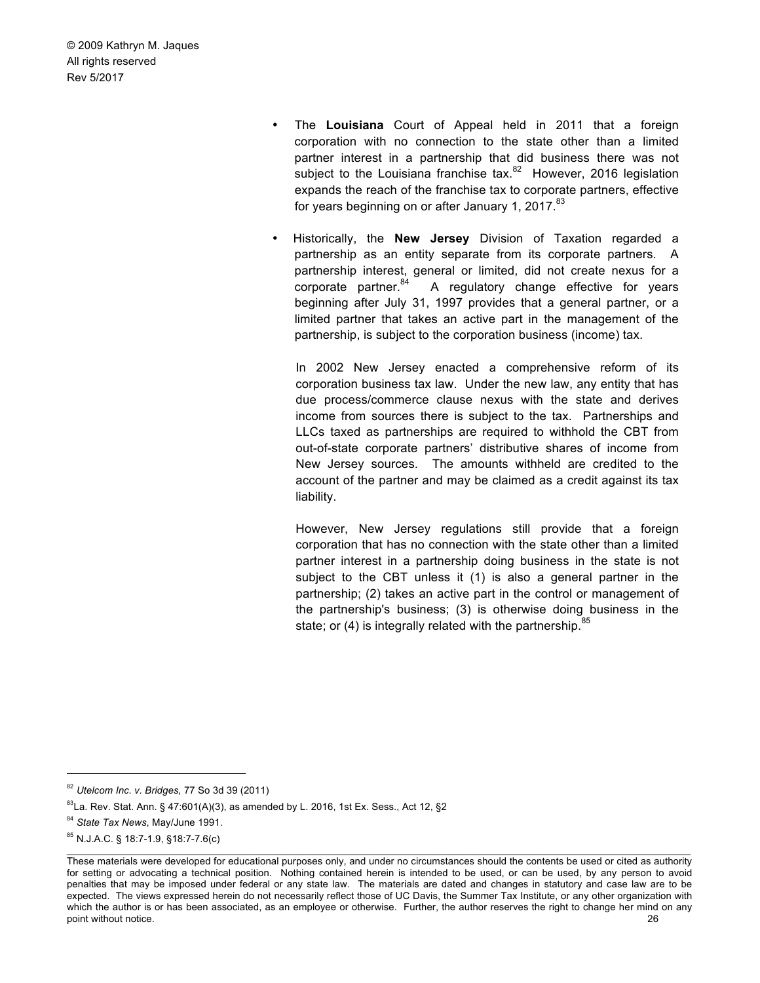- The **Louisiana** Court of Appeal held in 2011 that a foreign corporation with no connection to the state other than a limited partner interest in a partnership that did business there was not subject to the Louisiana franchise tax.<sup>82</sup> However, 2016 legislation expands the reach of the franchise tax to corporate partners, effective for years beginning on or after January 1, 2017.<sup>83</sup>
- Historically, the **New Jersey** Division of Taxation regarded a partnership as an entity separate from its corporate partners. A partnership interest, general or limited, did not create nexus for a corporate partner. $84$  A regulatory change effective for years beginning after July 31, 1997 provides that a general partner, or a limited partner that takes an active part in the management of the partnership, is subject to the corporation business (income) tax.

In 2002 New Jersey enacted a comprehensive reform of its corporation business tax law. Under the new law, any entity that has due process/commerce clause nexus with the state and derives income from sources there is subject to the tax. Partnerships and LLCs taxed as partnerships are required to withhold the CBT from out-of-state corporate partners' distributive shares of income from New Jersey sources. The amounts withheld are credited to the account of the partner and may be claimed as a credit against its tax liability.

However, New Jersey regulations still provide that a foreign corporation that has no connection with the state other than a limited partner interest in a partnership doing business in the state is not subject to the CBT unless it (1) is also a general partner in the partnership; (2) takes an active part in the control or management of the partnership's business; (3) is otherwise doing business in the state; or  $(4)$  is integrally related with the partnership.<sup>85</sup>

 <sup>82</sup> *Utelcom Inc. v. Bridges,* 77 So 3d 39 (2011)

 $83$ La. Rev. Stat. Ann. § 47:601(A)(3), as amended by L. 2016, 1st Ex. Sess., Act 12, §2

<sup>84</sup> *State Tax News*, May/June 1991.

<sup>85</sup> N.J.A.C. § 18:7-1.9, §18:7-7.6(c)

These materials were developed for educational purposes only, and under no circumstances should the contents be used or cited as authority for setting or advocating a technical position. Nothing contained herein is intended to be used, or can be used, by any person to avoid penalties that may be imposed under federal or any state law. The materials are dated and changes in statutory and case law are to be expected. The views expressed herein do not necessarily reflect those of UC Davis, the Summer Tax Institute, or any other organization with which the author is or has been associated, as an employee or otherwise. Further, the author reserves the right to change her mind on any point without notice. 26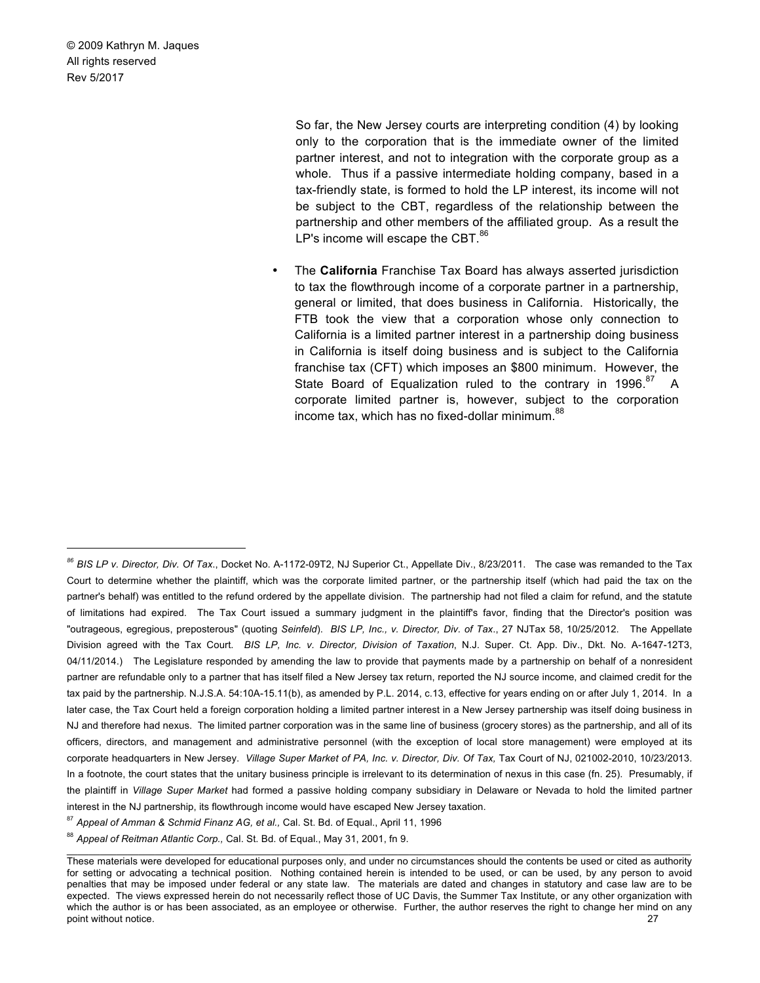1

So far, the New Jersey courts are interpreting condition (4) by looking only to the corporation that is the immediate owner of the limited partner interest, and not to integration with the corporate group as a whole. Thus if a passive intermediate holding company, based in a tax-friendly state, is formed to hold the LP interest, its income will not be subject to the CBT, regardless of the relationship between the partnership and other members of the affiliated group. As a result the LP's income will escape the CBT.<sup>86</sup>

• The **California** Franchise Tax Board has always asserted jurisdiction to tax the flowthrough income of a corporate partner in a partnership, general or limited, that does business in California. Historically, the FTB took the view that a corporation whose only connection to California is a limited partner interest in a partnership doing business in California is itself doing business and is subject to the California franchise tax (CFT) which imposes an \$800 minimum. However, the State Board of Equalization ruled to the contrary in 1996.<sup>87</sup> A corporate limited partner is, however, subject to the corporation income tax, which has no fixed-dollar minimum.<sup>88</sup>

<sup>87</sup> *Appeal of Amman & Schmid Finanz AG, et al.,* Cal. St. Bd. of Equal., April 11, 1996

*<sup>86</sup> BIS LP v. Director, Div. Of Tax*., Docket No. A-1172-09T2, NJ Superior Ct., Appellate Div., 8/23/2011. The case was remanded to the Tax Court to determine whether the plaintiff, which was the corporate limited partner, or the partnership itself (which had paid the tax on the partner's behalf) was entitled to the refund ordered by the appellate division. The partnership had not filed a claim for refund, and the statute of limitations had expired. The Tax Court issued a summary judgment in the plaintiff's favor, finding that the Director's position was "outrageous, egregious, preposterous" (quoting *Seinfeld*). *BIS LP, Inc., v. Director, Div. of Tax*., 27 NJTax 58, 10/25/2012. The Appellate Division agreed with the Tax Court. *BIS LP, Inc. v. Director, Division of Taxation*, N.J. Super. Ct. App. Div., Dkt. No. A-1647-12T3, 04/11/2014.) The Legislature responded by amending the law to provide that payments made by a partnership on behalf of a nonresident partner are refundable only to a partner that has itself filed a New Jersey tax return, reported the NJ source income, and claimed credit for the tax paid by the partnership. N.J.S.A. 54:10A-15.11(b), as amended by P.L. 2014, c.13, effective for years ending on or after July 1, 2014. In a later case, the Tax Court held a foreign corporation holding a limited partner interest in a New Jersey partnership was itself doing business in NJ and therefore had nexus. The limited partner corporation was in the same line of business (grocery stores) as the partnership, and all of its officers, directors, and management and administrative personnel (with the exception of local store management) were employed at its corporate headquarters in New Jersey. *Village Super Market of PA, Inc. v. Director, Div. Of Tax,* Tax Court of NJ, 021002-2010, 10/23/2013. In a footnote, the court states that the unitary business principle is irrelevant to its determination of nexus in this case (fn. 25). Presumably, if the plaintiff in *Village Super Market* had formed a passive holding company subsidiary in Delaware or Nevada to hold the limited partner interest in the NJ partnership, its flowthrough income would have escaped New Jersey taxation.

<sup>88</sup> Appeal of Reitman Atlantic Corp., Cal. St. Bd. of Equal., May 31, 2001, fn 9.

These materials were developed for educational purposes only, and under no circumstances should the contents be used or cited as authority for setting or advocating a technical position. Nothing contained herein is intended to be used, or can be used, by any person to avoid penalties that may be imposed under federal or any state law. The materials are dated and changes in statutory and case law are to be expected. The views expressed herein do not necessarily reflect those of UC Davis, the Summer Tax Institute, or any other organization with which the author is or has been associated, as an employee or otherwise. Further, the author reserves the right to change her mind on any point without notice. 27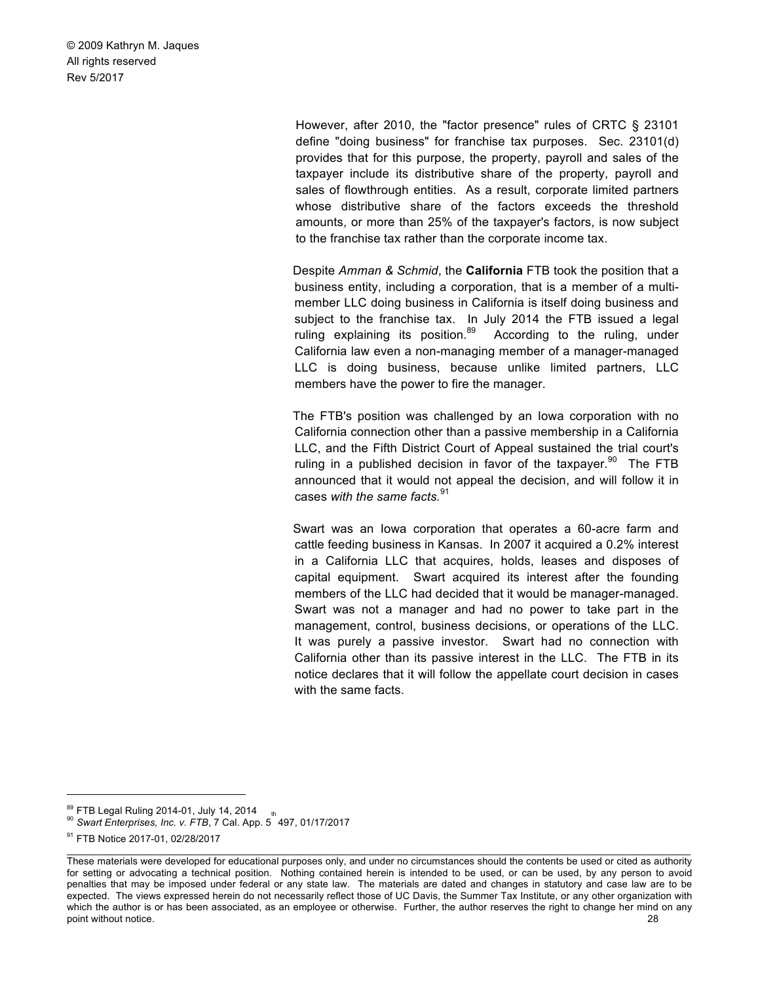> However, after 2010, the "factor presence" rules of CRTC § 23101 define "doing business" for franchise tax purposes. Sec. 23101(d) provides that for this purpose, the property, payroll and sales of the taxpayer include its distributive share of the property, payroll and sales of flowthrough entities. As a result, corporate limited partners whose distributive share of the factors exceeds the threshold amounts, or more than 25% of the taxpayer's factors, is now subject to the franchise tax rather than the corporate income tax.

> Despite *Amman & Schmid*, the **California** FTB took the position that a business entity, including a corporation, that is a member of a multimember LLC doing business in California is itself doing business and subject to the franchise tax. In July 2014 the FTB issued a legal ruling explaining its position.<sup>89</sup> According to the ruling, under California law even a non-managing member of a manager-managed LLC is doing business, because unlike limited partners, LLC members have the power to fire the manager.

> The FTB's position was challenged by an Iowa corporation with no California connection other than a passive membership in a California LLC, and the Fifth District Court of Appeal sustained the trial court's ruling in a published decision in favor of the taxpayer.<sup>90</sup> The FTB announced that it would not appeal the decision, and will follow it in cases *with the same facts.*<sup>91</sup>

> Swart was an Iowa corporation that operates a 60-acre farm and cattle feeding business in Kansas. In 2007 it acquired a 0.2% interest in a California LLC that acquires, holds, leases and disposes of capital equipment. Swart acquired its interest after the founding members of the LLC had decided that it would be manager-managed. Swart was not a manager and had no power to take part in the management, control, business decisions, or operations of the LLC. It was purely a passive investor. Swart had no connection with California other than its passive interest in the LLC. The FTB in its notice declares that it will follow the appellate court decision in cases with the same facts.

 $89$  FTB Legal Ruling 2014-01, July 14, 2014  $_{th}$ 

<sup>89</sup> FTB Legal Ruling 2014-01, July 14, 2014 <sup>90</sup> *Swart Enterprises, Inc. v. FTB*, 7 Cal. App. 5 497, 01/17/2017

<sup>&</sup>lt;sup>91</sup> FTB Notice 2017-01, 02/28/2017

These materials were developed for educational purposes only, and under no circumstances should the contents be used or cited as authority for setting or advocating a technical position. Nothing contained herein is intended to be used, or can be used, by any person to avoid penalties that may be imposed under federal or any state law. The materials are dated and changes in statutory and case law are to be expected. The views expressed herein do not necessarily reflect those of UC Davis, the Summer Tax Institute, or any other organization with which the author is or has been associated, as an employee or otherwise. Further, the author reserves the right to change her mind on any point without notice. 28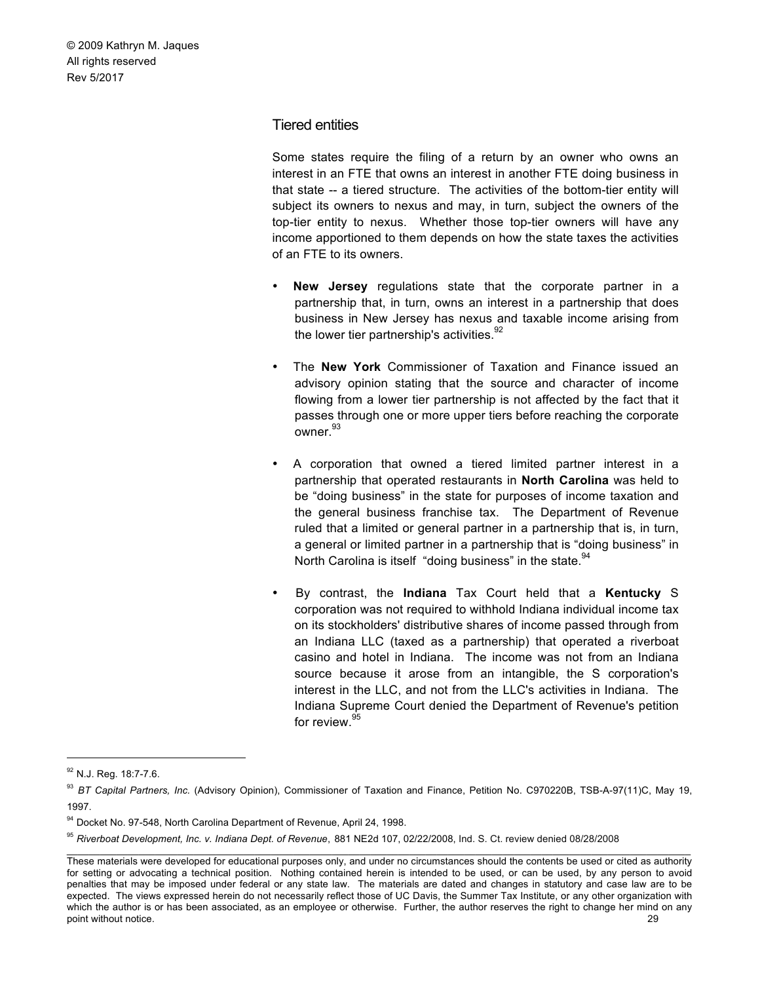#### Tiered entities

Some states require the filing of a return by an owner who owns an interest in an FTE that owns an interest in another FTE doing business in that state -- a tiered structure. The activities of the bottom-tier entity will subject its owners to nexus and may, in turn, subject the owners of the top-tier entity to nexus. Whether those top-tier owners will have any income apportioned to them depends on how the state taxes the activities of an FTE to its owners.

- **New Jersey** regulations state that the corporate partner in a partnership that, in turn, owns an interest in a partnership that does business in New Jersey has nexus and taxable income arising from the lower tier partnership's activities. $92$
- The **New York** Commissioner of Taxation and Finance issued an advisory opinion stating that the source and character of income flowing from a lower tier partnership is not affected by the fact that it passes through one or more upper tiers before reaching the corporate owner.<sup>93</sup>
- A corporation that owned a tiered limited partner interest in a partnership that operated restaurants in **North Carolina** was held to be "doing business" in the state for purposes of income taxation and the general business franchise tax. The Department of Revenue ruled that a limited or general partner in a partnership that is, in turn, a general or limited partner in a partnership that is "doing business" in North Carolina is itself "doing business" in the state.<sup>94</sup>
- By contrast, the **Indiana** Tax Court held that a **Kentucky** S corporation was not required to withhold Indiana individual income tax on its stockholders' distributive shares of income passed through from an Indiana LLC (taxed as a partnership) that operated a riverboat casino and hotel in Indiana. The income was not from an Indiana source because it arose from an intangible, the S corporation's interest in the LLC, and not from the LLC's activities in Indiana. The Indiana Supreme Court denied the Department of Revenue's petition for review.<sup>95</sup>

<sup>&</sup>lt;sup>92</sup> N.J. Reg. 18:7-7.6.

<sup>93</sup> *BT Capital Partners, Inc.* (Advisory Opinion), Commissioner of Taxation and Finance, Petition No. C970220B, TSB-A-97(11)C, May 19, 1997.

<sup>94</sup> Docket No. 97-548, North Carolina Department of Revenue, April 24, 1998.

<sup>95</sup> *Riverboat Development, Inc. v. Indiana Dept. of Revenue*, 881 NE2d 107, 02/22/2008, Ind. S. Ct. review denied 08/28/2008

These materials were developed for educational purposes only, and under no circumstances should the contents be used or cited as authority for setting or advocating a technical position. Nothing contained herein is intended to be used, or can be used, by any person to avoid penalties that may be imposed under federal or any state law. The materials are dated and changes in statutory and case law are to be expected. The views expressed herein do not necessarily reflect those of UC Davis, the Summer Tax Institute, or any other organization with which the author is or has been associated, as an employee or otherwise. Further, the author reserves the right to change her mind on any point without notice. 29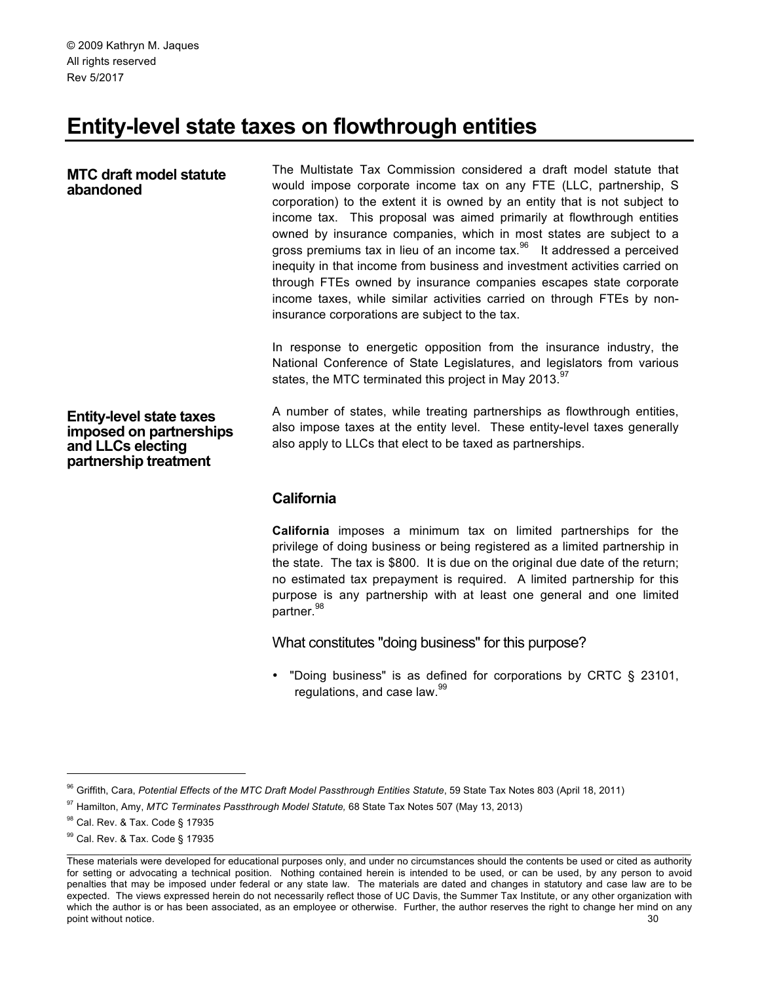# **Entity-level state taxes on flowthrough entities**

#### **MTC draft model statute abandoned**

The Multistate Tax Commission considered a draft model statute that would impose corporate income tax on any FTE (LLC, partnership, S corporation) to the extent it is owned by an entity that is not subject to income tax. This proposal was aimed primarily at flowthrough entities owned by insurance companies, which in most states are subject to a gross premiums tax in lieu of an income  $\text{tax.}^{\text{96}}$  It addressed a perceived inequity in that income from business and investment activities carried on through FTEs owned by insurance companies escapes state corporate income taxes, while similar activities carried on through FTEs by noninsurance corporations are subject to the tax.

In response to energetic opposition from the insurance industry, the National Conference of State Legislatures, and legislators from various states, the MTC terminated this project in May 2013. $97$ 

**Entity-level state taxes imposed on partnerships and LLCs electing partnership treatment** 

A number of states, while treating partnerships as flowthrough entities, also impose taxes at the entity level. These entity-level taxes generally also apply to LLCs that elect to be taxed as partnerships.

# **California**

**California** imposes a minimum tax on limited partnerships for the privilege of doing business or being registered as a limited partnership in the state. The tax is \$800. It is due on the original due date of the return; no estimated tax prepayment is required. A limited partnership for this purpose is any partnership with at least one general and one limited partner.<sup>98</sup>

What constitutes "doing business" for this purpose?

• "Doing business" is as defined for corporations by CRTC § 23101, regulations, and case law.<sup>99</sup>

<sup>&</sup>lt;sup>96</sup> Griffith, Cara, Potential Effects of the MTC Draft Model Passthrough Entities Statute, 59 State Tax Notes 803 (April 18, 2011)

<sup>97</sup> Hamilton, Amy, *MTC Terminates Passthrough Model Statute,* 68 State Tax Notes 507 (May 13, 2013)

<sup>98</sup> Cal. Rev. & Tax. Code § 17935

<sup>99</sup> Cal. Rev. & Tax. Code § 17935

These materials were developed for educational purposes only, and under no circumstances should the contents be used or cited as authority for setting or advocating a technical position. Nothing contained herein is intended to be used, or can be used, by any person to avoid penalties that may be imposed under federal or any state law. The materials are dated and changes in statutory and case law are to be expected. The views expressed herein do not necessarily reflect those of UC Davis, the Summer Tax Institute, or any other organization with which the author is or has been associated, as an employee or otherwise. Further, the author reserves the right to change her mind on any point without notice. 30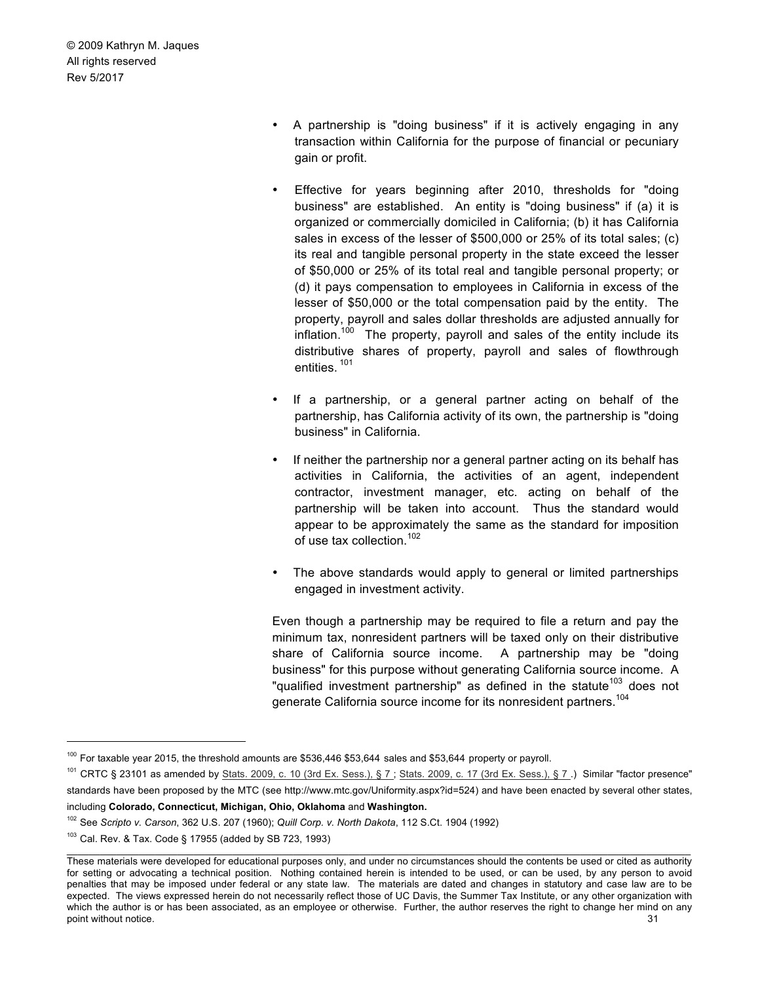- A partnership is "doing business" if it is actively engaging in any transaction within California for the purpose of financial or pecuniary gain or profit.
- Effective for years beginning after 2010, thresholds for "doing business" are established. An entity is "doing business" if (a) it is organized or commercially domiciled in California; (b) it has California sales in excess of the lesser of \$500,000 or 25% of its total sales; (c) its real and tangible personal property in the state exceed the lesser of \$50,000 or 25% of its total real and tangible personal property; or (d) it pays compensation to employees in California in excess of the lesser of \$50,000 or the total compensation paid by the entity. The property, payroll and sales dollar thresholds are adjusted annually for inflation.<sup>100</sup> The property, payroll and sales of the entity include its distributive shares of property, payroll and sales of flowthrough entities. <sup>101</sup>
- If a partnership, or a general partner acting on behalf of the partnership, has California activity of its own, the partnership is "doing business" in California.
- If neither the partnership nor a general partner acting on its behalf has activities in California, the activities of an agent, independent contractor, investment manager, etc. acting on behalf of the partnership will be taken into account. Thus the standard would appear to be approximately the same as the standard for imposition of use tax collection.<sup>102</sup>
- The above standards would apply to general or limited partnerships engaged in investment activity.

Even though a partnership may be required to file a return and pay the minimum tax, nonresident partners will be taxed only on their distributive share of California source income. A partnership may be "doing business" for this purpose without generating California source income. A "qualified investment partnership" as defined in the statute<sup>103</sup> does not generate California source income for its nonresident partners.<sup>104</sup>

 $100$  For taxable year 2015, the threshold amounts are \$536,446 \$53,644 sales and \$53,644 property or payroll.

<sup>&</sup>lt;sup>101</sup> CRTC § 23101 as amended by Stats. 2009, c. 10 (3rd Ex. Sess.), § 7; Stats. 2009, c. 17 (3rd Ex. Sess.), § 7.) Similar "factor presence" standards have been proposed by the MTC (see http://www.mtc.gov/Uniformity.aspx?id=524) and have been enacted by several other states, including **Colorado, Connecticut, Michigan, Ohio, Oklahoma** and **Washington.**

<sup>102</sup> See *Scripto v. Carson*, 362 U.S. 207 (1960); *Quill Corp. v. North Dakota*, 112 S.Ct. 1904 (1992)

<sup>103</sup> Cal. Rev. & Tax. Code § 17955 (added by SB 723, 1993)

These materials were developed for educational purposes only, and under no circumstances should the contents be used or cited as authority for setting or advocating a technical position. Nothing contained herein is intended to be used, or can be used, by any person to avoid penalties that may be imposed under federal or any state law. The materials are dated and changes in statutory and case law are to be expected. The views expressed herein do not necessarily reflect those of UC Davis, the Summer Tax Institute, or any other organization with which the author is or has been associated, as an employee or otherwise. Further, the author reserves the right to change her mind on any point without notice. 31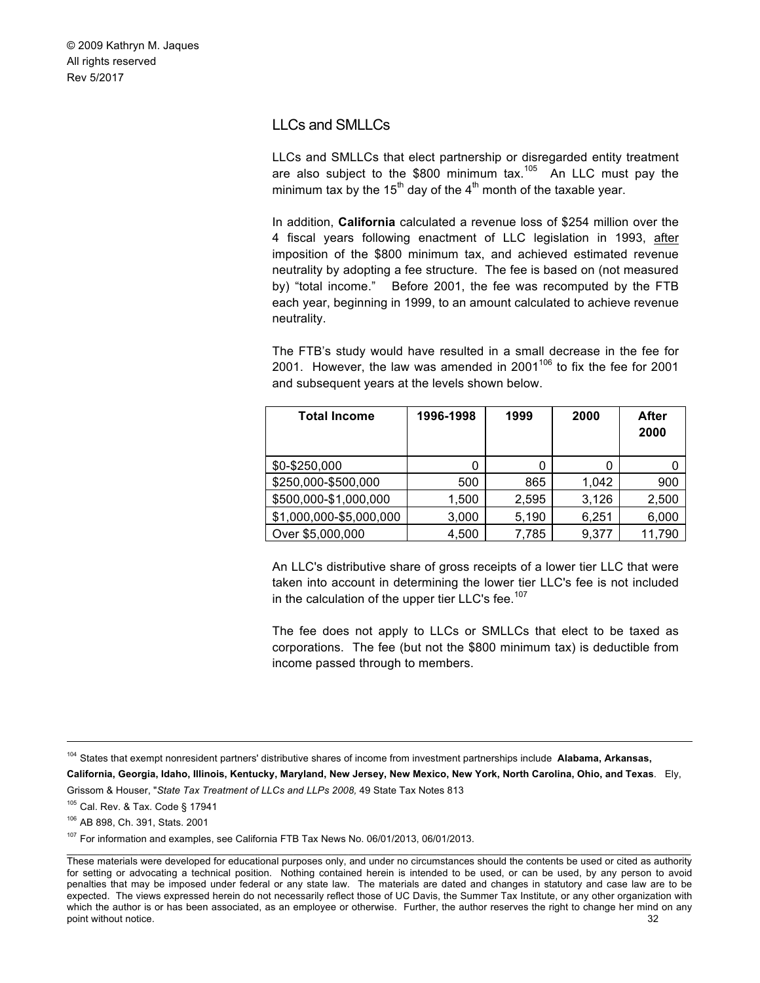# LLCs and SMLLCs

LLCs and SMLLCs that elect partnership or disregarded entity treatment are also subject to the \$800 minimum tax.<sup>105</sup> An LLC must pay the minimum tax by the 15<sup>th</sup> day of the 4<sup>th</sup> month of the taxable year.

In addition, **California** calculated a revenue loss of \$254 million over the 4 fiscal years following enactment of LLC legislation in 1993, after imposition of the \$800 minimum tax, and achieved estimated revenue neutrality by adopting a fee structure. The fee is based on (not measured by) "total income." Before 2001, the fee was recomputed by the FTB each year, beginning in 1999, to an amount calculated to achieve revenue neutrality.

The FTB's study would have resulted in a small decrease in the fee for 2001. However, the law was amended in 2001 $106$  to fix the fee for 2001 and subsequent years at the levels shown below.

| <b>Total Income</b>     | 1996-1998 | 1999  | 2000  | After<br>2000 |
|-------------------------|-----------|-------|-------|---------------|
| \$0-\$250,000           | 0         | 0     | 0     |               |
| \$250,000-\$500,000     | 500       | 865   | 1.042 | 900           |
| \$500,000-\$1,000,000   | 1,500     | 2,595 | 3,126 | 2,500         |
| \$1,000,000-\$5,000,000 | 3,000     | 5,190 | 6,251 | 6,000         |
| Over \$5,000,000        | 4,500     | 7,785 | 9,377 | 11,790        |

An LLC's distributive share of gross receipts of a lower tier LLC that were taken into account in determining the lower tier LLC's fee is not included in the calculation of the upper tier LLC's fee.<sup>107</sup>

The fee does not apply to LLCs or SMLLCs that elect to be taxed as corporations. The fee (but not the \$800 minimum tax) is deductible from income passed through to members.

**California, Georgia, Idaho, Illinois, Kentucky, Maryland, New Jersey, New Mexico, New York, North Carolina, Ohio, and Texas**. Ely, Grissom & Houser, "*State Tax Treatment of LLCs and LLPs 2008,* 49 State Tax Notes 813

<sup>105</sup> Cal. Rev. & Tax. Code § 17941

<sup>107</sup> For information and examples, see California FTB Tax News No. 06/01/2013, 06/01/2013.

 <sup>104</sup> States that exempt nonresident partners' distributive shares of income from investment partnerships include **Alabama, Arkansas,** 

<sup>106</sup> AB 898, Ch. 391, Stats. 2001

These materials were developed for educational purposes only, and under no circumstances should the contents be used or cited as authority for setting or advocating a technical position. Nothing contained herein is intended to be used, or can be used, by any person to avoid penalties that may be imposed under federal or any state law. The materials are dated and changes in statutory and case law are to be expected. The views expressed herein do not necessarily reflect those of UC Davis, the Summer Tax Institute, or any other organization with which the author is or has been associated, as an employee or otherwise. Further, the author reserves the right to change her mind on any point without notice. 32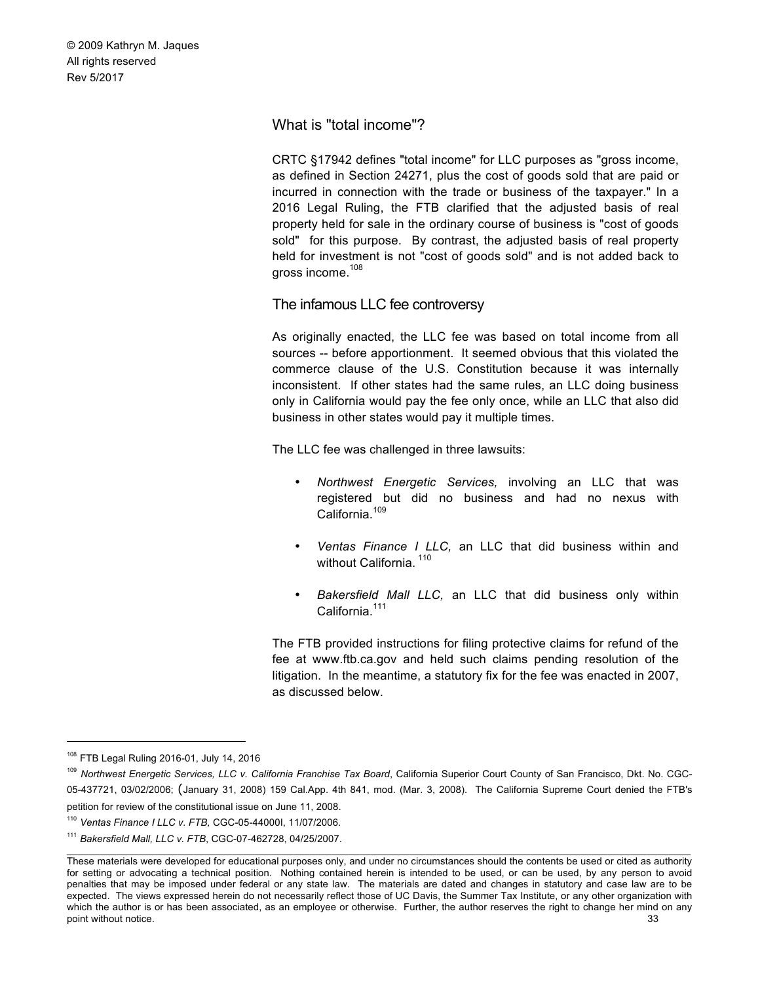What is "total income"?

CRTC §17942 defines "total income" for LLC purposes as "gross income, as defined in Section 24271, plus the cost of goods sold that are paid or incurred in connection with the trade or business of the taxpayer." In a 2016 Legal Ruling, the FTB clarified that the adjusted basis of real property held for sale in the ordinary course of business is "cost of goods sold" for this purpose. By contrast, the adjusted basis of real property held for investment is not "cost of goods sold" and is not added back to gross income.108

The infamous LLC fee controversy

As originally enacted, the LLC fee was based on total income from all sources -- before apportionment. It seemed obvious that this violated the commerce clause of the U.S. Constitution because it was internally inconsistent. If other states had the same rules, an LLC doing business only in California would pay the fee only once, while an LLC that also did business in other states would pay it multiple times.

The LLC fee was challenged in three lawsuits:

- *Northwest Energetic Services,* involving an LLC that was registered but did no business and had no nexus with California.<sup>109</sup>
- *Ventas Finance I LLC,* an LLC that did business within and without California.<sup>110</sup>
- *Bakersfield Mall LLC,* an LLC that did business only within California<sup>111</sup>

The FTB provided instructions for filing protective claims for refund of the fee at www.ftb.ca.gov and held such claims pending resolution of the litigation. In the meantime, a statutory fix for the fee was enacted in 2007, as discussed below.

 <sup>108</sup> FTB Legal Ruling 2016-01, July 14, 2016

<sup>109</sup> *Northwest Energetic Services, LLC v. California Franchise Tax Board*, California Superior Court County of San Francisco, Dkt. No. CGC-05-437721, 03/02/2006; (January 31, 2008) 159 Cal.App. 4th 841, mod. (Mar. 3, 2008). The California Supreme Court denied the FTB's petition for review of the constitutional issue on June 11, 2008.

<sup>110</sup> *Ventas Finance I LLC v. FTB,* CGC-05-44000I, 11/07/2006.

<sup>111</sup> *Bakersfield Mall, LLC v. FTB*, CGC-07-462728, 04/25/2007.

These materials were developed for educational purposes only, and under no circumstances should the contents be used or cited as authority for setting or advocating a technical position. Nothing contained herein is intended to be used, or can be used, by any person to avoid penalties that may be imposed under federal or any state law. The materials are dated and changes in statutory and case law are to be expected. The views expressed herein do not necessarily reflect those of UC Davis, the Summer Tax Institute, or any other organization with which the author is or has been associated, as an employee or otherwise. Further, the author reserves the right to change her mind on any point without notice. 33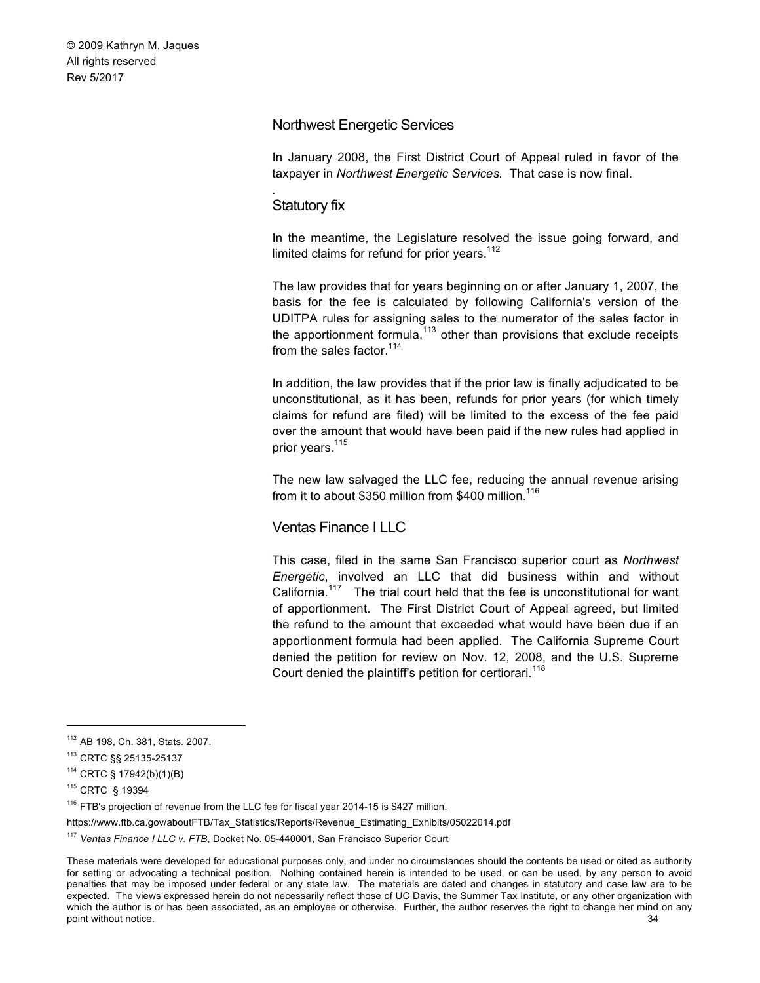#### Northwest Energetic Services

In January 2008, the First District Court of Appeal ruled in favor of the taxpayer in *Northwest Energetic Services.* That case is now final.

#### Statutory fix

*.*

In the meantime, the Legislature resolved the issue going forward, and limited claims for refund for prior years.<sup>112</sup>

The law provides that for years beginning on or after January 1, 2007, the basis for the fee is calculated by following California's version of the UDITPA rules for assigning sales to the numerator of the sales factor in the apportionment formula, $113$  other than provisions that exclude receipts from the sales factor.  $114$ 

In addition, the law provides that if the prior law is finally adjudicated to be unconstitutional, as it has been, refunds for prior years (for which timely claims for refund are filed) will be limited to the excess of the fee paid over the amount that would have been paid if the new rules had applied in prior years.<sup>115</sup>

The new law salvaged the LLC fee, reducing the annual revenue arising from it to about \$350 million from \$400 million.<sup>116</sup>

# Ventas Finance I LLC

This case, filed in the same San Francisco superior court as *Northwest Energetic*, involved an LLC that did business within and without California.<sup>117</sup> The trial court held that the fee is unconstitutional for want of apportionment. The First District Court of Appeal agreed, but limited the refund to the amount that exceeded what would have been due if an apportionment formula had been applied. The California Supreme Court denied the petition for review on Nov. 12, 2008, and the U.S. Supreme Court denied the plaintiff's petition for certiorari.<sup>118</sup>

 $116$  FTB's projection of revenue from the LLC fee for fiscal year 2014-15 is \$427 million.

https://www.ftb.ca.gov/aboutFTB/Tax\_Statistics/Reports/Revenue\_Estimating\_Exhibits/05022014.pdf

 <sup>112</sup> AB 198, Ch. 381, Stats. 2007.

<sup>113</sup> CRTC §§ 25135-25137

<sup>114</sup> CRTC § 17942(b)(1)(B)

<sup>115</sup> CRTC § 19394

<sup>117</sup> *Ventas Finance I LLC v. FTB*, Docket No. 05-440001, San Francisco Superior Court

These materials were developed for educational purposes only, and under no circumstances should the contents be used or cited as authority for setting or advocating a technical position. Nothing contained herein is intended to be used, or can be used, by any person to avoid penalties that may be imposed under federal or any state law. The materials are dated and changes in statutory and case law are to be expected. The views expressed herein do not necessarily reflect those of UC Davis, the Summer Tax Institute, or any other organization with which the author is or has been associated, as an employee or otherwise. Further, the author reserves the right to change her mind on any point without notice. 34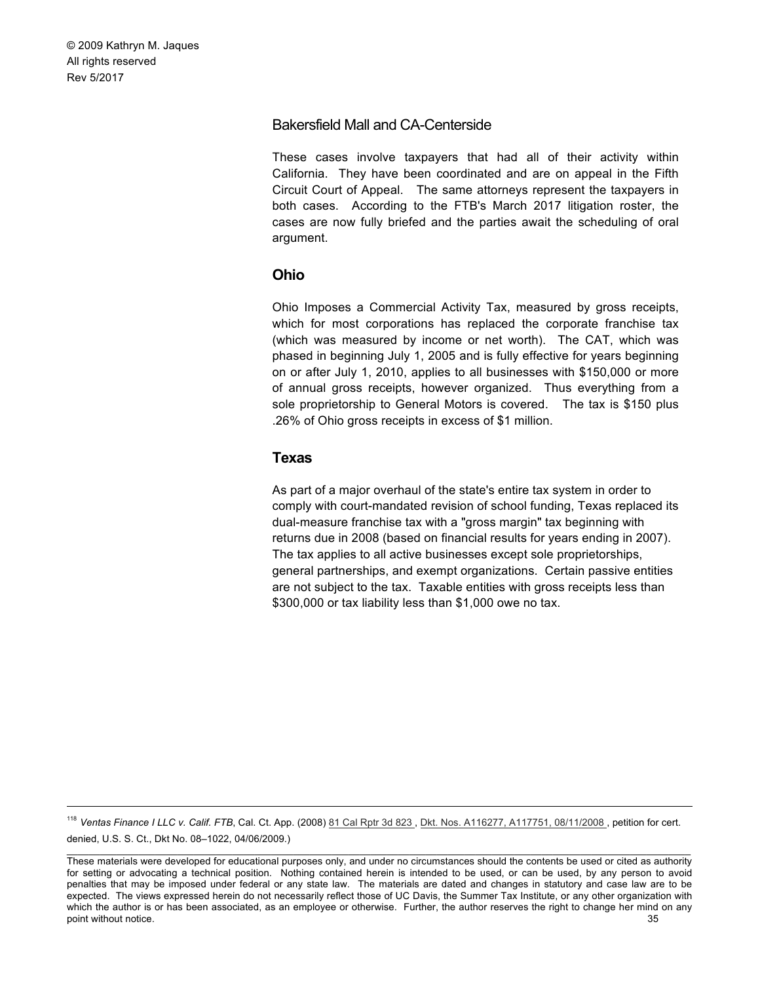# Bakersfield Mall and CA-Centerside

These cases involve taxpayers that had all of their activity within California. They have been coordinated and are on appeal in the Fifth Circuit Court of Appeal. The same attorneys represent the taxpayers in both cases. According to the FTB's March 2017 litigation roster, the cases are now fully briefed and the parties await the scheduling of oral argument.

# **Ohio**

Ohio Imposes a Commercial Activity Tax, measured by gross receipts, which for most corporations has replaced the corporate franchise tax (which was measured by income or net worth). The CAT, which was phased in beginning July 1, 2005 and is fully effective for years beginning on or after July 1, 2010, applies to all businesses with \$150,000 or more of annual gross receipts, however organized. Thus everything from a sole proprietorship to General Motors is covered. The tax is \$150 plus .26% of Ohio gross receipts in excess of \$1 million.

# **Texas**

As part of a major overhaul of the state's entire tax system in order to comply with court-mandated revision of school funding, Texas replaced its dual-measure franchise tax with a "gross margin" tax beginning with returns due in 2008 (based on financial results for years ending in 2007). The tax applies to all active businesses except sole proprietorships, general partnerships, and exempt organizations. Certain passive entities are not subject to the tax. Taxable entities with gross receipts less than \$300,000 or tax liability less than \$1,000 owe no tax.

<sup>118</sup> Ventas Finance I LLC v. Calif. FTB, Cal. Ct. App. (2008) 81 Cal Rptr 3d 823, Dkt. Nos. A116277, A117751, 08/11/2008, petition for cert. denied, U.S. S. Ct., Dkt No. 08–1022, 04/06/2009.)

 $\_$  , and the state of the state of the state of the state of the state of the state of the state of the state of the state of the state of the state of the state of the state of the state of the state of the state of the These materials were developed for educational purposes only, and under no circumstances should the contents be used or cited as authority for setting or advocating a technical position. Nothing contained herein is intended to be used, or can be used, by any person to avoid penalties that may be imposed under federal or any state law. The materials are dated and changes in statutory and case law are to be expected. The views expressed herein do not necessarily reflect those of UC Davis, the Summer Tax Institute, or any other organization with which the author is or has been associated, as an employee or otherwise. Further, the author reserves the right to change her mind on any point without notice. 35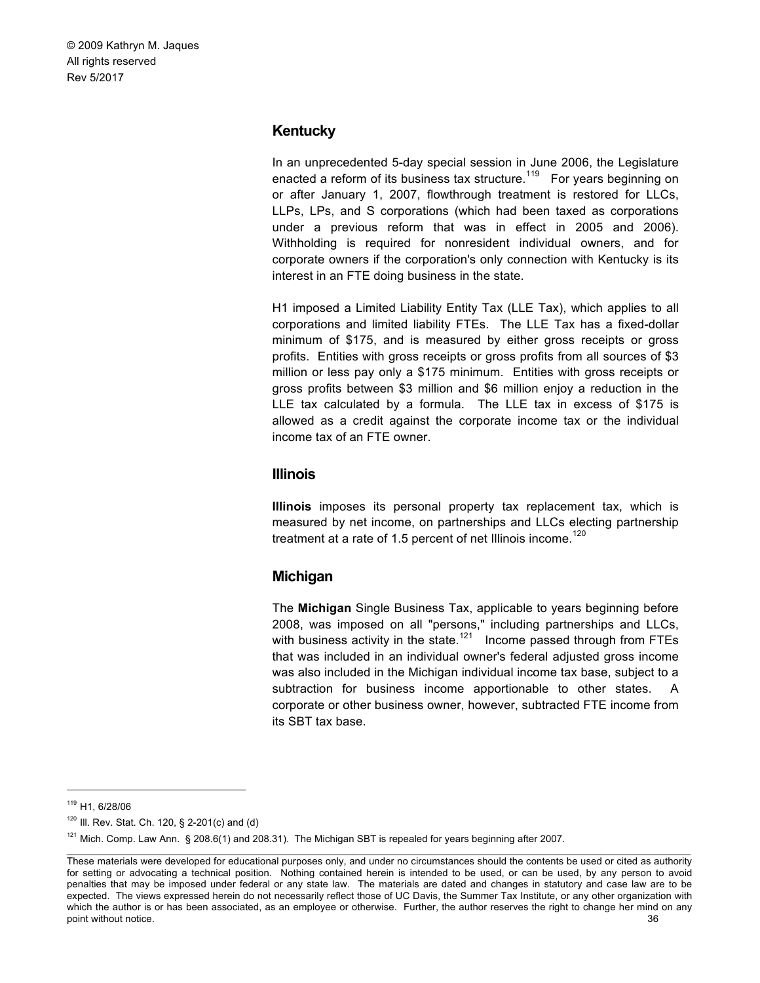#### **Kentucky**

In an unprecedented 5-day special session in June 2006, the Legislature enacted a reform of its business tax structure.<sup>119</sup> For years beginning on or after January 1, 2007, flowthrough treatment is restored for LLCs, LLPs, LPs, and S corporations (which had been taxed as corporations under a previous reform that was in effect in 2005 and 2006). Withholding is required for nonresident individual owners, and for corporate owners if the corporation's only connection with Kentucky is its interest in an FTE doing business in the state.

H1 imposed a Limited Liability Entity Tax (LLE Tax), which applies to all corporations and limited liability FTEs. The LLE Tax has a fixed-dollar minimum of \$175, and is measured by either gross receipts or gross profits. Entities with gross receipts or gross profits from all sources of \$3 million or less pay only a \$175 minimum. Entities with gross receipts or gross profits between \$3 million and \$6 million enjoy a reduction in the LLE tax calculated by a formula. The LLE tax in excess of \$175 is allowed as a credit against the corporate income tax or the individual income tax of an FTE owner.

#### **Illinois**

**Illinois** imposes its personal property tax replacement tax, which is measured by net income, on partnerships and LLCs electing partnership treatment at a rate of 1.5 percent of net Illinois income.<sup>120</sup>

#### **Michigan**

The **Michigan** Single Business Tax, applicable to years beginning before 2008, was imposed on all "persons," including partnerships and LLCs, with business activity in the state.<sup>121</sup> Income passed through from FTEs that was included in an individual owner's federal adjusted gross income was also included in the Michigan individual income tax base, subject to a subtraction for business income apportionable to other states. A corporate or other business owner, however, subtracted FTE income from its SBT tax base.

 <sup>119</sup> H1, 6/28/06

 $120$  III. Rev. Stat. Ch. 120, § 2-201(c) and (d)

 $121$  Mich. Comp. Law Ann. § 208.6(1) and 208.31). The Michigan SBT is repealed for years beginning after 2007.

These materials were developed for educational purposes only, and under no circumstances should the contents be used or cited as authority for setting or advocating a technical position. Nothing contained herein is intended to be used, or can be used, by any person to avoid penalties that may be imposed under federal or any state law. The materials are dated and changes in statutory and case law are to be expected. The views expressed herein do not necessarily reflect those of UC Davis, the Summer Tax Institute, or any other organization with which the author is or has been associated, as an employee or otherwise. Further, the author reserves the right to change her mind on any point without notice. 36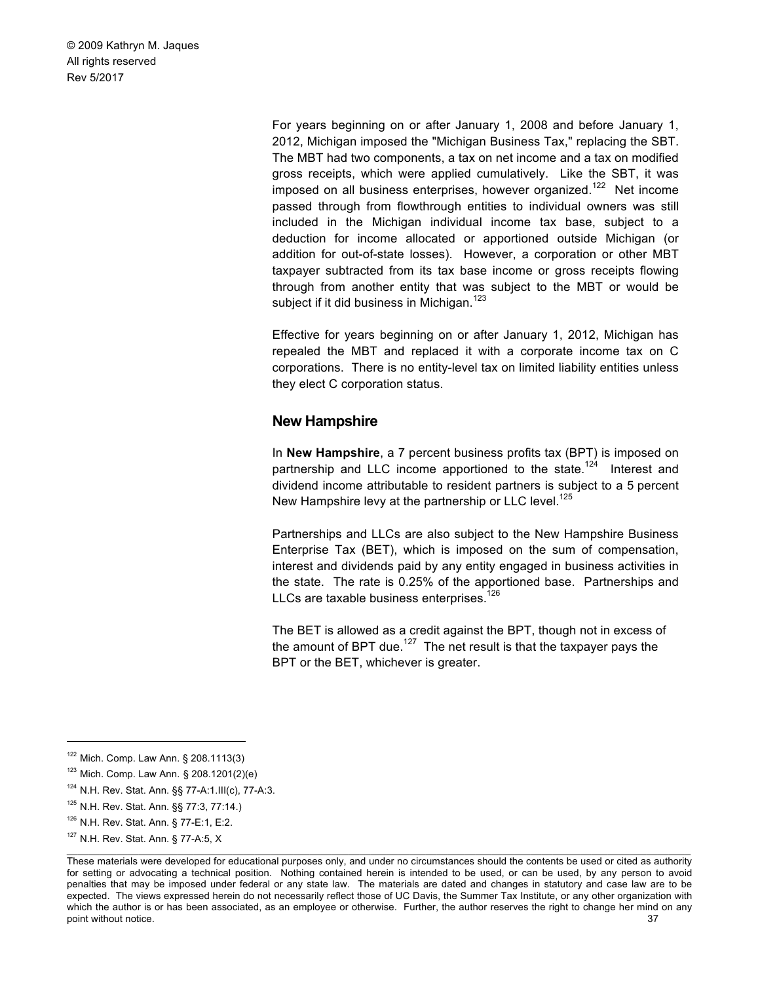> For years beginning on or after January 1, 2008 and before January 1, 2012, Michigan imposed the "Michigan Business Tax," replacing the SBT. The MBT had two components, a tax on net income and a tax on modified gross receipts, which were applied cumulatively. Like the SBT, it was imposed on all business enterprises, however organized.<sup>122</sup> Net income passed through from flowthrough entities to individual owners was still included in the Michigan individual income tax base, subject to a deduction for income allocated or apportioned outside Michigan (or addition for out-of-state losses). However, a corporation or other MBT taxpayer subtracted from its tax base income or gross receipts flowing through from another entity that was subject to the MBT or would be subject if it did business in Michigan.<sup>123</sup>

> Effective for years beginning on or after January 1, 2012, Michigan has repealed the MBT and replaced it with a corporate income tax on C corporations. There is no entity-level tax on limited liability entities unless they elect C corporation status.

#### **New Hampshire**

In **New Hampshire**, a 7 percent business profits tax (BPT) is imposed on partnership and LLC income apportioned to the state.<sup>124</sup> Interest and dividend income attributable to resident partners is subject to a 5 percent New Hampshire levy at the partnership or LLC level.<sup>125</sup>

Partnerships and LLCs are also subject to the New Hampshire Business Enterprise Tax (BET), which is imposed on the sum of compensation, interest and dividends paid by any entity engaged in business activities in the state. The rate is 0.25% of the apportioned base. Partnerships and LLCs are taxable business enterprises.<sup>126</sup>

The BET is allowed as a credit against the BPT, though not in excess of the amount of BPT due.<sup>127</sup> The net result is that the taxpayer pays the BPT or the BET, whichever is greater.

 $122$  Mich. Comp. Law Ann. § 208.1113(3)

<sup>123</sup> Mich. Comp. Law Ann. § 208.1201(2)(e)

<sup>124</sup> N.H. Rev. Stat. Ann. §§ 77-A:1.III(c), 77-A:3.

<sup>125</sup> N.H. Rev. Stat. Ann. §§ 77:3, 77:14.)

<sup>126</sup> N.H. Rev. Stat. Ann. § 77-E:1, E:2.

 $\_$  , and the state of the state of the state of the state of the state of the state of the state of the state of the state of the state of the state of the state of the state of the state of the state of the state of the <sup>127</sup> N.H. Rev. Stat. Ann. § 77-A:5, X

These materials were developed for educational purposes only, and under no circumstances should the contents be used or cited as authority for setting or advocating a technical position. Nothing contained herein is intended to be used, or can be used, by any person to avoid penalties that may be imposed under federal or any state law. The materials are dated and changes in statutory and case law are to be expected. The views expressed herein do not necessarily reflect those of UC Davis, the Summer Tax Institute, or any other organization with which the author is or has been associated, as an employee or otherwise. Further, the author reserves the right to change her mind on any point without notice. 37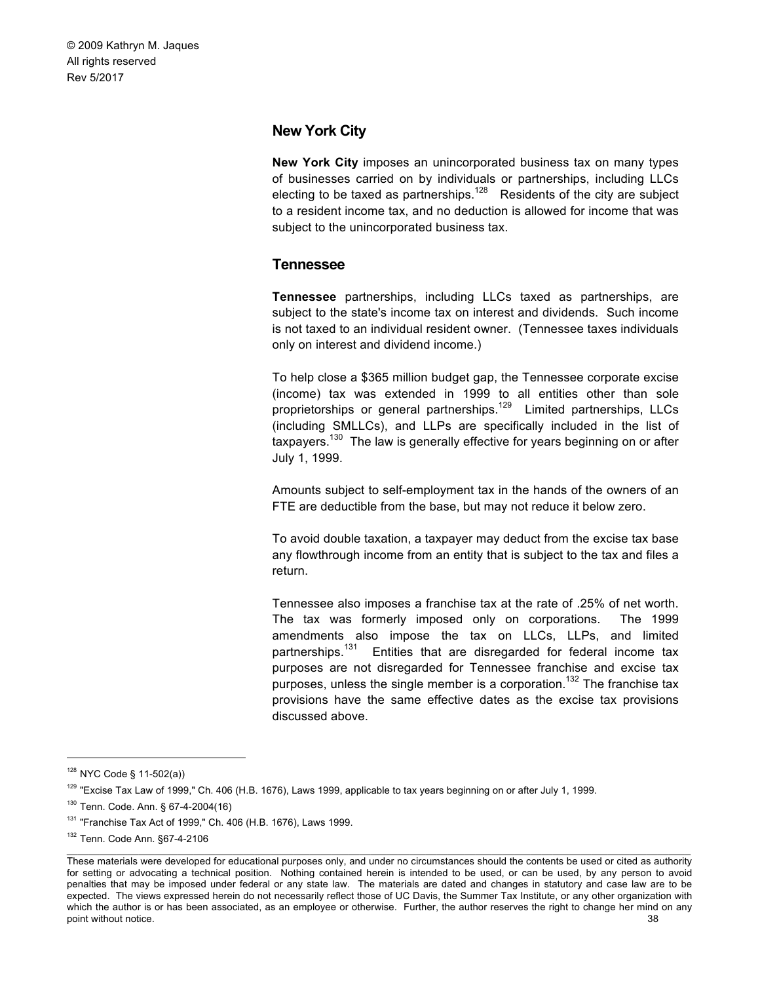# **New York City**

**New York City** imposes an unincorporated business tax on many types of businesses carried on by individuals or partnerships, including LLCs electing to be taxed as partnerships.<sup>128</sup> Residents of the city are subject to a resident income tax, and no deduction is allowed for income that was subject to the unincorporated business tax.

# **Tennessee**

**Tennessee** partnerships, including LLCs taxed as partnerships, are subject to the state's income tax on interest and dividends. Such income is not taxed to an individual resident owner. (Tennessee taxes individuals only on interest and dividend income.)

To help close a \$365 million budget gap, the Tennessee corporate excise (income) tax was extended in 1999 to all entities other than sole proprietorships or general partnerships.<sup>129</sup> Limited partnerships, LLCs (including SMLLCs), and LLPs are specifically included in the list of taxpayers.<sup>130</sup> The law is generally effective for years beginning on or after July 1, 1999.

Amounts subject to self-employment tax in the hands of the owners of an FTE are deductible from the base, but may not reduce it below zero.

To avoid double taxation, a taxpayer may deduct from the excise tax base any flowthrough income from an entity that is subject to the tax and files a return.

Tennessee also imposes a franchise tax at the rate of .25% of net worth. The tax was formerly imposed only on corporations. The 1999 amendments also impose the tax on LLCs, LLPs, and limited partnerships.<sup>131</sup> Entities that are disregarded for federal income tax purposes are not disregarded for Tennessee franchise and excise tax purposes, unless the single member is a corporation.<sup>132</sup> The franchise tax provisions have the same effective dates as the excise tax provisions discussed above.

 <sup>128</sup> NYC Code § 11-502(a))

<sup>&</sup>lt;sup>129</sup> "Excise Tax Law of 1999," Ch. 406 (H.B. 1676), Laws 1999, applicable to tax years beginning on or after July 1, 1999.

<sup>130</sup> Tenn. Code. Ann. § 67-4-2004(16)

<sup>131</sup> "Franchise Tax Act of 1999," Ch. 406 (H.B. 1676), Laws 1999.

<sup>132</sup> Tenn. Code Ann. §67-4-2106

These materials were developed for educational purposes only, and under no circumstances should the contents be used or cited as authority for setting or advocating a technical position. Nothing contained herein is intended to be used, or can be used, by any person to avoid penalties that may be imposed under federal or any state law. The materials are dated and changes in statutory and case law are to be expected. The views expressed herein do not necessarily reflect those of UC Davis, the Summer Tax Institute, or any other organization with which the author is or has been associated, as an employee or otherwise. Further, the author reserves the right to change her mind on any point without notice. 38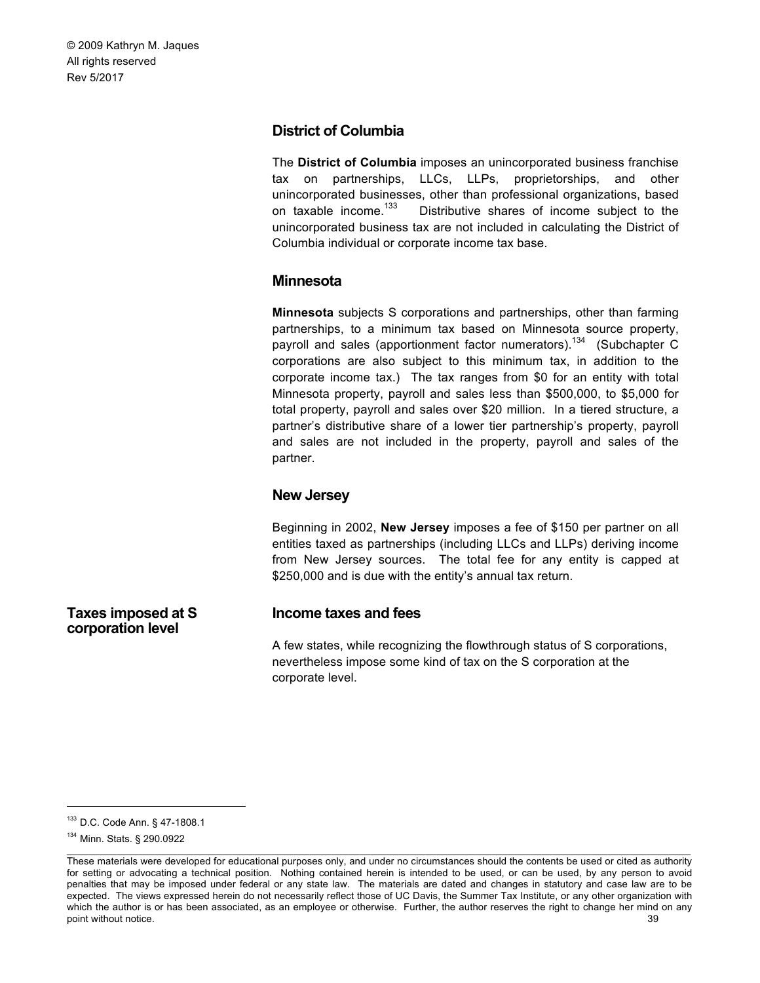# **District of Columbia**

The **District of Columbia** imposes an unincorporated business franchise tax on partnerships, LLCs, LLPs, proprietorships, and other unincorporated businesses, other than professional organizations, based<br>on taxable income.<sup>133</sup> Distributive shares of income subject to the Distributive shares of income subject to the unincorporated business tax are not included in calculating the District of Columbia individual or corporate income tax base.

# **Minnesota**

**Minnesota** subjects S corporations and partnerships, other than farming partnerships, to a minimum tax based on Minnesota source property, payroll and sales (apportionment factor numerators).<sup>134</sup> (Subchapter C corporations are also subject to this minimum tax, in addition to the corporate income tax.) The tax ranges from \$0 for an entity with total Minnesota property, payroll and sales less than \$500,000, to \$5,000 for total property, payroll and sales over \$20 million. In a tiered structure, a partner's distributive share of a lower tier partnership's property, payroll and sales are not included in the property, payroll and sales of the partner.

### **New Jersey**

Beginning in 2002, **New Jersey** imposes a fee of \$150 per partner on all entities taxed as partnerships (including LLCs and LLPs) deriving income from New Jersey sources. The total fee for any entity is capped at \$250,000 and is due with the entity's annual tax return.

# **Income taxes and fees**

A few states, while recognizing the flowthrough status of S corporations, nevertheless impose some kind of tax on the S corporation at the corporate level.

**Taxes imposed at S corporation level**

 <sup>133</sup> D.C. Code Ann. § 47-1808.1

 $\_$  , and the state of the state of the state of the state of the state of the state of the state of the state of the state of the state of the state of the state of the state of the state of the state of the state of the <sup>134</sup> Minn. Stats. § 290.0922

These materials were developed for educational purposes only, and under no circumstances should the contents be used or cited as authority for setting or advocating a technical position. Nothing contained herein is intended to be used, or can be used, by any person to avoid penalties that may be imposed under federal or any state law. The materials are dated and changes in statutory and case law are to be expected. The views expressed herein do not necessarily reflect those of UC Davis, the Summer Tax Institute, or any other organization with which the author is or has been associated, as an employee or otherwise. Further, the author reserves the right to change her mind on any point without notice. 39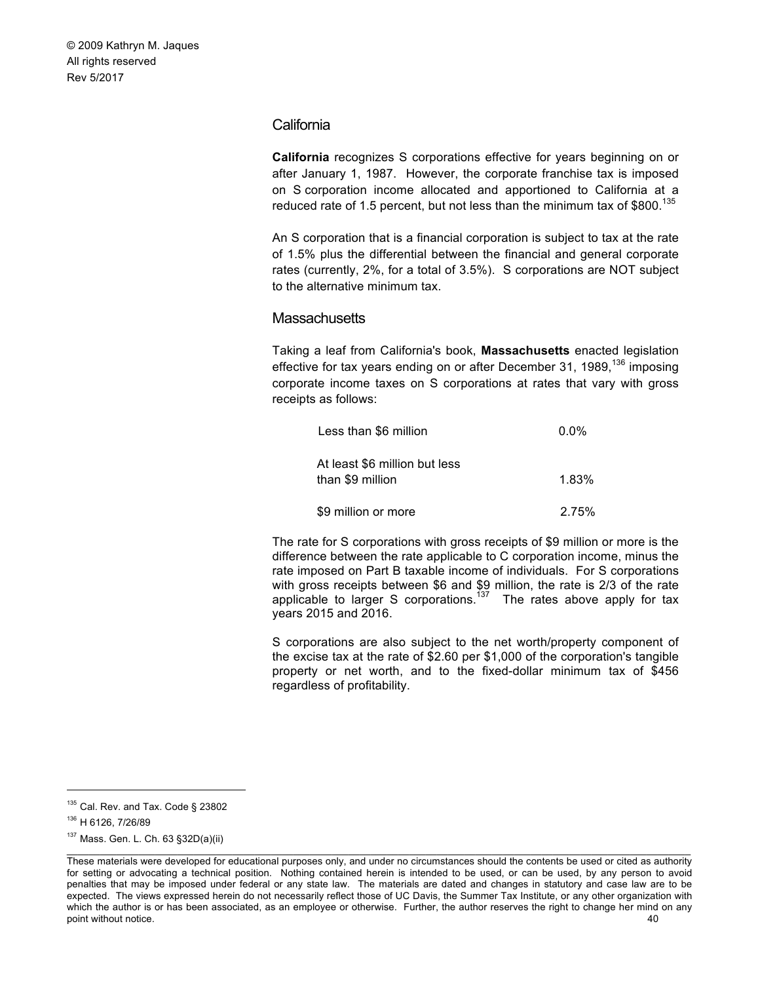### **California**

**California** recognizes S corporations effective for years beginning on or after January 1, 1987. However, the corporate franchise tax is imposed on S corporation income allocated and apportioned to California at a reduced rate of 1.5 percent, but not less than the minimum tax of  $$800.<sup>135</sup>$ 

An S corporation that is a financial corporation is subject to tax at the rate of 1.5% plus the differential between the financial and general corporate rates (currently, 2%, for a total of 3.5%). S corporations are NOT subject to the alternative minimum tax.

#### **Massachusetts**

Taking a leaf from California's book, **Massachusetts** enacted legislation effective for tax years ending on or after December 31, 1989,  $136$  imposing corporate income taxes on S corporations at rates that vary with gross receipts as follows:

| Less than \$6 million                             | $0.0\%$  |
|---------------------------------------------------|----------|
| At least \$6 million but less<br>than \$9 million | $1.83\%$ |
| \$9 million or more                               | 2.75%    |

The rate for S corporations with gross receipts of \$9 million or more is the difference between the rate applicable to C corporation income, minus the rate imposed on Part B taxable income of individuals. For S corporations with gross receipts between \$6 and \$9 million, the rate is 2/3 of the rate applicable to larger S corporations.<sup>137</sup> The rates above apply for tax years 2015 and 2016.

S corporations are also subject to the net worth/property component of the excise tax at the rate of \$2.60 per \$1,000 of the corporation's tangible property or net worth, and to the fixed-dollar minimum tax of \$456 regardless of profitability.

<sup>&</sup>lt;sup>135</sup> Cal. Rev. and Tax. Code § 23802

<sup>136</sup> H 6126, 7/26/89

<sup>137</sup> Mass. Gen. L. Ch. 63 §32D(a)(ii)

 $\_$  , and the state of the state of the state of the state of the state of the state of the state of the state of the state of the state of the state of the state of the state of the state of the state of the state of the These materials were developed for educational purposes only, and under no circumstances should the contents be used or cited as authority for setting or advocating a technical position. Nothing contained herein is intended to be used, or can be used, by any person to avoid penalties that may be imposed under federal or any state law. The materials are dated and changes in statutory and case law are to be expected. The views expressed herein do not necessarily reflect those of UC Davis, the Summer Tax Institute, or any other organization with which the author is or has been associated, as an employee or otherwise. Further, the author reserves the right to change her mind on any point without notice. 40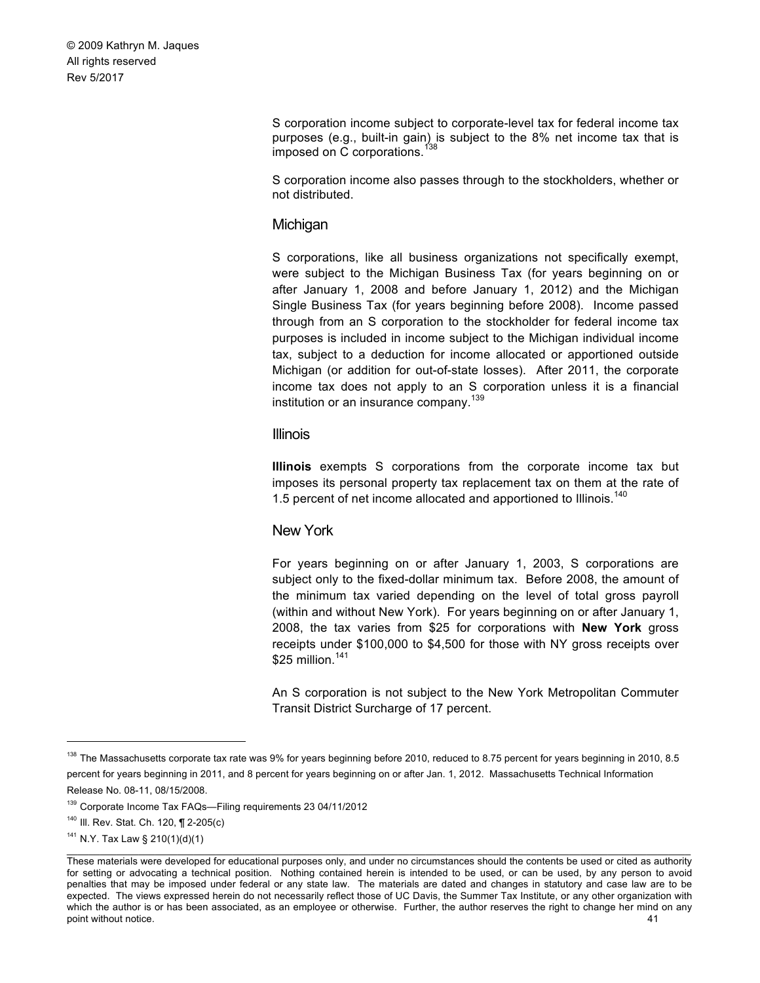> S corporation income subject to corporate-level tax for federal income tax purposes (e.g., built-in gain) is subject to the 8% net income tax that is imposed on C corporations.<sup>138</sup>

> S corporation income also passes through to the stockholders, whether or not distributed.

#### **Michigan**

S corporations, like all business organizations not specifically exempt, were subject to the Michigan Business Tax (for years beginning on or after January 1, 2008 and before January 1, 2012) and the Michigan Single Business Tax (for years beginning before 2008). Income passed through from an S corporation to the stockholder for federal income tax purposes is included in income subject to the Michigan individual income tax, subject to a deduction for income allocated or apportioned outside Michigan (or addition for out-of-state losses). After 2011, the corporate income tax does not apply to an S corporation unless it is a financial institution or an insurance company.<sup>139</sup>

#### Illinois

**Illinois** exempts S corporations from the corporate income tax but imposes its personal property tax replacement tax on them at the rate of 1.5 percent of net income allocated and apportioned to Illinois.<sup>140</sup>

### New York

For years beginning on or after January 1, 2003, S corporations are subject only to the fixed-dollar minimum tax. Before 2008, the amount of the minimum tax varied depending on the level of total gross payroll (within and without New York). For years beginning on or after January 1, 2008, the tax varies from \$25 for corporations with **New York** gross receipts under \$100,000 to \$4,500 for those with NY gross receipts over \$25 million. $141$ 

An S corporation is not subject to the New York Metropolitan Commuter Transit District Surcharge of 17 percent.

<sup>&</sup>lt;sup>138</sup> The Massachusetts corporate tax rate was 9% for years beginning before 2010, reduced to 8.75 percent for years beginning in 2010, 8.5 percent for years beginning in 2011, and 8 percent for years beginning on or after Jan. 1, 2012. Massachusetts Technical Information Release No. 08-11, 08/15/2008.

<sup>139</sup> Corporate Income Tax FAQs—Filing requirements 23 04/11/2012

<sup>&</sup>lt;sup>140</sup> III. Rev. Stat. Ch. 120, ¶ 2-205(c)

<sup>141</sup> N.Y. Tax Law § 210(1)(d)(1)

These materials were developed for educational purposes only, and under no circumstances should the contents be used or cited as authority for setting or advocating a technical position. Nothing contained herein is intended to be used, or can be used, by any person to avoid penalties that may be imposed under federal or any state law. The materials are dated and changes in statutory and case law are to be expected. The views expressed herein do not necessarily reflect those of UC Davis, the Summer Tax Institute, or any other organization with which the author is or has been associated, as an employee or otherwise. Further, the author reserves the right to change her mind on any point without notice. 41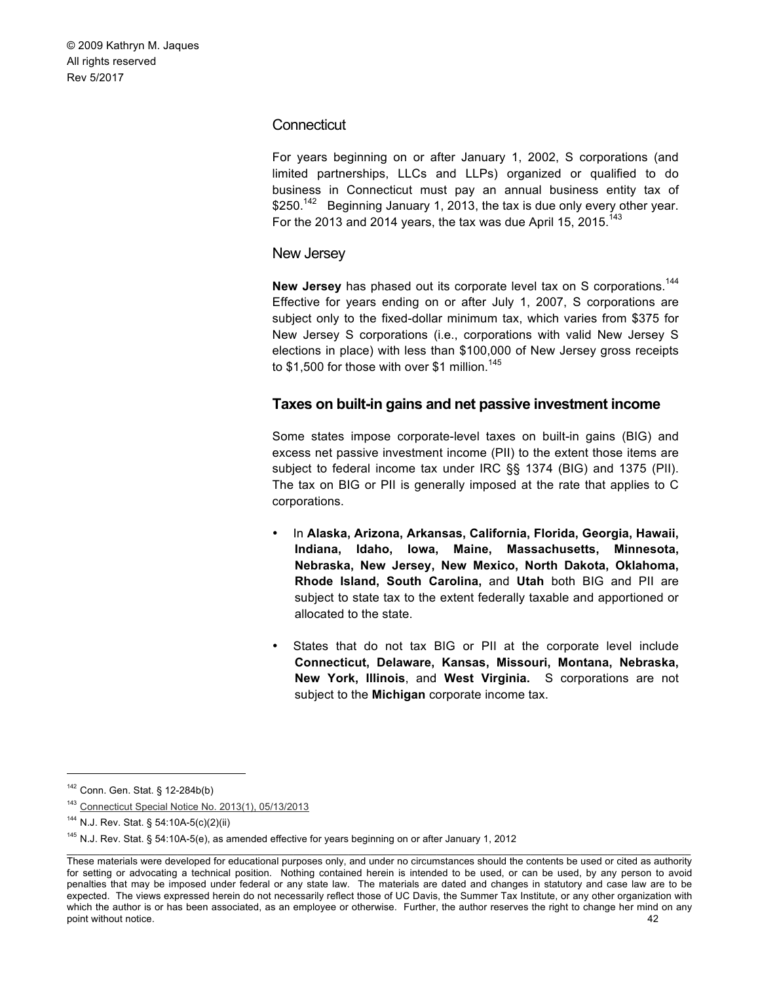# **Connecticut**

For years beginning on or after January 1, 2002, S corporations (and limited partnerships, LLCs and LLPs) organized or qualified to do business in Connecticut must pay an annual business entity tax of \$250.<sup>142</sup> Beginning January 1, 2013, the tax is due only every other year. For the 2013 and 2014 years, the tax was due April 15, 2015.<sup>143</sup>

### New Jersey

**New Jersey** has phased out its corporate level tax on S corporations.<sup>144</sup> Effective for years ending on or after July 1, 2007, S corporations are subject only to the fixed-dollar minimum tax, which varies from \$375 for New Jersey S corporations (i.e., corporations with valid New Jersey S elections in place) with less than \$100,000 of New Jersey gross receipts to \$1,500 for those with over \$1 million.<sup>145</sup>

# **Taxes on built-in gains and net passive investment income**

Some states impose corporate-level taxes on built-in gains (BIG) and excess net passive investment income (PII) to the extent those items are subject to federal income tax under IRC §§ 1374 (BIG) and 1375 (PII). The tax on BIG or PII is generally imposed at the rate that applies to C corporations.

- In **Alaska, Arizona, Arkansas, California, Florida, Georgia, Hawaii, Indiana, Idaho, Iowa, Maine, Massachusetts, Minnesota, Nebraska, New Jersey, New Mexico, North Dakota, Oklahoma, Rhode Island, South Carolina,** and **Utah** both BIG and PII are subject to state tax to the extent federally taxable and apportioned or allocated to the state.
- States that do not tax BIG or PII at the corporate level include **Connecticut, Delaware, Kansas, Missouri, Montana, Nebraska, New York, Illinois**, and **West Virginia.** S corporations are not subject to the **Michigan** corporate income tax.

 <sup>142</sup> Conn. Gen. Stat. § 12-284b(b)

<sup>143</sup> Connecticut Special Notice No. 2013(1), 05/13/2013

<sup>144</sup> N.J. Rev. Stat. § 54:10A-5(c)(2)(ii)

<sup>145</sup> N.J. Rev. Stat. § 54:10A-5(e), as amended effective for years beginning on or after January 1, 2012

These materials were developed for educational purposes only, and under no circumstances should the contents be used or cited as authority for setting or advocating a technical position. Nothing contained herein is intended to be used, or can be used, by any person to avoid penalties that may be imposed under federal or any state law. The materials are dated and changes in statutory and case law are to be expected. The views expressed herein do not necessarily reflect those of UC Davis, the Summer Tax Institute, or any other organization with which the author is or has been associated, as an employee or otherwise. Further, the author reserves the right to change her mind on any point without notice. 42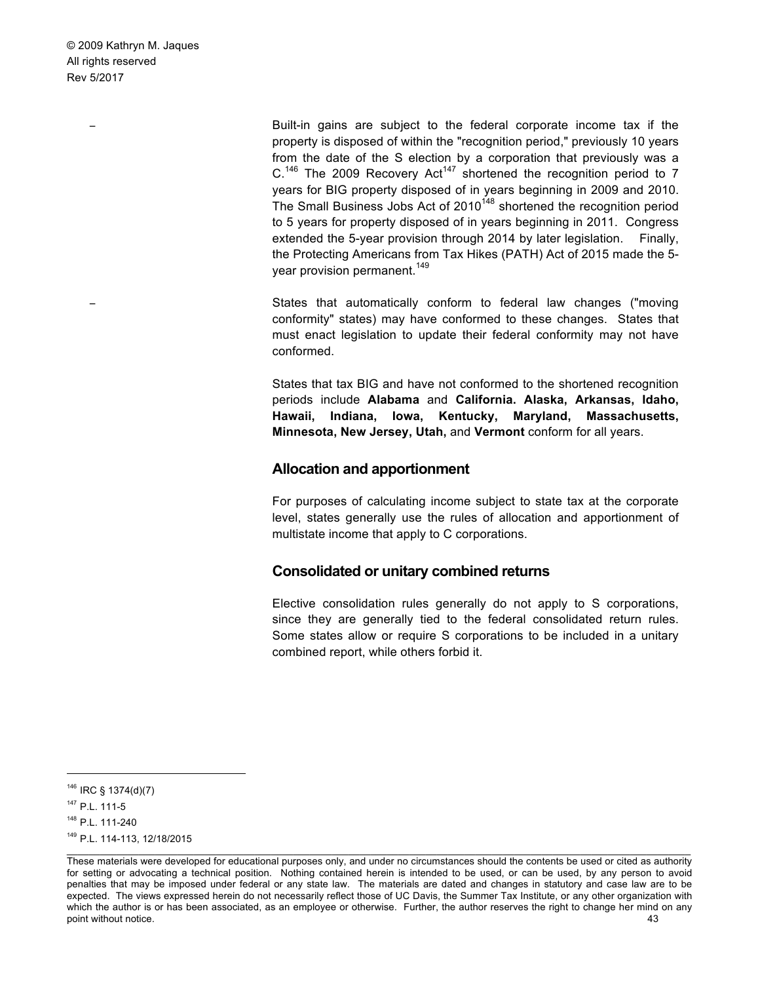> Built-in gains are subject to the federal corporate income tax if the property is disposed of within the "recognition period," previously 10 years from the date of the S election by a corporation that previously was a  $C^{146}$  The 2009 Recovery Act<sup>147</sup> shortened the recognition period to 7 years for BIG property disposed of in years beginning in 2009 and 2010. The Small Business Jobs Act of  $2010^{148}$  shortened the recognition period to 5 years for property disposed of in years beginning in 2011. Congress extended the 5-year provision through 2014 by later legislation. Finally, the Protecting Americans from Tax Hikes (PATH) Act of 2015 made the 5 year provision permanent.<sup>149</sup>

> States that automatically conform to federal law changes ("moving conformity" states) may have conformed to these changes. States that must enact legislation to update their federal conformity may not have conformed.

> States that tax BIG and have not conformed to the shortened recognition periods include **Alabama** and **California. Alaska, Arkansas, Idaho, Hawaii, Indiana, Iowa, Kentucky, Maryland, Massachusetts, Minnesota, New Jersey, Utah,** and **Vermont** conform for all years.

### **Allocation and apportionment**

For purposes of calculating income subject to state tax at the corporate level, states generally use the rules of allocation and apportionment of multistate income that apply to C corporations.

# **Consolidated or unitary combined returns**

Elective consolidation rules generally do not apply to S corporations, since they are generally tied to the federal consolidated return rules. Some states allow or require S corporations to be included in a unitary combined report, while others forbid it.

 <sup>146</sup> IRC § 1374(d)(7)

<sup>147</sup> P.L. 111-5

<sup>148</sup> P.L. 111-240

<sup>149</sup> P.L. 114-113, 12/18/2015

These materials were developed for educational purposes only, and under no circumstances should the contents be used or cited as authority for setting or advocating a technical position. Nothing contained herein is intended to be used, or can be used, by any person to avoid penalties that may be imposed under federal or any state law. The materials are dated and changes in statutory and case law are to be expected. The views expressed herein do not necessarily reflect those of UC Davis, the Summer Tax Institute, or any other organization with which the author is or has been associated, as an employee or otherwise. Further, the author reserves the right to change her mind on any point without notice. 43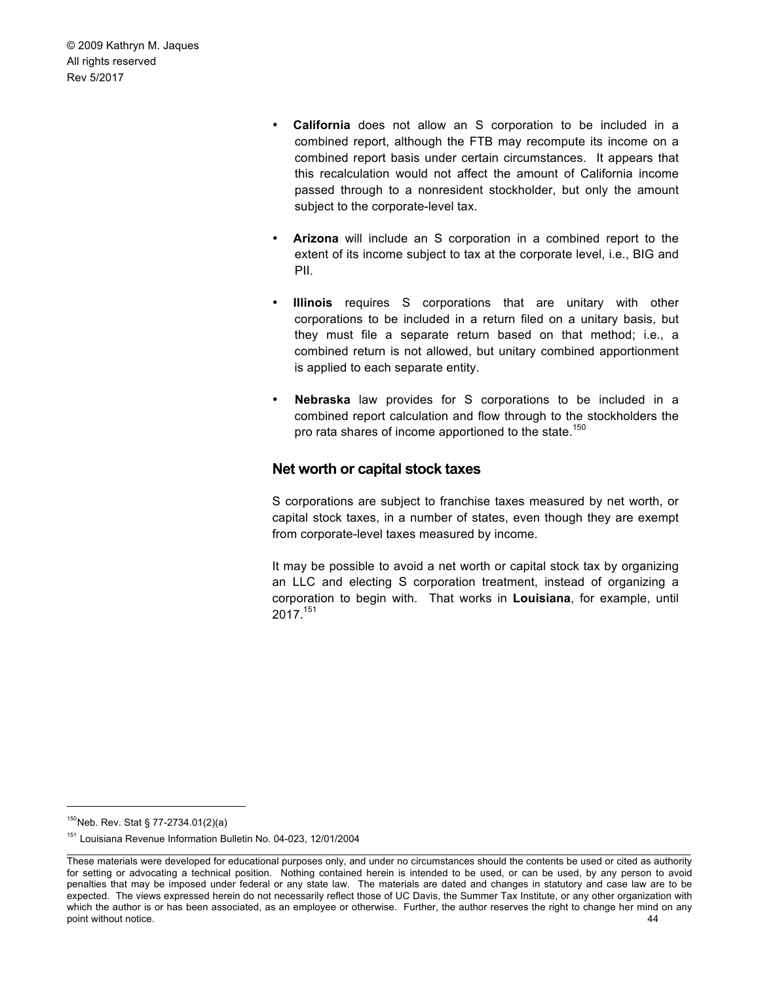- **California** does not allow an S corporation to be included in a combined report, although the FTB may recompute its income on a combined report basis under certain circumstances. It appears that this recalculation would not affect the amount of California income passed through to a nonresident stockholder, but only the amount subject to the corporate-level tax.
- **Arizona** will include an S corporation in a combined report to the extent of its income subject to tax at the corporate level, i.e., BIG and PII.
- **Illinois** requires S corporations that are unitary with other corporations to be included in a return filed on a unitary basis, but they must file a separate return based on that method; i.e., a combined return is not allowed, but unitary combined apportionment is applied to each separate entity.
- **Nebraska** law provides for S corporations to be included in a combined report calculation and flow through to the stockholders the pro rata shares of income apportioned to the state.<sup>150</sup>

# **Net worth or capital stock taxes**

S corporations are subject to franchise taxes measured by net worth, or capital stock taxes, in a number of states, even though they are exempt from corporate-level taxes measured by income.

It may be possible to avoid a net worth or capital stock tax by organizing an LLC and electing S corporation treatment, instead of organizing a corporation to begin with. That works in **Louisiana**, for example, until 2017. 151

<sup>150</sup> Neb. Rev. Stat § 77-2734.01(2)(a)

<sup>151</sup> Louisiana Revenue Information Bulletin No. 04-023, 12/01/2004

These materials were developed for educational purposes only, and under no circumstances should the contents be used or cited as authority for setting or advocating a technical position. Nothing contained herein is intended to be used, or can be used, by any person to avoid penalties that may be imposed under federal or any state law. The materials are dated and changes in statutory and case law are to be expected. The views expressed herein do not necessarily reflect those of UC Davis, the Summer Tax Institute, or any other organization with which the author is or has been associated, as an employee or otherwise. Further, the author reserves the right to change her mind on any point without notice. 44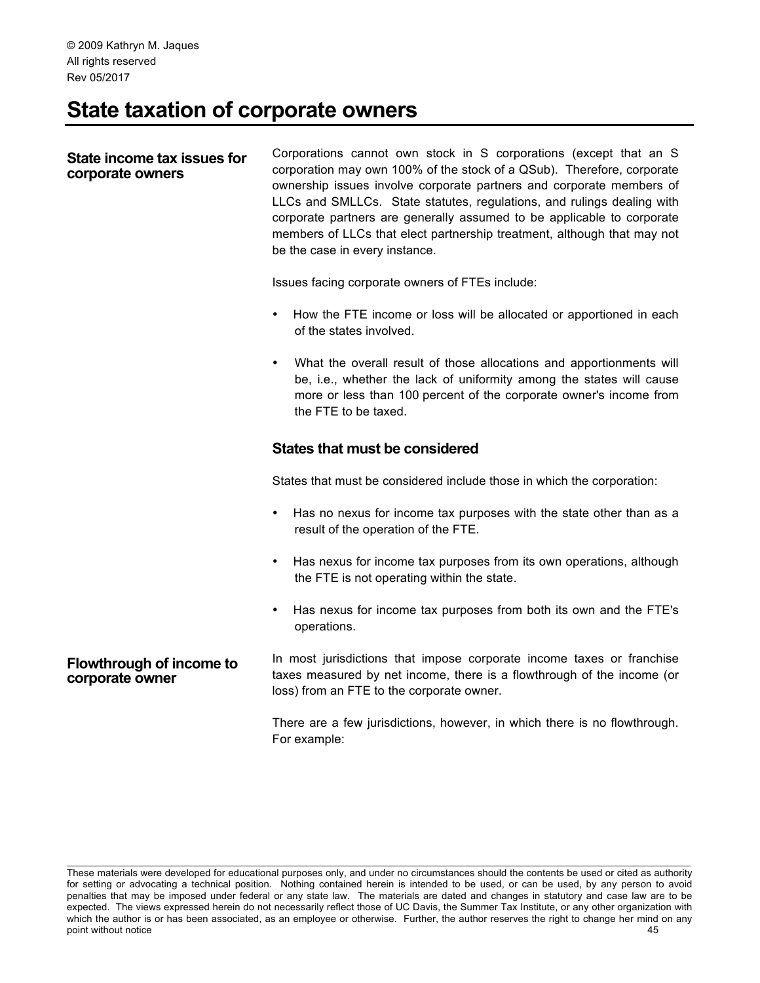# **State taxation of corporate owners**

#### **State income tax issues for corporate owners**

Corporations cannot own stock in S corporations (except that an S corporation may own 100% of the stock of a QSub). Therefore, corporate ownership issues involve corporate partners and corporate members of LLCs and SMLLCs. State statutes, regulations, and rulings dealing with corporate partners are generally assumed to be applicable to corporate members of LLCs that elect partnership treatment, although that may not be the case in every instance.

Issues facing corporate owners of FTEs include:

- How the FTE income or loss will be allocated or apportioned in each of the states involved.
- What the overall result of those allocations and apportionments will be, i.e., whether the lack of uniformity among the states will cause more or less than 100 percent of the corporate owner's income from the FTE to be taxed.

# **States that must be considered**

States that must be considered include those in which the corporation:

- Has no nexus for income tax purposes with the state other than as a result of the operation of the FTE.
- Has nexus for income tax purposes from its own operations, although the FTE is not operating within the state.
- Has nexus for income tax purposes from both its own and the FTE's operations.

#### **Flowthrough of income to corporate owner** In most jurisdictions that impose corporate income taxes or franchise taxes measured by net income, there is a flowthrough of the income (or loss) from an FTE to the corporate owner.

There are a few jurisdictions, however, in which there is no flowthrough. For example:

These materials were developed for educational purposes only, and under no circumstances should the contents be used or cited as authority for setting or advocating a technical position. Nothing contained herein is intended to be used, or can be used, by any person to avoid penalties that may be imposed under federal or any state law. The materials are dated and changes in statutory and case law are to be expected. The views expressed herein do not necessarily reflect those of UC Davis, the Summer Tax Institute, or any other organization with which the author is or has been associated, as an employee or otherwise. Further, the author reserves the right to change her mind on any point without notice 45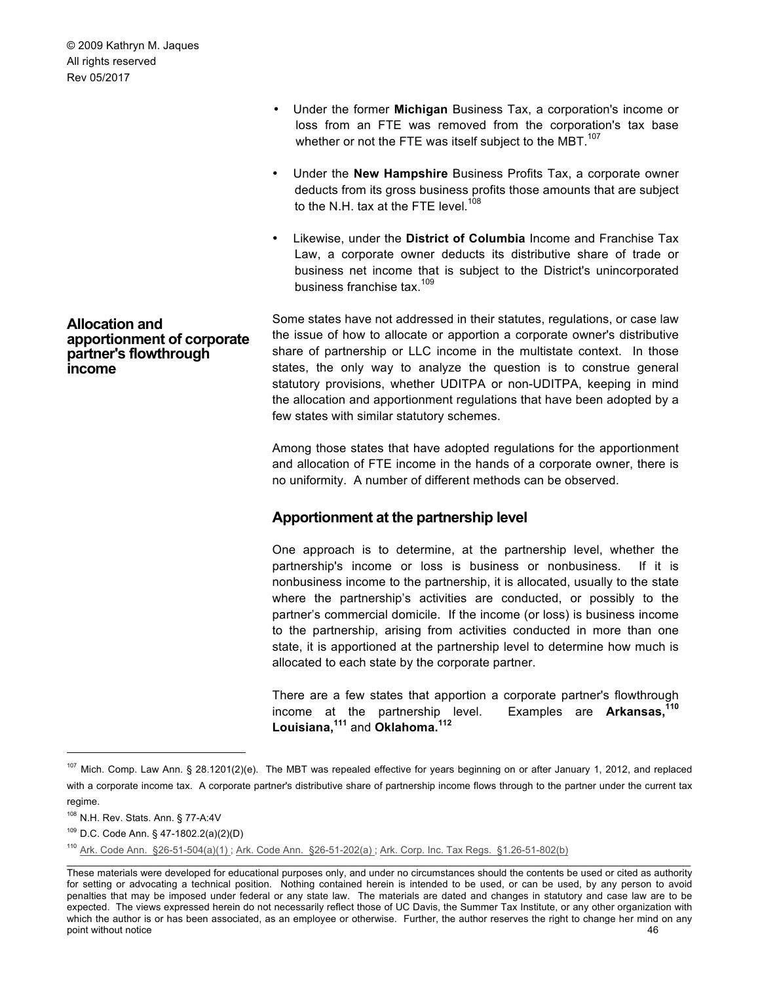**Allocation and apportionment of corporate partner's flowthrough income**

- Under the former **Michigan** Business Tax, a corporation's income or loss from an FTE was removed from the corporation's tax base whether or not the FTE was itself subject to the MBT. $107$
- Under the **New Hampshire** Business Profits Tax, a corporate owner deducts from its gross business profits those amounts that are subject to the N.H. tax at the FTE level.<sup>108</sup>
- Likewise, under the **District of Columbia** Income and Franchise Tax Law, a corporate owner deducts its distributive share of trade or business net income that is subject to the District's unincorporated business franchise tax.<sup>109</sup>

Some states have not addressed in their statutes, regulations, or case law the issue of how to allocate or apportion a corporate owner's distributive share of partnership or LLC income in the multistate context. In those states, the only way to analyze the question is to construe general statutory provisions, whether UDITPA or non-UDITPA, keeping in mind the allocation and apportionment regulations that have been adopted by a few states with similar statutory schemes.

Among those states that have adopted regulations for the apportionment and allocation of FTE income in the hands of a corporate owner, there is no uniformity. A number of different methods can be observed.

# **Apportionment at the partnership level**

One approach is to determine, at the partnership level, whether the partnership's income or loss is business or nonbusiness. If it is nonbusiness income to the partnership, it is allocated, usually to the state where the partnership's activities are conducted, or possibly to the partner's commercial domicile. If the income (or loss) is business income to the partnership, arising from activities conducted in more than one state, it is apportioned at the partnership level to determine how much is allocated to each state by the corporate partner.

There are a few states that apportion a corporate partner's flowthrough income at the partnership level. Examples are **Arkansas,<sup>110</sup> Louisiana,<sup>111</sup>** and **Oklahoma.<sup>112</sup>**

<sup>107</sup> Mich. Comp. Law Ann. § 28.1201(2)(e). The MBT was repealed effective for years beginning on or after January 1, 2012, and replaced with a corporate income tax. A corporate partner's distributive share of partnership income flows through to the partner under the current tax regime.

<sup>108</sup> N.H. Rev. Stats. Ann. § 77-A:4V

<sup>109</sup> D.C. Code Ann. § 47-1802.2(a)(2)(D)

<sup>110</sup> Ark. Code Ann. §26-51-504(a)(1) ; Ark. Code Ann. §26-51-202(a) ; Ark. Corp. Inc. Tax Regs. §1.26-51-802(b)

These materials were developed for educational purposes only, and under no circumstances should the contents be used or cited as authority for setting or advocating a technical position. Nothing contained herein is intended to be used, or can be used, by any person to avoid penalties that may be imposed under federal or any state law. The materials are dated and changes in statutory and case law are to be expected. The views expressed herein do not necessarily reflect those of UC Davis, the Summer Tax Institute, or any other organization with which the author is or has been associated, as an employee or otherwise. Further, the author reserves the right to change her mind on any point without notice 46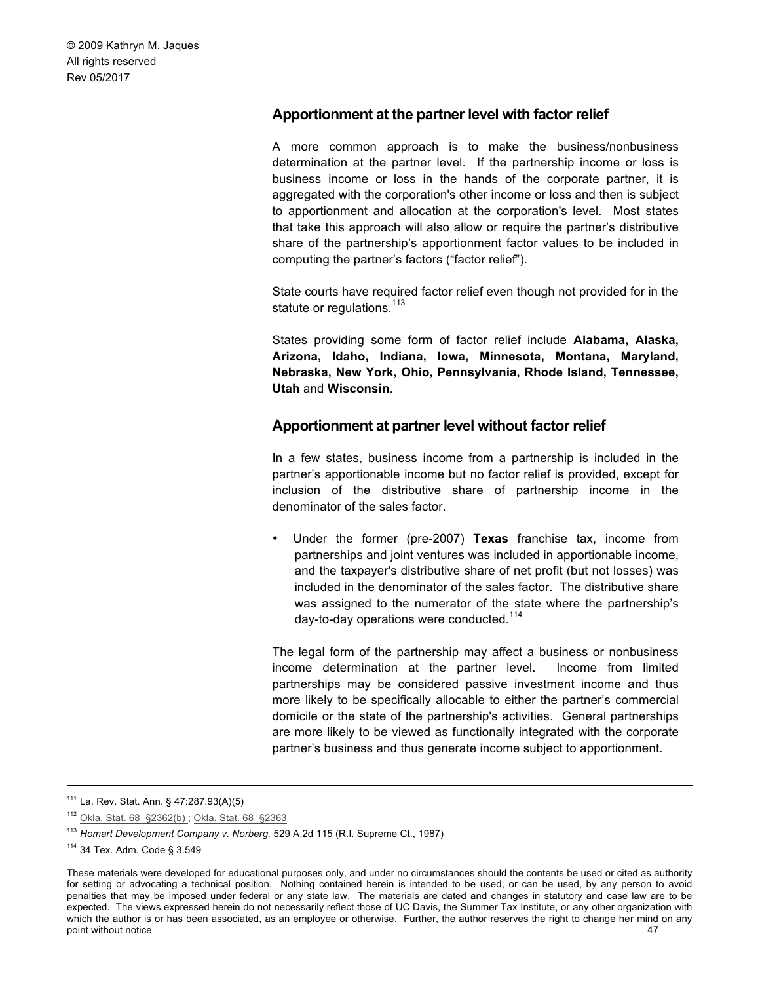# **Apportionment at the partner level with factor relief**

A more common approach is to make the business/nonbusiness determination at the partner level. If the partnership income or loss is business income or loss in the hands of the corporate partner, it is aggregated with the corporation's other income or loss and then is subject to apportionment and allocation at the corporation's level. Most states that take this approach will also allow or require the partner's distributive share of the partnership's apportionment factor values to be included in computing the partner's factors ("factor relief").

State courts have required factor relief even though not provided for in the statute or regulations.<sup>113</sup>

States providing some form of factor relief include **Alabama, Alaska, Arizona, Idaho, Indiana, Iowa, Minnesota, Montana, Maryland, Nebraska, New York, Ohio, Pennsylvania, Rhode Island, Tennessee, Utah** and **Wisconsin**.

# **Apportionment at partner level without factor relief**

In a few states, business income from a partnership is included in the partner's apportionable income but no factor relief is provided, except for inclusion of the distributive share of partnership income in the denominator of the sales factor.

• Under the former (pre-2007) **Texas** franchise tax, income from partnerships and joint ventures was included in apportionable income, and the taxpayer's distributive share of net profit (but not losses) was included in the denominator of the sales factor. The distributive share was assigned to the numerator of the state where the partnership's day-to-day operations were conducted.<sup>114</sup>

The legal form of the partnership may affect a business or nonbusiness income determination at the partner level. Income from limited partnerships may be considered passive investment income and thus more likely to be specifically allocable to either the partner's commercial domicile or the state of the partnership's activities. General partnerships are more likely to be viewed as functionally integrated with the corporate partner's business and thus generate income subject to apportionment.

 <sup>111</sup> La. Rev. Stat. Ann. § 47:287.93(A)(5)

<sup>112</sup> Okla. Stat. 68 §2362(b) ; Okla. Stat. 68 §2363

<sup>113</sup> *Homart Development Company v. Norberg,* 529 A.2d 115 (R.I. Supreme Ct., 1987)

<sup>114</sup> 34 Tex. Adm. Code § 3.549

These materials were developed for educational purposes only, and under no circumstances should the contents be used or cited as authority for setting or advocating a technical position. Nothing contained herein is intended to be used, or can be used, by any person to avoid penalties that may be imposed under federal or any state law. The materials are dated and changes in statutory and case law are to be expected. The views expressed herein do not necessarily reflect those of UC Davis, the Summer Tax Institute, or any other organization with which the author is or has been associated, as an employee or otherwise. Further, the author reserves the right to change her mind on any point without notice 47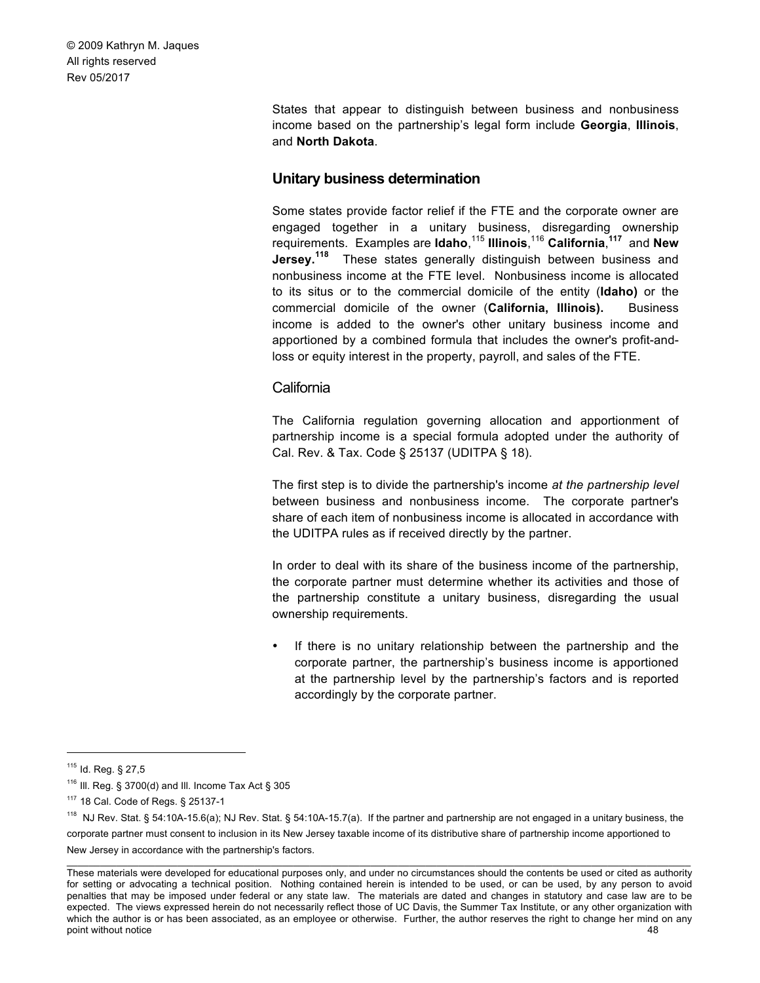> States that appear to distinguish between business and nonbusiness income based on the partnership's legal form include **Georgia**, **Illinois**, and **North Dakota**.

# **Unitary business determination**

Some states provide factor relief if the FTE and the corporate owner are engaged together in a unitary business, disregarding ownership requirements. Examples are **Idaho**, <sup>115</sup> **Illinois**, <sup>116</sup> **California**, **<sup>117</sup>** and **New Jersey.<sup>118</sup>** These states generally distinguish between business and nonbusiness income at the FTE level. Nonbusiness income is allocated to its situs or to the commercial domicile of the entity (**Idaho)** or the commercial domicile of the owner (**California, Illinois).** Business income is added to the owner's other unitary business income and apportioned by a combined formula that includes the owner's profit-andloss or equity interest in the property, payroll, and sales of the FTE.

# California

The California regulation governing allocation and apportionment of partnership income is a special formula adopted under the authority of Cal. Rev. & Tax. Code § 25137 (UDITPA § 18).

The first step is to divide the partnership's income *at the partnership level*  between business and nonbusiness income. The corporate partner's share of each item of nonbusiness income is allocated in accordance with the UDITPA rules as if received directly by the partner.

In order to deal with its share of the business income of the partnership, the corporate partner must determine whether its activities and those of the partnership constitute a unitary business, disregarding the usual ownership requirements.

If there is no unitary relationship between the partnership and the corporate partner, the partnership's business income is apportioned at the partnership level by the partnership's factors and is reported accordingly by the corporate partner.

New Jersey in accordance with the partnership's factors.

 <sup>115</sup> Id. Reg. § 27,5

 $116$  III. Reg. § 3700(d) and III. Income Tax Act § 305

<sup>117</sup> 18 Cal. Code of Regs. § 25137-1

<sup>118</sup> NJ Rev. Stat. § 54:10A-15.6(a); NJ Rev. Stat. § 54:10A-15.7(a). If the partner and partnership are not engaged in a unitary business, the corporate partner must consent to inclusion in its New Jersey taxable income of its distributive share of partnership income apportioned to

These materials were developed for educational purposes only, and under no circumstances should the contents be used or cited as authority for setting or advocating a technical position. Nothing contained herein is intended to be used, or can be used, by any person to avoid penalties that may be imposed under federal or any state law. The materials are dated and changes in statutory and case law are to be expected. The views expressed herein do not necessarily reflect those of UC Davis, the Summer Tax Institute, or any other organization with which the author is or has been associated, as an employee or otherwise. Further, the author reserves the right to change her mind on any point without notice and the set of the set of the set of the set of the set of the set of the set of the set of the set of the set of the set of the set of the set of the set of the set of the set of the set of the set of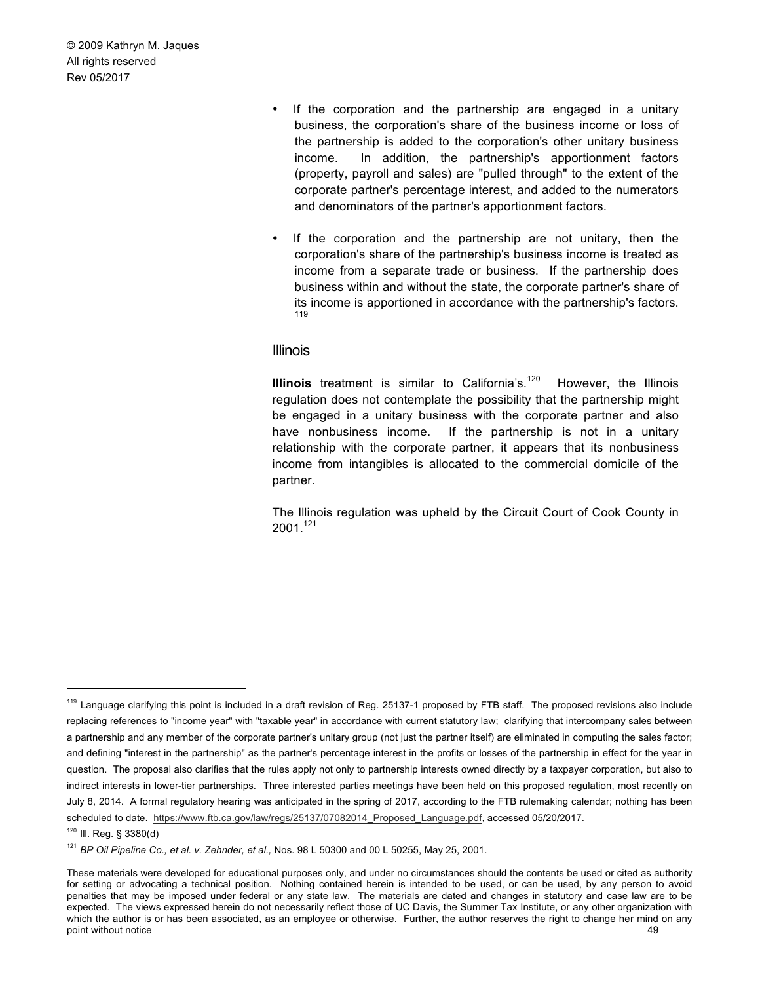- If the corporation and the partnership are engaged in a unitary business, the corporation's share of the business income or loss of the partnership is added to the corporation's other unitary business income. In addition, the partnership's apportionment factors (property, payroll and sales) are "pulled through" to the extent of the corporate partner's percentage interest, and added to the numerators and denominators of the partner's apportionment factors.
- If the corporation and the partnership are not unitary, then the corporation's share of the partnership's business income is treated as income from a separate trade or business. If the partnership does business within and without the state, the corporate partner's share of its income is apportioned in accordance with the partnership's factors. 119

#### Illinois

**Illinois** treatment is similar to California's.<sup>120</sup> However, the Illinois regulation does not contemplate the possibility that the partnership might be engaged in a unitary business with the corporate partner and also have nonbusiness income. If the partnership is not in a unitary relationship with the corporate partner, it appears that its nonbusiness income from intangibles is allocated to the commercial domicile of the partner.

The Illinois regulation was upheld by the Circuit Court of Cook County in  $2001^{121}$ 

<sup>&</sup>lt;sup>119</sup> Language clarifying this point is included in a draft revision of Reg. 25137-1 proposed by FTB staff. The proposed revisions also include replacing references to "income year" with "taxable year" in accordance with current statutory law; clarifying that intercompany sales between a partnership and any member of the corporate partner's unitary group (not just the partner itself) are eliminated in computing the sales factor; and defining "interest in the partnership" as the partner's percentage interest in the profits or losses of the partnership in effect for the year in question. The proposal also clarifies that the rules apply not only to partnership interests owned directly by a taxpayer corporation, but also to indirect interests in lower-tier partnerships. Three interested parties meetings have been held on this proposed regulation, most recently on July 8, 2014. A formal regulatory hearing was anticipated in the spring of 2017, according to the FTB rulemaking calendar; nothing has been scheduled to date. https://www.ftb.ca.gov/law/regs/25137/07082014\_Proposed\_Language.pdf, accessed 05/20/2017.

<sup>120</sup> Ill. Reg. § 3380(d)

<sup>121</sup> *BP Oil Pipeline Co., et al. v. Zehnder, et al.,* Nos. 98 L 50300 and 00 L 50255, May 25, 2001.

These materials were developed for educational purposes only, and under no circumstances should the contents be used or cited as authority for setting or advocating a technical position. Nothing contained herein is intended to be used, or can be used, by any person to avoid penalties that may be imposed under federal or any state law. The materials are dated and changes in statutory and case law are to be expected. The views expressed herein do not necessarily reflect those of UC Davis, the Summer Tax Institute, or any other organization with which the author is or has been associated, as an employee or otherwise. Further, the author reserves the right to change her mind on any point without notice and the set of the set of the set of the set of the set of the set of the set of the set of the set of the set of the set of the set of the set of the set of the set of the set of the set of the set of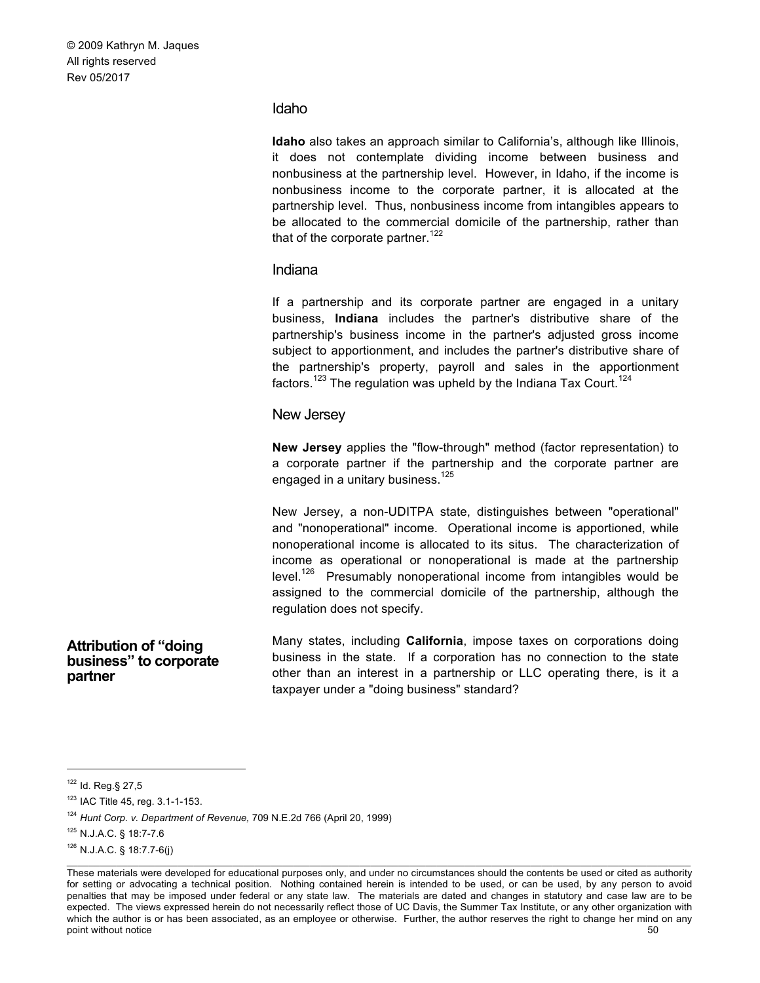#### Idaho

**Idaho** also takes an approach similar to California's, although like Illinois, it does not contemplate dividing income between business and nonbusiness at the partnership level. However, in Idaho, if the income is nonbusiness income to the corporate partner, it is allocated at the partnership level. Thus, nonbusiness income from intangibles appears to be allocated to the commercial domicile of the partnership, rather than that of the corporate partner.<sup>122</sup>

### Indiana

If a partnership and its corporate partner are engaged in a unitary business, **Indiana** includes the partner's distributive share of the partnership's business income in the partner's adjusted gross income subject to apportionment, and includes the partner's distributive share of the partnership's property, payroll and sales in the apportionment factors.<sup>123</sup> The regulation was upheld by the Indiana Tax Court.<sup>124</sup>

#### New Jersey

**New Jersey** applies the "flow-through" method (factor representation) to a corporate partner if the partnership and the corporate partner are engaged in a unitary business.<sup>125</sup>

New Jersey, a non-UDITPA state, distinguishes between "operational" and "nonoperational" income. Operational income is apportioned, while nonoperational income is allocated to its situs. The characterization of income as operational or nonoperational is made at the partnership level.<sup>126</sup> Presumably nonoperational income from intangibles would be assigned to the commercial domicile of the partnership, although the regulation does not specify.

Many states, including **California**, impose taxes on corporations doing business in the state. If a corporation has no connection to the state other than an interest in a partnership or LLC operating there, is it a taxpayer under a "doing business" standard?

**Attribution of "doing business" to corporate partner**

 <sup>122</sup> Id. Reg.§ 27,5

<sup>123</sup> IAC Title 45, reg. 3.1-1-153.

<sup>124</sup> *Hunt Corp. v. Department of Revenue,* 709 N.E.2d 766 (April 20, 1999)

<sup>125</sup> N.J.A.C. § 18:7-7.6

 $126$  N.J.A.C. § 18:7.7-6(i)

These materials were developed for educational purposes only, and under no circumstances should the contents be used or cited as authority for setting or advocating a technical position. Nothing contained herein is intended to be used, or can be used, by any person to avoid penalties that may be imposed under federal or any state law. The materials are dated and changes in statutory and case law are to be expected. The views expressed herein do not necessarily reflect those of UC Davis, the Summer Tax Institute, or any other organization with which the author is or has been associated, as an employee or otherwise. Further, the author reserves the right to change her mind on any point without notice 50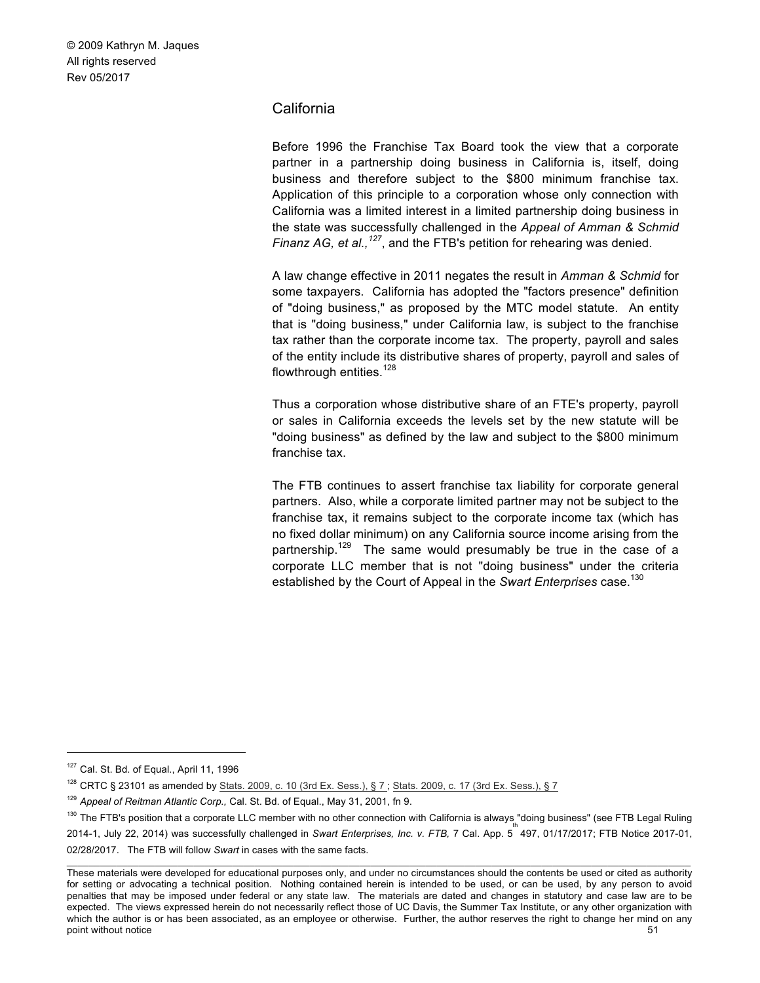# California

Before 1996 the Franchise Tax Board took the view that a corporate partner in a partnership doing business in California is, itself, doing business and therefore subject to the \$800 minimum franchise tax. Application of this principle to a corporation whose only connection with California was a limited interest in a limited partnership doing business in the state was successfully challenged in the *Appeal of Amman & Schmid Finanz AG, et al.,<sup>127</sup>*, and the FTB's petition for rehearing was denied.

A law change effective in 2011 negates the result in *Amman & Schmid* for some taxpayers. California has adopted the "factors presence" definition of "doing business," as proposed by the MTC model statute. An entity that is "doing business," under California law, is subject to the franchise tax rather than the corporate income tax. The property, payroll and sales of the entity include its distributive shares of property, payroll and sales of flowthrough entities.<sup>128</sup>

Thus a corporation whose distributive share of an FTE's property, payroll or sales in California exceeds the levels set by the new statute will be "doing business" as defined by the law and subject to the \$800 minimum franchise tax.

The FTB continues to assert franchise tax liability for corporate general partners. Also, while a corporate limited partner may not be subject to the franchise tax, it remains subject to the corporate income tax (which has no fixed dollar minimum) on any California source income arising from the partnership.<sup>129</sup> The same would presumably be true in the case of a corporate LLC member that is not "doing business" under the criteria established by the Court of Appeal in the *Swart Enterprises* case.<sup>130</sup>

 <sup>127</sup> Cal. St. Bd. of Equal., April 11, 1996

<sup>128</sup> CRTC § 23101 as amended by Stats. 2009, c. 10 (3rd Ex. Sess.), § 7 ; Stats. 2009, c. 17 (3rd Ex. Sess.), § 7

<sup>129</sup> *Appeal of Reitman Atlantic Corp.,* Cal. St. Bd. of Equal., May 31, 2001, fn 9.

<sup>&</sup>lt;sup>130</sup> The FTB's position that a corporate LLC member with no other connection with California is always "doing business" (see FTB Legal Ruling 2014-1, July 22, 2014) was successfully challenged in *Swart Enterprises, Inc. v. FTB,* 7 Cal. App. 5th 497, 01/17/2017; FTB Notice 2017-01, 02/28/2017. The FTB will follow *Swart* in cases with the same facts.

These materials were developed for educational purposes only, and under no circumstances should the contents be used or cited as authority for setting or advocating a technical position. Nothing contained herein is intended to be used, or can be used, by any person to avoid penalties that may be imposed under federal or any state law. The materials are dated and changes in statutory and case law are to be expected. The views expressed herein do not necessarily reflect those of UC Davis, the Summer Tax Institute, or any other organization with which the author is or has been associated, as an employee or otherwise. Further, the author reserves the right to change her mind on any point without notice 51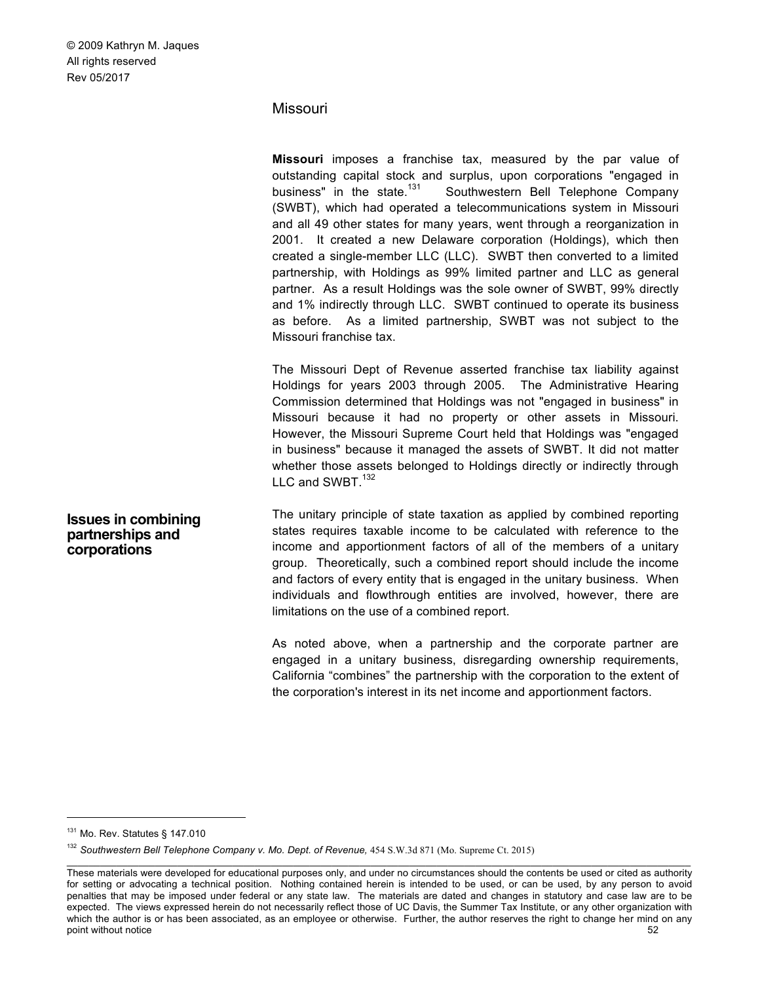# Missouri

| Missouri imposes a franchise tax, measured by the par value of             |
|----------------------------------------------------------------------------|
| outstanding capital stock and surplus, upon corporations "engaged in       |
| business" in the state. <sup>131</sup> Southwestern Bell Telephone Company |
| (SWBT), which had operated a telecommunications system in Missouri         |
| and all 49 other states for many years, went through a reorganization in   |
| 2001. It created a new Delaware corporation (Holdings), which then         |
| created a single-member LLC (LLC). SWBT then converted to a limited        |
| partnership, with Holdings as 99% limited partner and LLC as general       |
| partner. As a result Holdings was the sole owner of SWBT, 99% directly     |
| and 1% indirectly through LLC. SWBT continued to operate its business      |
| as before. As a limited partnership, SWBT was not subject to the           |
| Missouri franchise tax.                                                    |
|                                                                            |
| The Missouri Dept of Revenue asserted franchise tax liability against      |
| Holdings for years 2003 through 2005. The Administrative Hearing           |
| Commission determined that Holdings was not "engaged in business" in       |
| Missouri because it had no property or other assets in Missouri.           |
| However, the Missouri Supreme Court held that Holdings was "engaged"       |
| in business" because it managed the assets of SWBT. It did not matter      |

**Issues in combining partnerships and corporations**

The unitary principle of state taxation as applied by combined reporting states requires taxable income to be calculated with reference to the income and apportionment factors of all of the members of a unitary group. Theoretically, such a combined report should include the income and factors of every entity that is engaged in the unitary business. When individuals and flowthrough entities are involved, however, there are limitations on the use of a combined report.

whether those assets belonged to Holdings directly or indirectly through

As noted above, when a partnership and the corporate partner are engaged in a unitary business, disregarding ownership requirements, California "combines" the partnership with the corporation to the extent of the corporation's interest in its net income and apportionment factors.

LLC and SWBT.<sup>132</sup>

<sup>131</sup> Mo. Rev. Statutes § 147.010

<sup>&</sup>lt;sup>132</sup> Southwestern Bell Telephone Company v. Mo. Dept. of Revenue, 454 S.W.3d 871 (Mo. Supreme Ct. 2015)

These materials were developed for educational purposes only, and under no circumstances should the contents be used or cited as authority for setting or advocating a technical position. Nothing contained herein is intended to be used, or can be used, by any person to avoid penalties that may be imposed under federal or any state law. The materials are dated and changes in statutory and case law are to be expected. The views expressed herein do not necessarily reflect those of UC Davis, the Summer Tax Institute, or any other organization with which the author is or has been associated, as an employee or otherwise. Further, the author reserves the right to change her mind on any point without notice 52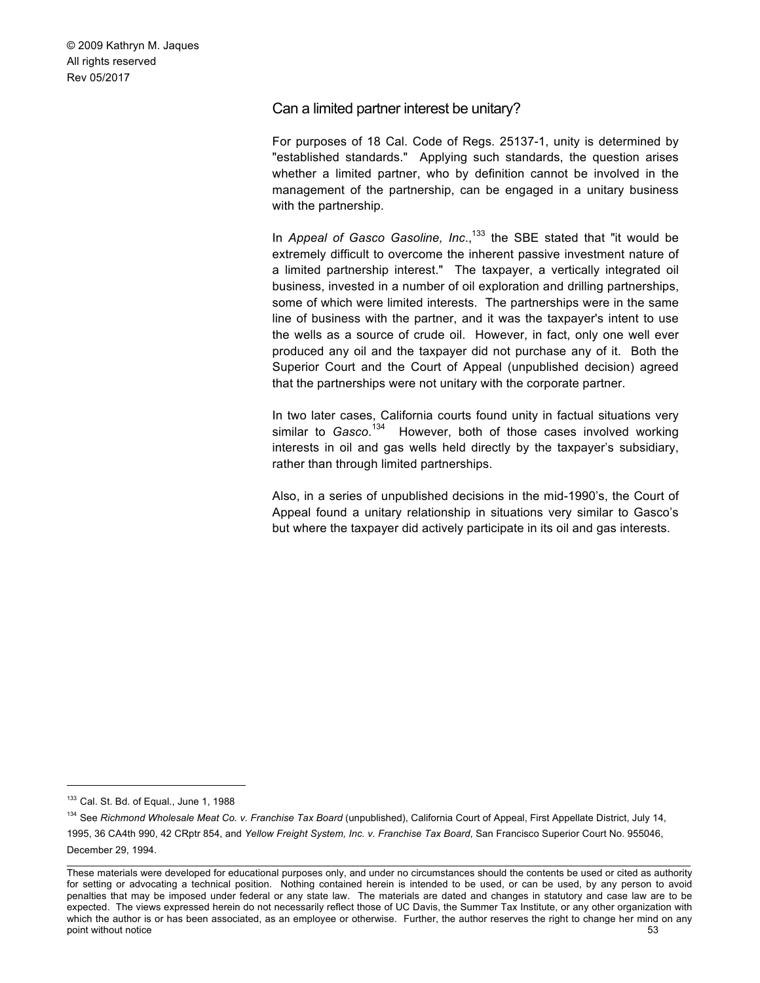# Can a limited partner interest be unitary?

For purposes of 18 Cal. Code of Regs. 25137-1, unity is determined by "established standards." Applying such standards, the question arises whether a limited partner, who by definition cannot be involved in the management of the partnership, can be engaged in a unitary business with the partnership.

In *Appeal of Gasco Gasoline, Inc.*<sup>133</sup> the SBE stated that "it would be extremely difficult to overcome the inherent passive investment nature of a limited partnership interest." The taxpayer, a vertically integrated oil business, invested in a number of oil exploration and drilling partnerships, some of which were limited interests. The partnerships were in the same line of business with the partner, and it was the taxpayer's intent to use the wells as a source of crude oil. However, in fact, only one well ever produced any oil and the taxpayer did not purchase any of it. Both the Superior Court and the Court of Appeal (unpublished decision) agreed that the partnerships were not unitary with the corporate partner.

In two later cases, California courts found unity in factual situations very similar to *Gasco*.<sup>134</sup> However, both of those cases involved working interests in oil and gas wells held directly by the taxpayer's subsidiary, rather than through limited partnerships.

Also, in a series of unpublished decisions in the mid-1990's, the Court of Appeal found a unitary relationship in situations very similar to Gasco's but where the taxpayer did actively participate in its oil and gas interests.

<sup>&</sup>lt;sup>133</sup> Cal. St. Bd. of Equal., June 1, 1988

<sup>134</sup> See *Richmond Wholesale Meat Co. v. Franchise Tax Board* (unpublished), California Court of Appeal, First Appellate District, July 14, 1995, 36 CA4th 990, 42 CRptr 854, and *Yellow Freight System, Inc. v. Franchise Tax Board*, San Francisco Superior Court No. 955046, December 29, 1994.

\_\_\_\_\_\_\_\_\_\_\_\_\_\_\_\_\_\_\_\_\_\_\_\_\_\_\_\_\_\_\_\_\_\_\_\_\_\_\_\_\_\_\_\_\_\_\_\_\_\_\_\_\_\_\_\_\_\_\_\_\_\_\_\_\_\_\_\_\_\_\_\_\_\_\_\_\_\_\_\_\_\_\_\_\_\_\_\_\_\_\_\_\_\_\_\_\_\_\_\_\_\_\_\_\_\_\_\_\_\_\_\_\_ These materials were developed for educational purposes only, and under no circumstances should the contents be used or cited as authority for setting or advocating a technical position. Nothing contained herein is intended to be used, or can be used, by any person to avoid penalties that may be imposed under federal or any state law. The materials are dated and changes in statutory and case law are to be expected. The views expressed herein do not necessarily reflect those of UC Davis, the Summer Tax Institute, or any other organization with which the author is or has been associated, as an employee or otherwise. Further, the author reserves the right to change her mind on any point without notice 53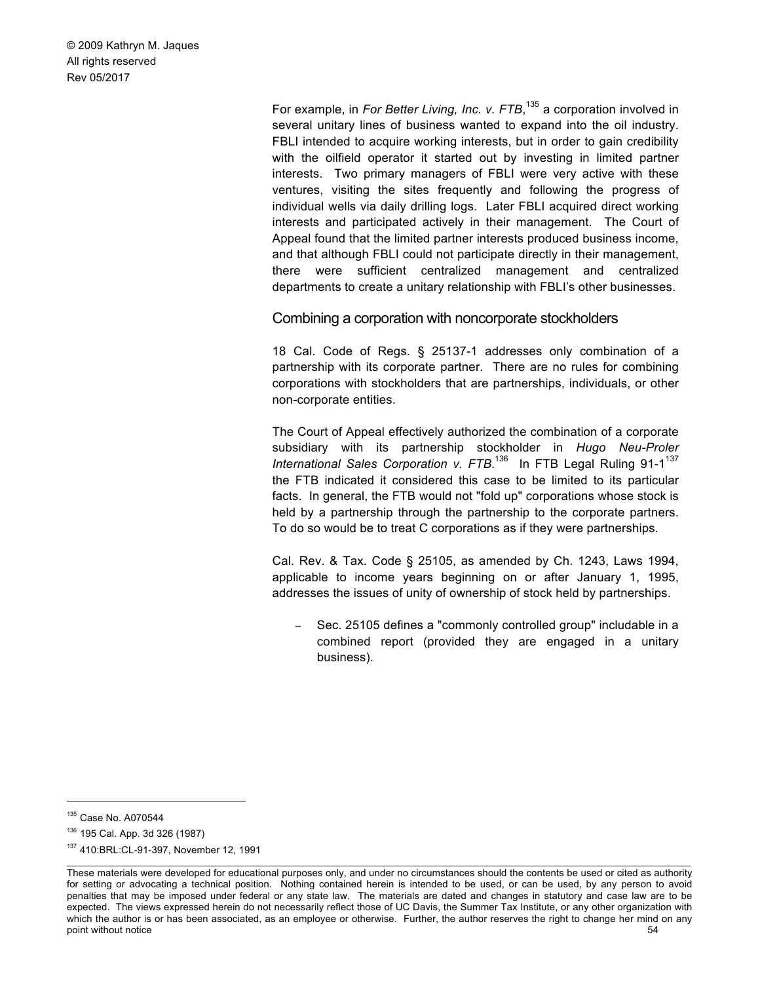> For example, in *For Better Living, Inc. v. FTB*, <sup>135</sup> a corporation involved in several unitary lines of business wanted to expand into the oil industry. FBLI intended to acquire working interests, but in order to gain credibility with the oilfield operator it started out by investing in limited partner interests. Two primary managers of FBLI were very active with these ventures, visiting the sites frequently and following the progress of individual wells via daily drilling logs. Later FBLI acquired direct working interests and participated actively in their management. The Court of Appeal found that the limited partner interests produced business income, and that although FBLI could not participate directly in their management, there were sufficient centralized management and centralized departments to create a unitary relationship with FBLI's other businesses.

Combining a corporation with noncorporate stockholders

18 Cal. Code of Regs. § 25137-1 addresses only combination of a partnership with its corporate partner. There are no rules for combining corporations with stockholders that are partnerships, individuals, or other non-corporate entities.

The Court of Appeal effectively authorized the combination of a corporate subsidiary with its partnership stockholder in *Hugo Neu-Proler International Sales Corporation v. FTB.*<sup>136</sup> In FTB Legal Ruling 91-1<sup>137</sup> the FTB indicated it considered this case to be limited to its particular facts. In general, the FTB would not "fold up" corporations whose stock is held by a partnership through the partnership to the corporate partners. To do so would be to treat C corporations as if they were partnerships.

Cal. Rev. & Tax. Code § 25105, as amended by Ch. 1243, Laws 1994, applicable to income years beginning on or after January 1, 1995, addresses the issues of unity of ownership of stock held by partnerships.

Sec. 25105 defines a "commonly controlled group" includable in a combined report (provided they are engaged in a unitary business).

 <sup>135</sup> Case No. A070544

<sup>136</sup> 195 Cal. App. 3d 326 (1987)

<sup>137</sup> 410:BRL:CL-91-397, November 12, 1991

These materials were developed for educational purposes only, and under no circumstances should the contents be used or cited as authority for setting or advocating a technical position. Nothing contained herein is intended to be used, or can be used, by any person to avoid penalties that may be imposed under federal or any state law. The materials are dated and changes in statutory and case law are to be expected. The views expressed herein do not necessarily reflect those of UC Davis, the Summer Tax Institute, or any other organization with which the author is or has been associated, as an employee or otherwise. Further, the author reserves the right to change her mind on any point without notice 54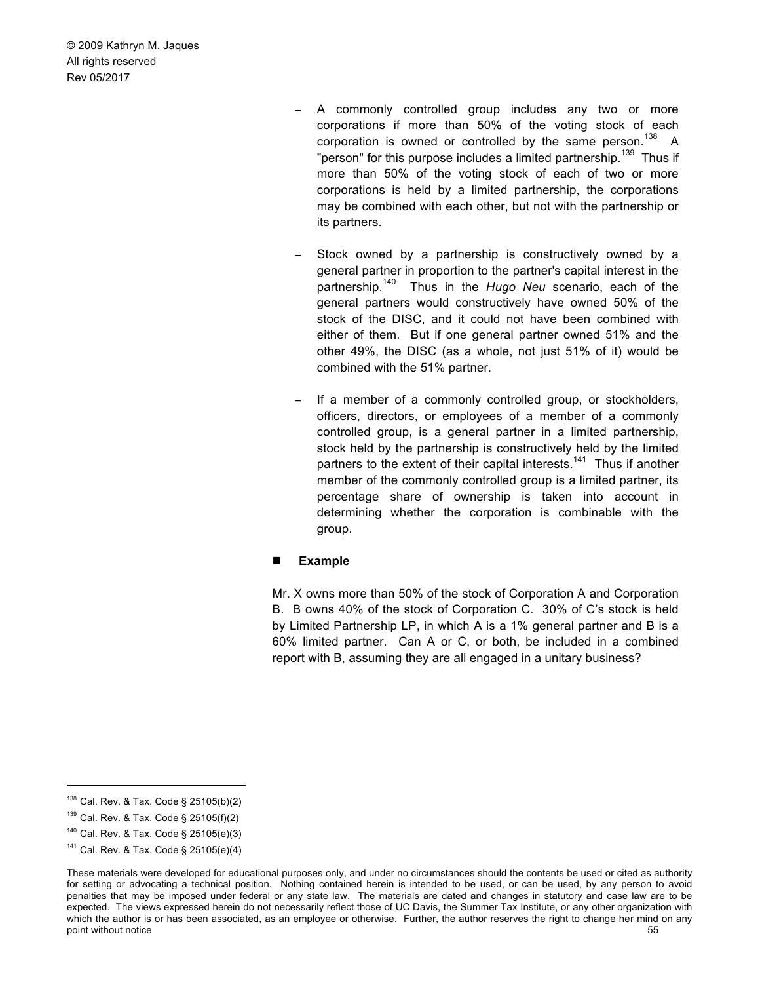- A commonly controlled group includes any two or more corporations if more than 50% of the voting stock of each corporation is owned or controlled by the same person.<sup>138</sup> A "person" for this purpose includes a limited partnership.<sup>139</sup> Thus if more than 50% of the voting stock of each of two or more corporations is held by a limited partnership, the corporations may be combined with each other, but not with the partnership or its partners.
- Stock owned by a partnership is constructively owned by a general partner in proportion to the partner's capital interest in the partnership.140 Thus in the *Hugo Neu* scenario, each of the general partners would constructively have owned 50% of the stock of the DISC, and it could not have been combined with either of them. But if one general partner owned 51% and the other 49%, the DISC (as a whole, not just 51% of it) would be combined with the 51% partner.
- If a member of a commonly controlled group, or stockholders, officers, directors, or employees of a member of a commonly controlled group, is a general partner in a limited partnership, stock held by the partnership is constructively held by the limited partners to the extent of their capital interests.<sup>141</sup> Thus if another member of the commonly controlled group is a limited partner, its percentage share of ownership is taken into account in determining whether the corporation is combinable with the group.

#### ! **Example**

Mr. X owns more than 50% of the stock of Corporation A and Corporation B. B owns 40% of the stock of Corporation C. 30% of C's stock is held by Limited Partnership LP, in which A is a 1% general partner and B is a 60% limited partner. Can A or C, or both, be included in a combined report with B, assuming they are all engaged in a unitary business?

 <sup>138</sup> Cal. Rev. & Tax. Code § 25105(b)(2)

<sup>139</sup> Cal. Rev. & Tax. Code § 25105(f)(2)

<sup>140</sup> Cal. Rev. & Tax. Code § 25105(e)(3)

\_\_\_\_\_\_\_\_\_\_\_\_\_\_\_\_\_\_\_\_\_\_\_\_\_\_\_\_\_\_\_\_\_\_\_\_\_\_\_\_\_\_\_\_\_\_\_\_\_\_\_\_\_\_\_\_\_\_\_\_\_\_\_\_\_\_\_\_\_\_\_\_\_\_\_\_\_\_\_\_\_\_\_\_\_\_\_\_\_\_\_\_\_\_\_\_\_\_\_\_\_\_\_\_\_\_\_\_\_\_\_\_\_  $141$  Cal. Rev. & Tax. Code § 25105(e)(4)

These materials were developed for educational purposes only, and under no circumstances should the contents be used or cited as authority for setting or advocating a technical position. Nothing contained herein is intended to be used, or can be used, by any person to avoid penalties that may be imposed under federal or any state law. The materials are dated and changes in statutory and case law are to be expected. The views expressed herein do not necessarily reflect those of UC Davis, the Summer Tax Institute, or any other organization with which the author is or has been associated, as an employee or otherwise. Further, the author reserves the right to change her mind on any point without notice 55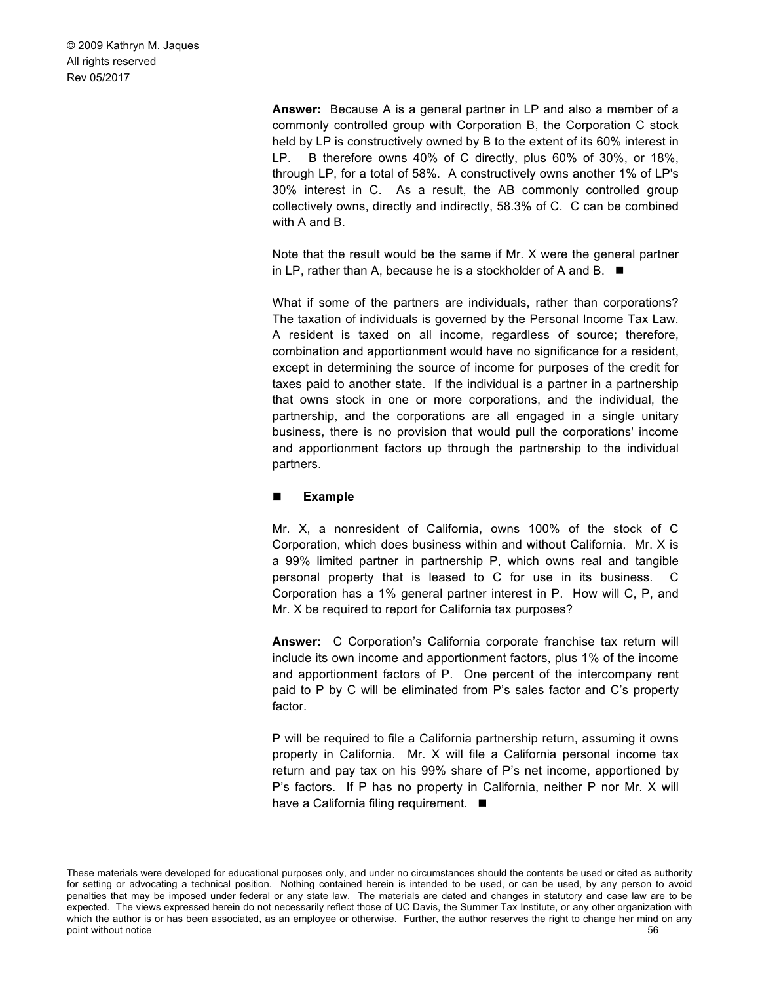> **Answer:** Because A is a general partner in LP and also a member of a commonly controlled group with Corporation B, the Corporation C stock held by LP is constructively owned by B to the extent of its 60% interest in LP. B therefore owns 40% of C directly, plus 60% of 30%, or 18%, through LP, for a total of 58%. A constructively owns another 1% of LP's 30% interest in C. As a result, the AB commonly controlled group collectively owns, directly and indirectly, 58.3% of C. C can be combined with A and B.

> Note that the result would be the same if Mr. X were the general partner in LP, rather than A, because he is a stockholder of A and B.  $\blacksquare$

> What if some of the partners are individuals, rather than corporations? The taxation of individuals is governed by the Personal Income Tax Law. A resident is taxed on all income, regardless of source; therefore, combination and apportionment would have no significance for a resident, except in determining the source of income for purposes of the credit for taxes paid to another state. If the individual is a partner in a partnership that owns stock in one or more corporations, and the individual, the partnership, and the corporations are all engaged in a single unitary business, there is no provision that would pull the corporations' income and apportionment factors up through the partnership to the individual partners.

#### ! **Example**

Mr. X, a nonresident of California, owns 100% of the stock of C Corporation, which does business within and without California. Mr. X is a 99% limited partner in partnership P, which owns real and tangible personal property that is leased to C for use in its business. C Corporation has a 1% general partner interest in P. How will C, P, and Mr. X be required to report for California tax purposes?

**Answer:** C Corporation's California corporate franchise tax return will include its own income and apportionment factors, plus 1% of the income and apportionment factors of P. One percent of the intercompany rent paid to P by C will be eliminated from P's sales factor and C's property factor.

P will be required to file a California partnership return, assuming it owns property in California. Mr. X will file a California personal income tax return and pay tax on his 99% share of P's net income, apportioned by P's factors. If P has no property in California, neither P nor Mr. X will have a California filing requirement.  $\blacksquare$ 

These materials were developed for educational purposes only, and under no circumstances should the contents be used or cited as authority for setting or advocating a technical position. Nothing contained herein is intended to be used, or can be used, by any person to avoid penalties that may be imposed under federal or any state law. The materials are dated and changes in statutory and case law are to be expected. The views expressed herein do not necessarily reflect those of UC Davis, the Summer Tax Institute, or any other organization with which the author is or has been associated, as an employee or otherwise. Further, the author reserves the right to change her mind on any point without notice 56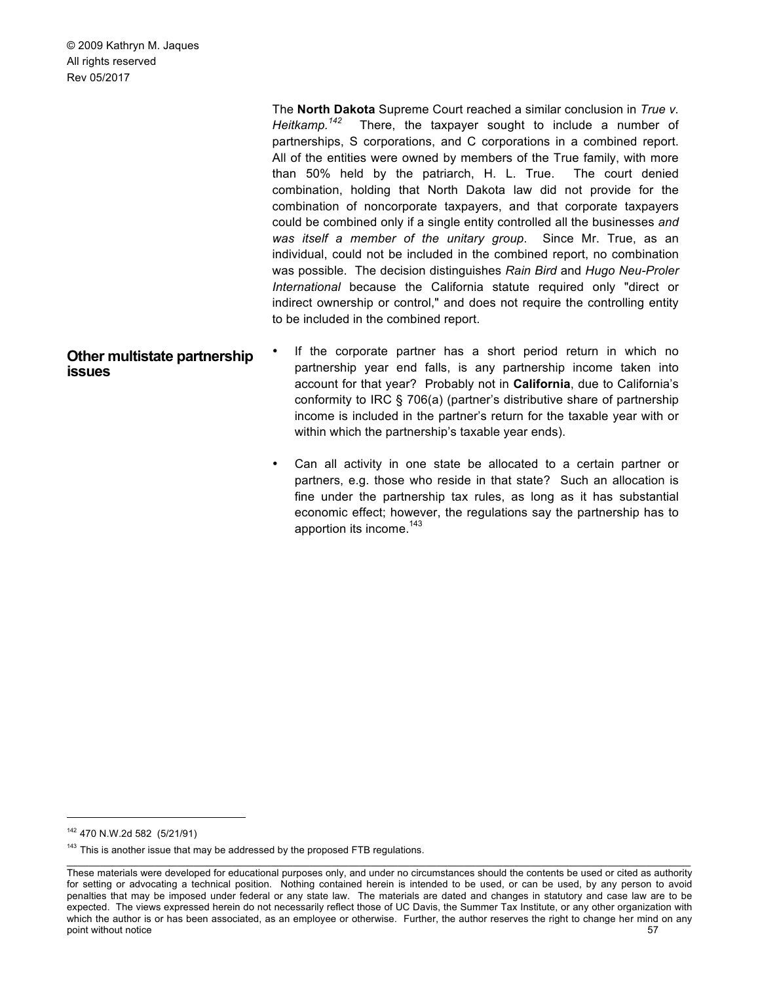The **North Dakota** Supreme Court reached a similar conclusion in *True v. Heitkamp.142* There, the taxpayer sought to include a number of partnerships, S corporations, and C corporations in a combined report. All of the entities were owned by members of the True family, with more than 50% held by the patriarch, H. L. True. The court denied combination, holding that North Dakota law did not provide for the combination of noncorporate taxpayers, and that corporate taxpayers could be combined only if a single entity controlled all the businesses *and was itself a member of the unitary group*. Since Mr. True, as an individual, could not be included in the combined report, no combination was possible. The decision distinguishes *Rain Bird* and *Hugo Neu-Proler International* because the California statute required only "direct or indirect ownership or control," and does not require the controlling entity to be included in the combined report.

#### **Other multistate partnership issues** If the corporate partner has a short period return in which no partnership year end falls, is any partnership income taken into account for that year? Probably not in **California**, due to California's conformity to IRC § 706(a) (partner's distributive share of partnership income is included in the partner's return for the taxable year with or within which the partnership's taxable year ends).

Can all activity in one state be allocated to a certain partner or partners, e.g. those who reside in that state? Such an allocation is fine under the partnership tax rules, as long as it has substantial economic effect; however, the regulations say the partnership has to apportion its income.<sup>143</sup>

 <sup>142</sup> 470 N.W.2d 582 (5/21/91)

 $143$  This is another issue that may be addressed by the proposed FTB regulations.

These materials were developed for educational purposes only, and under no circumstances should the contents be used or cited as authority for setting or advocating a technical position. Nothing contained herein is intended to be used, or can be used, by any person to avoid penalties that may be imposed under federal or any state law. The materials are dated and changes in statutory and case law are to be expected. The views expressed herein do not necessarily reflect those of UC Davis, the Summer Tax Institute, or any other organization with which the author is or has been associated, as an employee or otherwise. Further, the author reserves the right to change her mind on any point without notice 57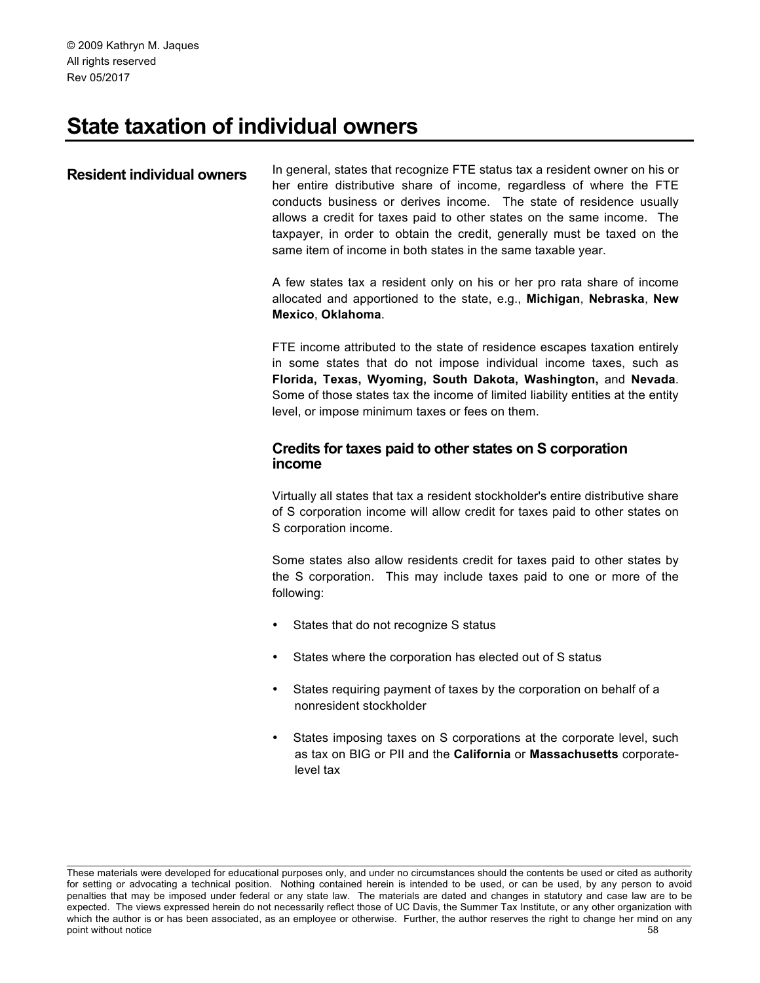# **State taxation of individual owners**

# **Resident individual owners** In general, states that recognize FTE status tax a resident owner on his or her entire distributive share of income, regardless of where the FTE conducts business or derives income. The state of residence usually allows a credit for taxes paid to other states on the same income. The taxpayer, in order to obtain the credit, generally must be taxed on the same item of income in both states in the same taxable year.

A few states tax a resident only on his or her pro rata share of income allocated and apportioned to the state, e.g., **Michigan**, **Nebraska**, **New Mexico**, **Oklahoma**.

FTE income attributed to the state of residence escapes taxation entirely in some states that do not impose individual income taxes, such as **Florida, Texas, Wyoming, South Dakota, Washington,** and **Nevada**. Some of those states tax the income of limited liability entities at the entity level, or impose minimum taxes or fees on them.

# **Credits for taxes paid to other states on S corporation income**

Virtually all states that tax a resident stockholder's entire distributive share of S corporation income will allow credit for taxes paid to other states on S corporation income.

Some states also allow residents credit for taxes paid to other states by the S corporation. This may include taxes paid to one or more of the following:

- States that do not recognize S status
- States where the corporation has elected out of S status
- States requiring payment of taxes by the corporation on behalf of a nonresident stockholder
- States imposing taxes on S corporations at the corporate level, such as tax on BIG or PII and the **California** or **Massachusetts** corporatelevel tax

These materials were developed for educational purposes only, and under no circumstances should the contents be used or cited as authority for setting or advocating a technical position. Nothing contained herein is intended to be used, or can be used, by any person to avoid penalties that may be imposed under federal or any state law. The materials are dated and changes in statutory and case law are to be expected. The views expressed herein do not necessarily reflect those of UC Davis, the Summer Tax Institute, or any other organization with which the author is or has been associated, as an employee or otherwise. Further, the author reserves the right to change her mind on any point without notice 58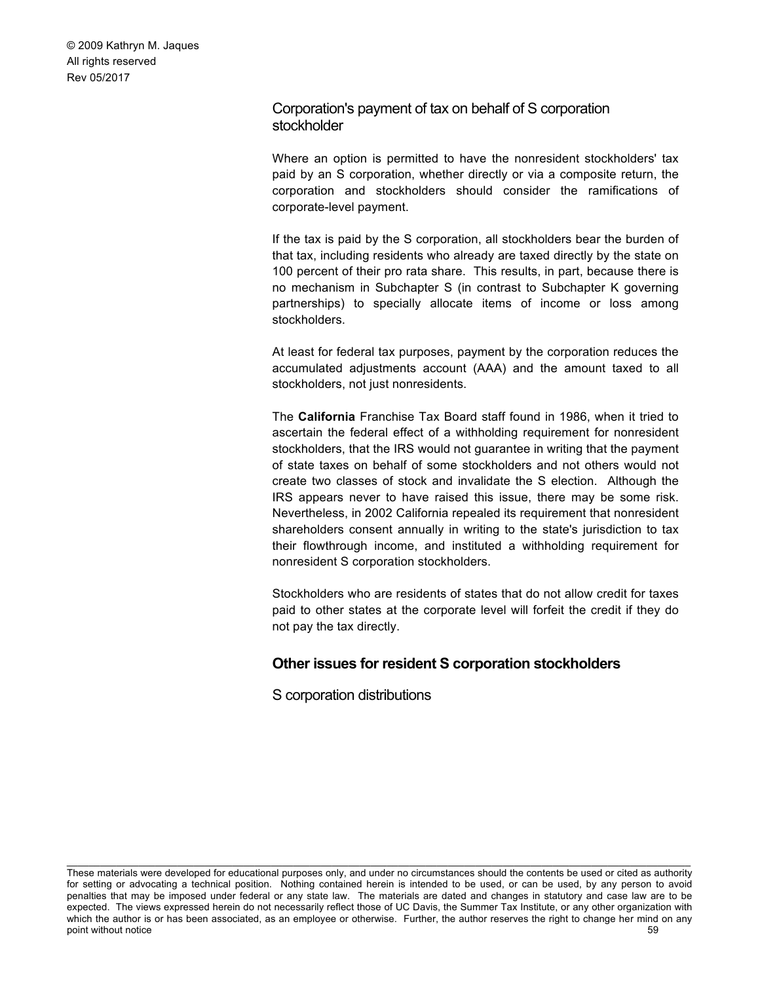# Corporation's payment of tax on behalf of S corporation stockholder

Where an option is permitted to have the nonresident stockholders' tax paid by an S corporation, whether directly or via a composite return, the corporation and stockholders should consider the ramifications of corporate-level payment.

If the tax is paid by the S corporation, all stockholders bear the burden of that tax, including residents who already are taxed directly by the state on 100 percent of their pro rata share. This results, in part, because there is no mechanism in Subchapter S (in contrast to Subchapter K governing partnerships) to specially allocate items of income or loss among stockholders.

At least for federal tax purposes, payment by the corporation reduces the accumulated adjustments account (AAA) and the amount taxed to all stockholders, not just nonresidents.

The **California** Franchise Tax Board staff found in 1986, when it tried to ascertain the federal effect of a withholding requirement for nonresident stockholders, that the IRS would not guarantee in writing that the payment of state taxes on behalf of some stockholders and not others would not create two classes of stock and invalidate the S election. Although the IRS appears never to have raised this issue, there may be some risk. Nevertheless, in 2002 California repealed its requirement that nonresident shareholders consent annually in writing to the state's jurisdiction to tax their flowthrough income, and instituted a withholding requirement for nonresident S corporation stockholders.

Stockholders who are residents of states that do not allow credit for taxes paid to other states at the corporate level will forfeit the credit if they do not pay the tax directly.

# **Other issues for resident S corporation stockholders**

S corporation distributions

These materials were developed for educational purposes only, and under no circumstances should the contents be used or cited as authority for setting or advocating a technical position. Nothing contained herein is intended to be used, or can be used, by any person to avoid penalties that may be imposed under federal or any state law. The materials are dated and changes in statutory and case law are to be expected. The views expressed herein do not necessarily reflect those of UC Davis, the Summer Tax Institute, or any other organization with which the author is or has been associated, as an employee or otherwise. Further, the author reserves the right to change her mind on any point without notice 59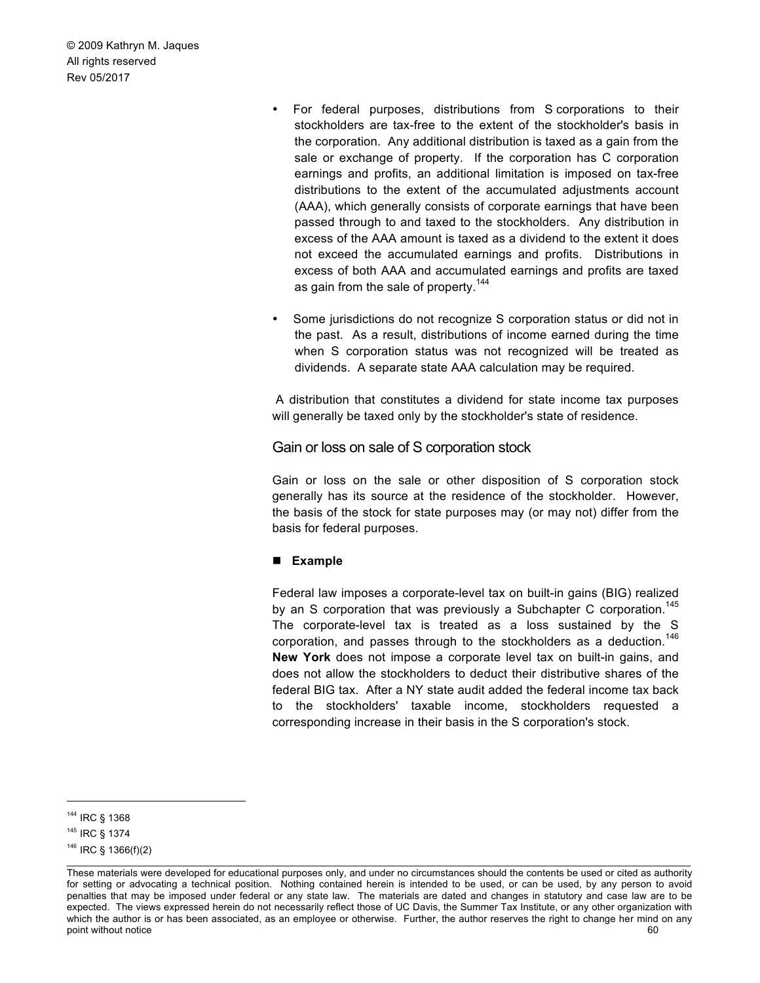- For federal purposes, distributions from S corporations to their stockholders are tax-free to the extent of the stockholder's basis in the corporation. Any additional distribution is taxed as a gain from the sale or exchange of property. If the corporation has C corporation earnings and profits, an additional limitation is imposed on tax-free distributions to the extent of the accumulated adjustments account (AAA), which generally consists of corporate earnings that have been passed through to and taxed to the stockholders. Any distribution in excess of the AAA amount is taxed as a dividend to the extent it does not exceed the accumulated earnings and profits. Distributions in excess of both AAA and accumulated earnings and profits are taxed as gain from the sale of property.<sup>144</sup>
- Some jurisdictions do not recognize S corporation status or did not in the past. As a result, distributions of income earned during the time when S corporation status was not recognized will be treated as dividends. A separate state AAA calculation may be required.

A distribution that constitutes a dividend for state income tax purposes will generally be taxed only by the stockholder's state of residence.

Gain or loss on sale of S corporation stock

Gain or loss on the sale or other disposition of S corporation stock generally has its source at the residence of the stockholder. However, the basis of the stock for state purposes may (or may not) differ from the basis for federal purposes.

#### ! **Example**

Federal law imposes a corporate-level tax on built-in gains (BIG) realized by an S corporation that was previously a Subchapter C corporation.<sup>145</sup> The corporate-level tax is treated as a loss sustained by the S corporation, and passes through to the stockholders as a deduction.<sup>146</sup> **New York** does not impose a corporate level tax on built-in gains, and does not allow the stockholders to deduct their distributive shares of the federal BIG tax. After a NY state audit added the federal income tax back to the stockholders' taxable income, stockholders requested a corresponding increase in their basis in the S corporation's stock.

 <sup>144</sup> IRC § 1368

<sup>145</sup> IRC § 1374

 $146$  IRC § 1366(f)(2)

\_\_\_\_\_\_\_\_\_\_\_\_\_\_\_\_\_\_\_\_\_\_\_\_\_\_\_\_\_\_\_\_\_\_\_\_\_\_\_\_\_\_\_\_\_\_\_\_\_\_\_\_\_\_\_\_\_\_\_\_\_\_\_\_\_\_\_\_\_\_\_\_\_\_\_\_\_\_\_\_\_\_\_\_\_\_\_\_\_\_\_\_\_\_\_\_\_\_\_\_\_\_\_\_\_\_\_\_\_\_\_\_\_ These materials were developed for educational purposes only, and under no circumstances should the contents be used or cited as authority for setting or advocating a technical position. Nothing contained herein is intended to be used, or can be used, by any person to avoid penalties that may be imposed under federal or any state law. The materials are dated and changes in statutory and case law are to be expected. The views expressed herein do not necessarily reflect those of UC Davis, the Summer Tax Institute, or any other organization with which the author is or has been associated, as an employee or otherwise. Further, the author reserves the right to change her mind on any point without notice 60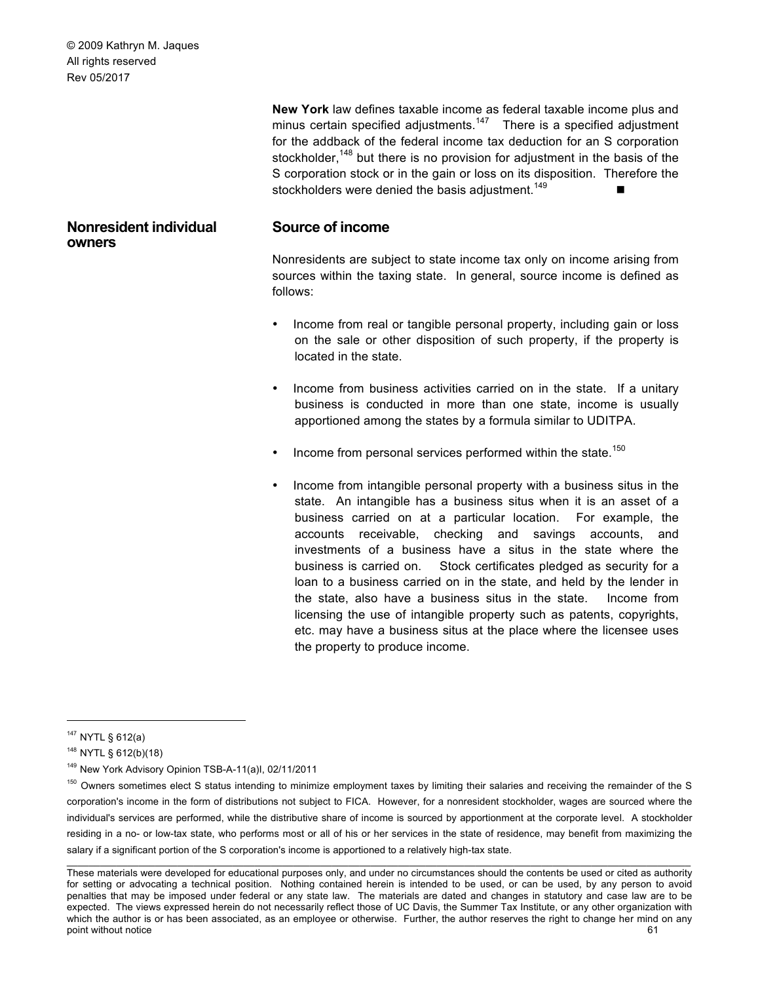**Nonresident individual** 

**owners**

**New York** law defines taxable income as federal taxable income plus and minus certain specified adjustments.<sup>147</sup> There is a specified adjustment for the addback of the federal income tax deduction for an S corporation stockholder,<sup>148</sup> but there is no provision for adjustment in the basis of the S corporation stock or in the gain or loss on its disposition. Therefore the stockholders were denied the basis adjustment.<sup>149</sup>

# **Source of income**

Nonresidents are subject to state income tax only on income arising from sources within the taxing state. In general, source income is defined as follows:

- Income from real or tangible personal property, including gain or loss on the sale or other disposition of such property, if the property is located in the state.
- Income from business activities carried on in the state. If a unitary business is conducted in more than one state, income is usually apportioned among the states by a formula similar to UDITPA.
- Income from personal services performed within the state.<sup>150</sup>
- Income from intangible personal property with a business situs in the state. An intangible has a business situs when it is an asset of a business carried on at a particular location. For example, the accounts receivable, checking and savings accounts, and investments of a business have a situs in the state where the business is carried on. Stock certificates pledged as security for a loan to a business carried on in the state, and held by the lender in the state, also have a business situs in the state. Income from licensing the use of intangible property such as patents, copyrights, etc. may have a business situs at the place where the licensee uses the property to produce income.

 <sup>147</sup> NYTL § 612(a)

<sup>148</sup> NYTL § 612(b)(18)

<sup>149</sup> New York Advisory Opinion TSB-A-11(a)I, 02/11/2011

\_\_\_\_\_\_\_\_\_\_\_\_\_\_\_\_\_\_\_\_\_\_\_\_\_\_\_\_\_\_\_\_\_\_\_\_\_\_\_\_\_\_\_\_\_\_\_\_\_\_\_\_\_\_\_\_\_\_\_\_\_\_\_\_\_\_\_\_\_\_\_\_\_\_\_\_\_\_\_\_\_\_\_\_\_\_\_\_\_\_\_\_\_\_\_\_\_\_\_\_\_\_\_\_\_\_\_\_\_\_\_\_\_ 150 Owners sometimes elect S status intending to minimize employment taxes by limiting their salaries and receiving the remainder of the S corporation's income in the form of distributions not subject to FICA. However, for a nonresident stockholder, wages are sourced where the individual's services are performed, while the distributive share of income is sourced by apportionment at the corporate level. A stockholder residing in a no- or low-tax state, who performs most or all of his or her services in the state of residence, may benefit from maximizing the salary if a significant portion of the S corporation's income is apportioned to a relatively high-tax state.

These materials were developed for educational purposes only, and under no circumstances should the contents be used or cited as authority for setting or advocating a technical position. Nothing contained herein is intended to be used, or can be used, by any person to avoid penalties that may be imposed under federal or any state law. The materials are dated and changes in statutory and case law are to be expected. The views expressed herein do not necessarily reflect those of UC Davis, the Summer Tax Institute, or any other organization with which the author is or has been associated, as an employee or otherwise. Further, the author reserves the right to change her mind on any point without notice 61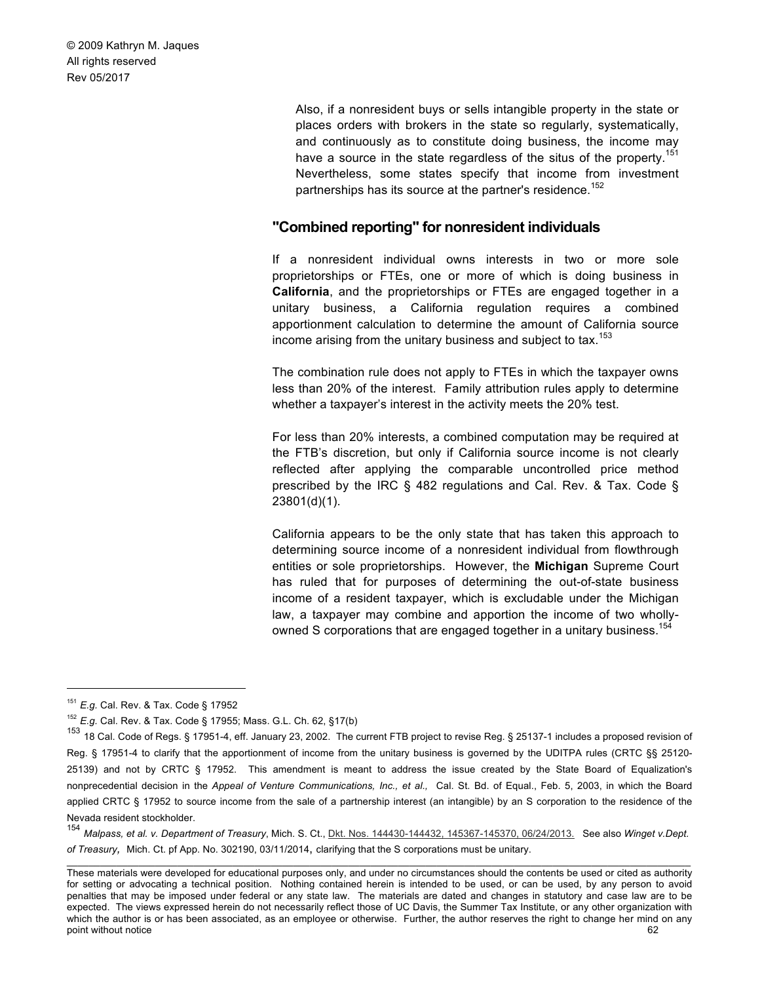> Also, if a nonresident buys or sells intangible property in the state or places orders with brokers in the state so regularly, systematically, and continuously as to constitute doing business, the income may have a source in the state regardless of the situs of the property.<sup>151</sup> Nevertheless, some states specify that income from investment partnerships has its source at the partner's residence.<sup>152</sup>

# **"Combined reporting" for nonresident individuals**

If a nonresident individual owns interests in two or more sole proprietorships or FTEs, one or more of which is doing business in **California**, and the proprietorships or FTEs are engaged together in a unitary business, a California regulation requires a combined apportionment calculation to determine the amount of California source income arising from the unitary business and subject to tax.<sup>153</sup>

The combination rule does not apply to FTEs in which the taxpayer owns less than 20% of the interest. Family attribution rules apply to determine whether a taxpayer's interest in the activity meets the 20% test.

For less than 20% interests, a combined computation may be required at the FTB's discretion, but only if California source income is not clearly reflected after applying the comparable uncontrolled price method prescribed by the IRC § 482 regulations and Cal. Rev. & Tax. Code § 23801(d)(1).

California appears to be the only state that has taken this approach to determining source income of a nonresident individual from flowthrough entities or sole proprietorships. However, the **Michigan** Supreme Court has ruled that for purposes of determining the out-of-state business income of a resident taxpayer, which is excludable under the Michigan law, a taxpayer may combine and apportion the income of two whollyowned S corporations that are engaged together in a unitary business.<sup>154</sup>

 <sup>151</sup> *E.g.* Cal. Rev. & Tax. Code § 17952

<sup>152</sup> *E.g.* Cal. Rev. & Tax. Code § 17955; Mass. G.L. Ch. 62, §17(b)

<sup>&</sup>lt;sup>153</sup> 18 Cal. Code of Regs. § 17951-4, eff. January 23, 2002. The current FTB project to revise Reg. § 25137-1 includes a proposed revision of Reg. § 17951-4 to clarify that the apportionment of income from the unitary business is governed by the UDITPA rules (CRTC §§ 25120- 25139) and not by CRTC § 17952. This amendment is meant to address the issue created by the State Board of Equalization's nonprecedential decision in the *Appeal of Venture Communications, Inc., et al.,* Cal. St. Bd. of Equal., Feb. 5, 2003, in which the Board applied CRTC § 17952 to source income from the sale of a partnership interest (an intangible) by an S corporation to the residence of the Nevada resident stockholder.

\_\_\_\_\_\_\_\_\_\_\_\_\_\_\_\_\_\_\_\_\_\_\_\_\_\_\_\_\_\_\_\_\_\_\_\_\_\_\_\_\_\_\_\_\_\_\_\_\_\_\_\_\_\_\_\_\_\_\_\_\_\_\_\_\_\_\_\_\_\_\_\_\_\_\_\_\_\_\_\_\_\_\_\_\_\_\_\_\_\_\_\_\_\_\_\_\_\_\_\_\_\_\_\_\_\_\_\_\_\_\_\_\_ <sup>154</sup> *Malpass, et al. v. Department of Treasury*, Mich. S. Ct., Dkt. Nos. 144430-144432, 145367-145370, 06/24/2013. See also *Winget v.Dept. of Treasury,* Mich. Ct. pf App. No. 302190, 03/11/2014, clarifying that the S corporations must be unitary.

These materials were developed for educational purposes only, and under no circumstances should the contents be used or cited as authority for setting or advocating a technical position. Nothing contained herein is intended to be used, or can be used, by any person to avoid penalties that may be imposed under federal or any state law. The materials are dated and changes in statutory and case law are to be expected. The views expressed herein do not necessarily reflect those of UC Davis, the Summer Tax Institute, or any other organization with which the author is or has been associated, as an employee or otherwise. Further, the author reserves the right to change her mind on any point without notice 62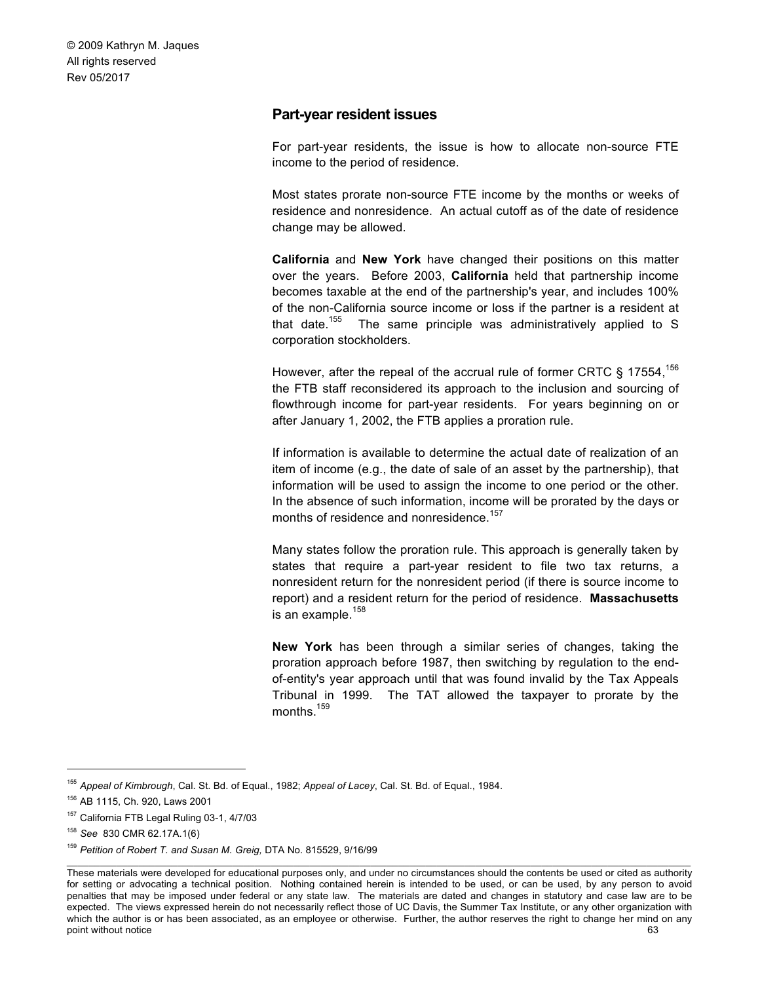# **Part-year resident issues**

For part-year residents, the issue is how to allocate non-source FTE income to the period of residence.

Most states prorate non-source FTE income by the months or weeks of residence and nonresidence. An actual cutoff as of the date of residence change may be allowed.

**California** and **New York** have changed their positions on this matter over the years. Before 2003, **California** held that partnership income becomes taxable at the end of the partnership's year, and includes 100% of the non-California source income or loss if the partner is a resident at that date.<sup>155</sup> The same principle was administratively applied to S corporation stockholders.

However, after the repeal of the accrual rule of former CRTC § 17554,<sup>156</sup> the FTB staff reconsidered its approach to the inclusion and sourcing of flowthrough income for part-year residents. For years beginning on or after January 1, 2002, the FTB applies a proration rule.

If information is available to determine the actual date of realization of an item of income (e.g., the date of sale of an asset by the partnership), that information will be used to assign the income to one period or the other. In the absence of such information, income will be prorated by the days or months of residence and nonresidence.<sup>157</sup>

Many states follow the proration rule. This approach is generally taken by states that require a part-year resident to file two tax returns, a nonresident return for the nonresident period (if there is source income to report) and a resident return for the period of residence. **Massachusetts**  is an example. $158$ 

**New York** has been through a similar series of changes, taking the proration approach before 1987, then switching by regulation to the endof-entity's year approach until that was found invalid by the Tax Appeals Tribunal in 1999. The TAT allowed the taxpayer to prorate by the months.<sup>159</sup>

 <sup>155</sup> *Appeal of Kimbrough*, Cal. St. Bd. of Equal., 1982; *Appeal of Lacey*, Cal. St. Bd. of Equal., 1984.

<sup>156</sup> AB 1115, Ch. 920, Laws 2001

<sup>157</sup> California FTB Legal Ruling 03-1, 4/7/03

<sup>158</sup> *See* 830 CMR 62.17A.1(6)

<sup>159</sup> *Petition of Robert T. and Susan M. Greig,* DTA No. 815529, 9/16/99

These materials were developed for educational purposes only, and under no circumstances should the contents be used or cited as authority for setting or advocating a technical position. Nothing contained herein is intended to be used, or can be used, by any person to avoid penalties that may be imposed under federal or any state law. The materials are dated and changes in statutory and case law are to be expected. The views expressed herein do not necessarily reflect those of UC Davis, the Summer Tax Institute, or any other organization with which the author is or has been associated, as an employee or otherwise. Further, the author reserves the right to change her mind on any point without notice 63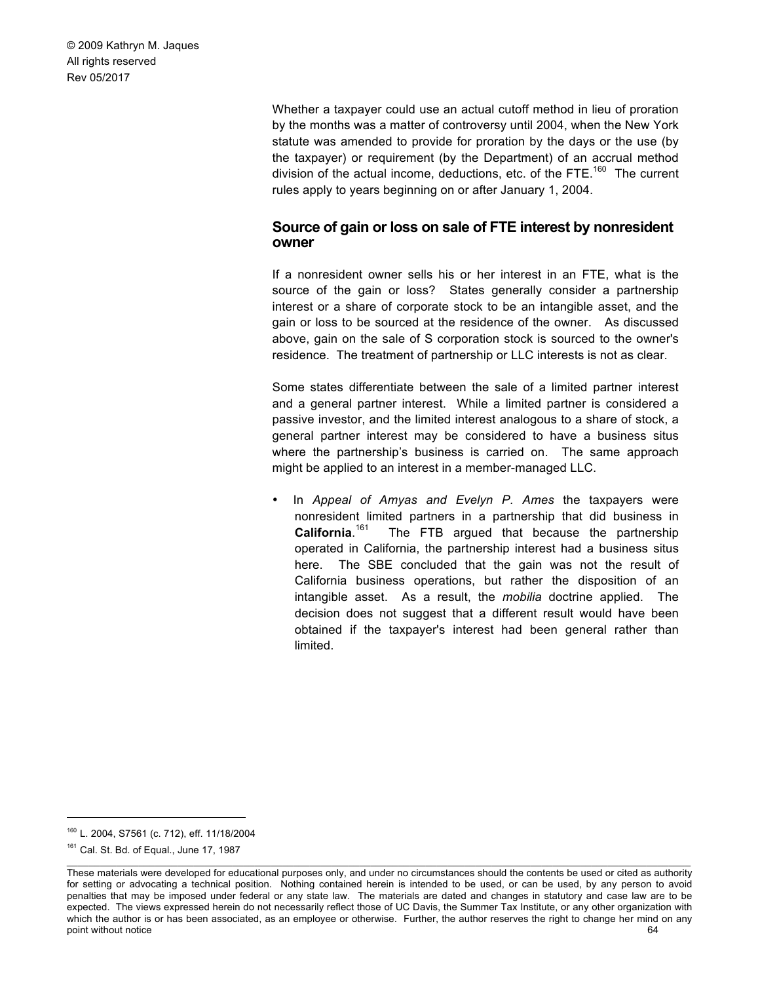> Whether a taxpayer could use an actual cutoff method in lieu of proration by the months was a matter of controversy until 2004, when the New York statute was amended to provide for proration by the days or the use (by the taxpayer) or requirement (by the Department) of an accrual method division of the actual income, deductions, etc. of the FTE.<sup>160</sup> The current rules apply to years beginning on or after January 1, 2004.

# **Source of gain or loss on sale of FTE interest by nonresident owner**

If a nonresident owner sells his or her interest in an FTE, what is the source of the gain or loss? States generally consider a partnership interest or a share of corporate stock to be an intangible asset, and the gain or loss to be sourced at the residence of the owner. As discussed above, gain on the sale of S corporation stock is sourced to the owner's residence. The treatment of partnership or LLC interests is not as clear.

Some states differentiate between the sale of a limited partner interest and a general partner interest. While a limited partner is considered a passive investor, and the limited interest analogous to a share of stock, a general partner interest may be considered to have a business situs where the partnership's business is carried on. The same approach might be applied to an interest in a member-managed LLC.

• In *Appeal of Amyas and Evelyn P. Ames* the taxpayers were nonresident limited partners in a partnership that did business in **California**. The FTB argued that because the partnership operated in California, the partnership interest had a business situs here. The SBE concluded that the gain was not the result of California business operations, but rather the disposition of an intangible asset. As a result, the *mobilia* doctrine applied. The decision does not suggest that a different result would have been obtained if the taxpayer's interest had been general rather than limited.

 <sup>160</sup> L. 2004, S7561 (c. 712), eff. 11/18/2004

<sup>&</sup>lt;sup>161</sup> Cal. St. Bd. of Equal., June 17, 1987

These materials were developed for educational purposes only, and under no circumstances should the contents be used or cited as authority for setting or advocating a technical position. Nothing contained herein is intended to be used, or can be used, by any person to avoid penalties that may be imposed under federal or any state law. The materials are dated and changes in statutory and case law are to be expected. The views expressed herein do not necessarily reflect those of UC Davis, the Summer Tax Institute, or any other organization with which the author is or has been associated, as an employee or otherwise. Further, the author reserves the right to change her mind on any point without notice 64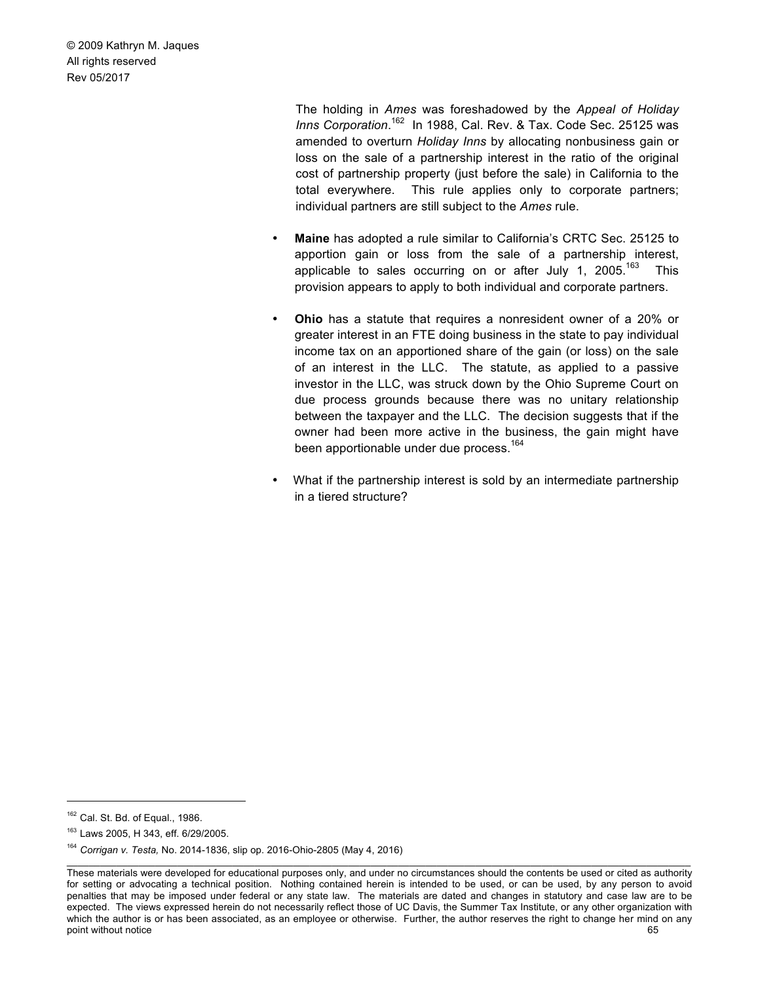> The holding in *Ames* was foreshadowed by the *Appeal of Holiday*  Inns Corporation.<sup>162</sup> In 1988, Cal. Rev. & Tax. Code Sec. 25125 was amended to overturn *Holiday Inns* by allocating nonbusiness gain or loss on the sale of a partnership interest in the ratio of the original cost of partnership property (just before the sale) in California to the total everywhere. This rule applies only to corporate partners; individual partners are still subject to the *Ames* rule.

- **Maine** has adopted a rule similar to California's CRTC Sec. 25125 to apportion gain or loss from the sale of a partnership interest, applicable to sales occurring on or after July 1,  $2005$ .<sup>163</sup> This provision appears to apply to both individual and corporate partners.
- **Ohio** has a statute that requires a nonresident owner of a 20% or greater interest in an FTE doing business in the state to pay individual income tax on an apportioned share of the gain (or loss) on the sale of an interest in the LLC. The statute, as applied to a passive investor in the LLC, was struck down by the Ohio Supreme Court on due process grounds because there was no unitary relationship between the taxpayer and the LLC. The decision suggests that if the owner had been more active in the business, the gain might have been apportionable under due process.<sup>164</sup>
- What if the partnership interest is sold by an intermediate partnership in a tiered structure?

 $162$  Cal. St. Bd. of Equal., 1986.

<sup>163</sup> Laws 2005, H 343, eff. 6/29/2005.

<sup>164</sup> *Corrigan v. Testa,* No. 2014-1836, slip op. 2016-Ohio-2805 (May 4, 2016)

These materials were developed for educational purposes only, and under no circumstances should the contents be used or cited as authority for setting or advocating a technical position. Nothing contained herein is intended to be used, or can be used, by any person to avoid penalties that may be imposed under federal or any state law. The materials are dated and changes in statutory and case law are to be expected. The views expressed herein do not necessarily reflect those of UC Davis, the Summer Tax Institute, or any other organization with which the author is or has been associated, as an employee or otherwise. Further, the author reserves the right to change her mind on any point without notice 65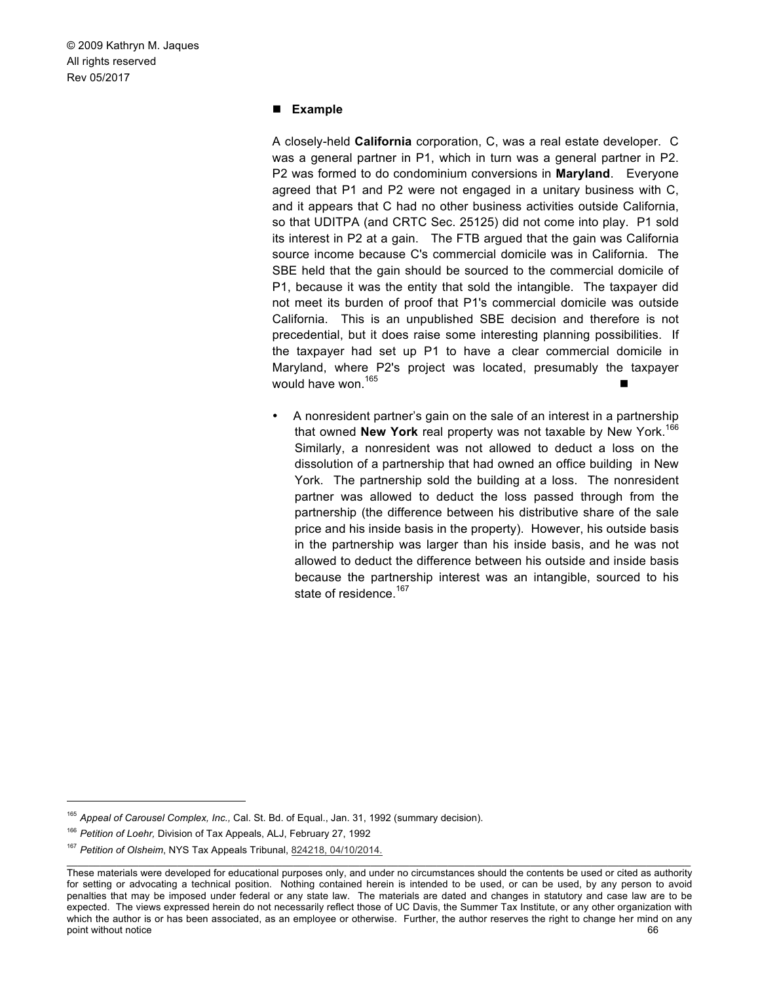#### ! **Example**

A closely-held **California** corporation, C, was a real estate developer. C was a general partner in P1, which in turn was a general partner in P2. P2 was formed to do condominium conversions in **Maryland**. Everyone agreed that P1 and P2 were not engaged in a unitary business with C, and it appears that C had no other business activities outside California, so that UDITPA (and CRTC Sec. 25125) did not come into play. P1 sold its interest in P2 at a gain. The FTB argued that the gain was California source income because C's commercial domicile was in California. The SBE held that the gain should be sourced to the commercial domicile of P1, because it was the entity that sold the intangible. The taxpayer did not meet its burden of proof that P1's commercial domicile was outside California. This is an unpublished SBE decision and therefore is not precedential, but it does raise some interesting planning possibilities. If the taxpayer had set up P1 to have a clear commercial domicile in Maryland, where P2's project was located, presumably the taxpayer would have won.<sup>165</sup>

• A nonresident partner's gain on the sale of an interest in a partnership that owned **New York** real property was not taxable by New York.<sup>166</sup> Similarly, a nonresident was not allowed to deduct a loss on the dissolution of a partnership that had owned an office building in New York. The partnership sold the building at a loss. The nonresident partner was allowed to deduct the loss passed through from the partnership (the difference between his distributive share of the sale price and his inside basis in the property). However, his outside basis in the partnership was larger than his inside basis, and he was not allowed to deduct the difference between his outside and inside basis because the partnership interest was an intangible, sourced to his state of residence.<sup>167</sup>

 <sup>165</sup> *Appeal of Carousel Complex, Inc.,* Cal. St. Bd. of Equal., Jan. 31, 1992 (summary decision).

<sup>166</sup> *Petition of Loehr,* Division of Tax Appeals, ALJ, February 27, 1992

<sup>167</sup> *Petition of Olsheim*, NYS Tax Appeals Tribunal, 824218, 04/10/2014.

These materials were developed for educational purposes only, and under no circumstances should the contents be used or cited as authority for setting or advocating a technical position. Nothing contained herein is intended to be used, or can be used, by any person to avoid penalties that may be imposed under federal or any state law. The materials are dated and changes in statutory and case law are to be expected. The views expressed herein do not necessarily reflect those of UC Davis, the Summer Tax Institute, or any other organization with which the author is or has been associated, as an employee or otherwise. Further, the author reserves the right to change her mind on any point without notice 66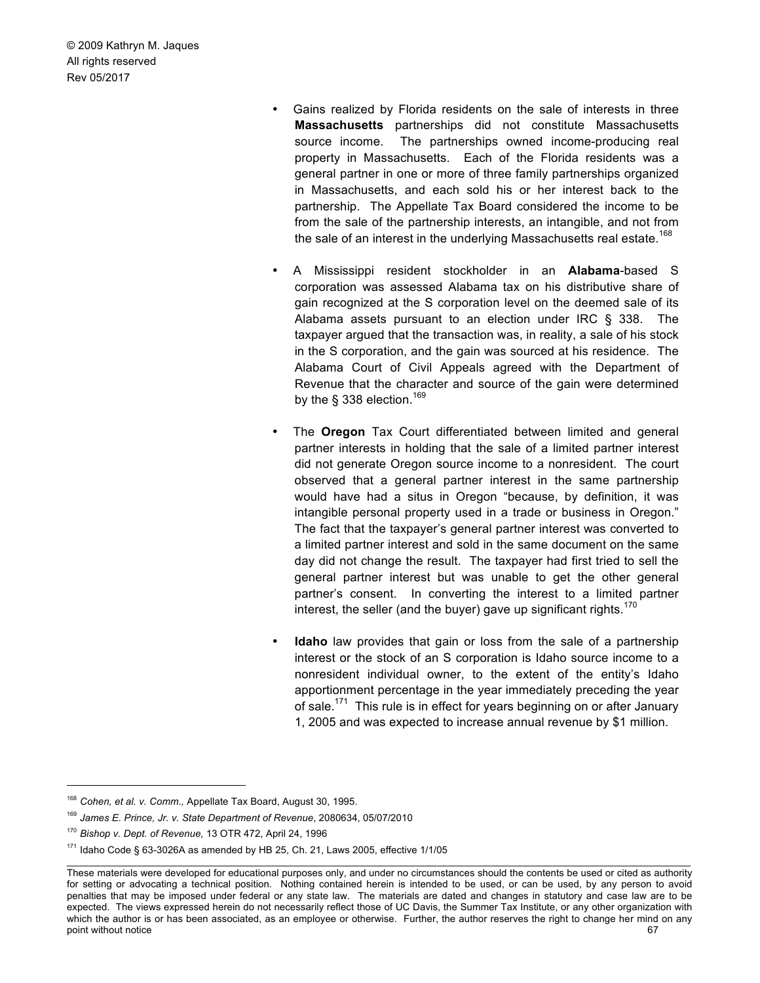- Gains realized by Florida residents on the sale of interests in three **Massachusetts** partnerships did not constitute Massachusetts source income. The partnerships owned income-producing real property in Massachusetts. Each of the Florida residents was a general partner in one or more of three family partnerships organized in Massachusetts, and each sold his or her interest back to the partnership. The Appellate Tax Board considered the income to be from the sale of the partnership interests, an intangible, and not from the sale of an interest in the underlying Massachusetts real estate.<sup>168</sup>
- A Mississippi resident stockholder in an **Alabama**-based S corporation was assessed Alabama tax on his distributive share of gain recognized at the S corporation level on the deemed sale of its Alabama assets pursuant to an election under IRC § 338. The taxpayer argued that the transaction was, in reality, a sale of his stock in the S corporation, and the gain was sourced at his residence. The Alabama Court of Civil Appeals agreed with the Department of Revenue that the character and source of the gain were determined by the  $\S$  338 election.<sup>169</sup>
- The **Oregon** Tax Court differentiated between limited and general partner interests in holding that the sale of a limited partner interest did not generate Oregon source income to a nonresident. The court observed that a general partner interest in the same partnership would have had a situs in Oregon "because, by definition, it was intangible personal property used in a trade or business in Oregon." The fact that the taxpayer's general partner interest was converted to a limited partner interest and sold in the same document on the same day did not change the result. The taxpayer had first tried to sell the general partner interest but was unable to get the other general partner's consent. In converting the interest to a limited partner interest, the seller (and the buyer) gave up significant rights.<sup>170</sup>
- **Idaho** law provides that gain or loss from the sale of a partnership interest or the stock of an S corporation is Idaho source income to a nonresident individual owner, to the extent of the entity's Idaho apportionment percentage in the year immediately preceding the year of sale.<sup>171</sup> This rule is in effect for years beginning on or after January 1, 2005 and was expected to increase annual revenue by \$1 million.

 <sup>168</sup> *Cohen, et al. v. Comm.,* Appellate Tax Board, August 30, 1995.

<sup>169</sup> *James E. Prince, Jr. v. State Department of Revenue*, 2080634, 05/07/2010

<sup>170</sup> *Bishop v. Dept. of Revenue,* 13 OTR 472, April 24, 1996

 $171$  Idaho Code § 63-3026A as amended by HB 25, Ch. 21, Laws 2005, effective  $1/1/05$ 

These materials were developed for educational purposes only, and under no circumstances should the contents be used or cited as authority for setting or advocating a technical position. Nothing contained herein is intended to be used, or can be used, by any person to avoid penalties that may be imposed under federal or any state law. The materials are dated and changes in statutory and case law are to be expected. The views expressed herein do not necessarily reflect those of UC Davis, the Summer Tax Institute, or any other organization with which the author is or has been associated, as an employee or otherwise. Further, the author reserves the right to change her mind on any point without notice 67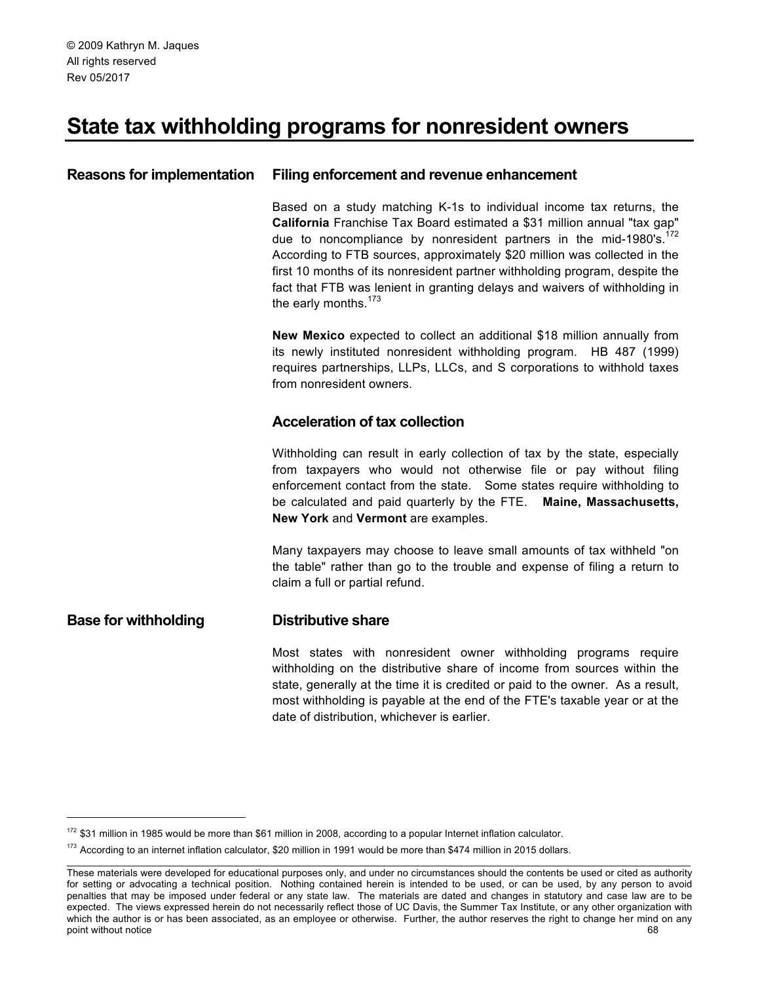# **State tax withholding programs for nonresident owners**

# **Reasons for implementation Filing enforcement and revenue enhancement**

Based on a study matching K-1s to individual income tax returns, the **California** Franchise Tax Board estimated a \$31 million annual "tax gap" due to noncompliance by nonresident partners in the mid-1980's. $172$ According to FTB sources, approximately \$20 million was collected in the first 10 months of its nonresident partner withholding program, despite the fact that FTB was lenient in granting delays and waivers of withholding in the early months.<sup>173</sup>

**New Mexico** expected to collect an additional \$18 million annually from its newly instituted nonresident withholding program. HB 487 (1999) requires partnerships, LLPs, LLCs, and S corporations to withhold taxes from nonresident owners.

# **Acceleration of tax collection**

Withholding can result in early collection of tax by the state, especially from taxpayers who would not otherwise file or pay without filing enforcement contact from the state. Some states require withholding to be calculated and paid quarterly by the FTE. **Maine, Massachusetts, New York** and **Vermont** are examples.

Many taxpayers may choose to leave small amounts of tax withheld "on the table" rather than go to the trouble and expense of filing a return to claim a full or partial refund.

# **Base for withholding Distributive share**

Most states with nonresident owner withholding programs require withholding on the distributive share of income from sources within the state, generally at the time it is credited or paid to the owner. As a result, most withholding is payable at the end of the FTE's taxable year or at the date of distribution, whichever is earlier.

 $172$  \$31 million in 1985 would be more than \$61 million in 2008, according to a popular Internet inflation calculator.

 $173$  According to an internet inflation calculator, \$20 million in 1991 would be more than \$474 million in 2015 dollars.

These materials were developed for educational purposes only, and under no circumstances should the contents be used or cited as authority for setting or advocating a technical position. Nothing contained herein is intended to be used, or can be used, by any person to avoid penalties that may be imposed under federal or any state law. The materials are dated and changes in statutory and case law are to be expected. The views expressed herein do not necessarily reflect those of UC Davis, the Summer Tax Institute, or any other organization with which the author is or has been associated, as an employee or otherwise. Further, the author reserves the right to change her mind on any point without notice 68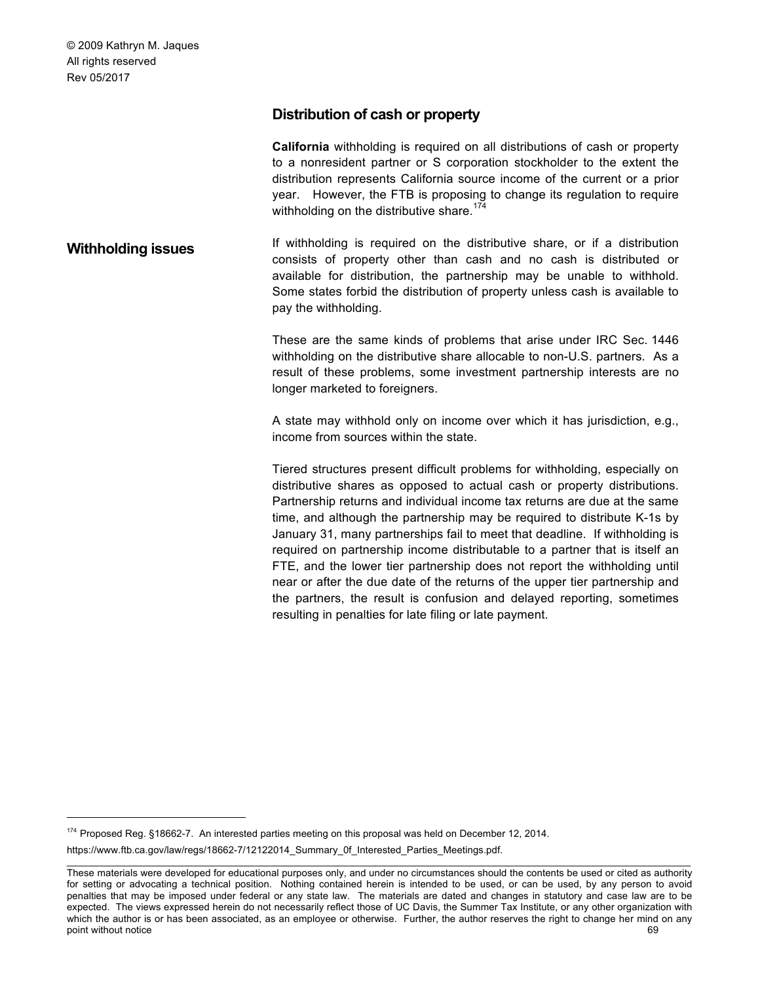# **Distribution of cash or property**

**California** withholding is required on all distributions of cash or property to a nonresident partner or S corporation stockholder to the extent the distribution represents California source income of the current or a prior year. However, the FTB is proposing to change its regulation to require withholding on the distributive share.<sup>174</sup>

**Withholding issues** If withholding is required on the distributive share, or if a distribution consists of property other than cash and no cash is distributed or available for distribution, the partnership may be unable to withhold. Some states forbid the distribution of property unless cash is available to pay the withholding.

> These are the same kinds of problems that arise under IRC Sec. 1446 withholding on the distributive share allocable to non-U.S. partners. As a result of these problems, some investment partnership interests are no longer marketed to foreigners.

> A state may withhold only on income over which it has jurisdiction, e.g., income from sources within the state.

> Tiered structures present difficult problems for withholding, especially on distributive shares as opposed to actual cash or property distributions. Partnership returns and individual income tax returns are due at the same time, and although the partnership may be required to distribute K-1s by January 31, many partnerships fail to meet that deadline. If withholding is required on partnership income distributable to a partner that is itself an FTE, and the lower tier partnership does not report the withholding until near or after the due date of the returns of the upper tier partnership and the partners, the result is confusion and delayed reporting, sometimes resulting in penalties for late filing or late payment.

<sup>174</sup> Proposed Reg. §18662-7. An interested parties meeting on this proposal was held on December 12, 2014. https://www.ftb.ca.gov/law/regs/18662-7/12122014\_Summary\_0f\_Interested\_Parties\_Meetings.pdf.

These materials were developed for educational purposes only, and under no circumstances should the contents be used or cited as authority for setting or advocating a technical position. Nothing contained herein is intended to be used, or can be used, by any person to avoid penalties that may be imposed under federal or any state law. The materials are dated and changes in statutory and case law are to be expected. The views expressed herein do not necessarily reflect those of UC Davis, the Summer Tax Institute, or any other organization with which the author is or has been associated, as an employee or otherwise. Further, the author reserves the right to change her mind on any point without notice 69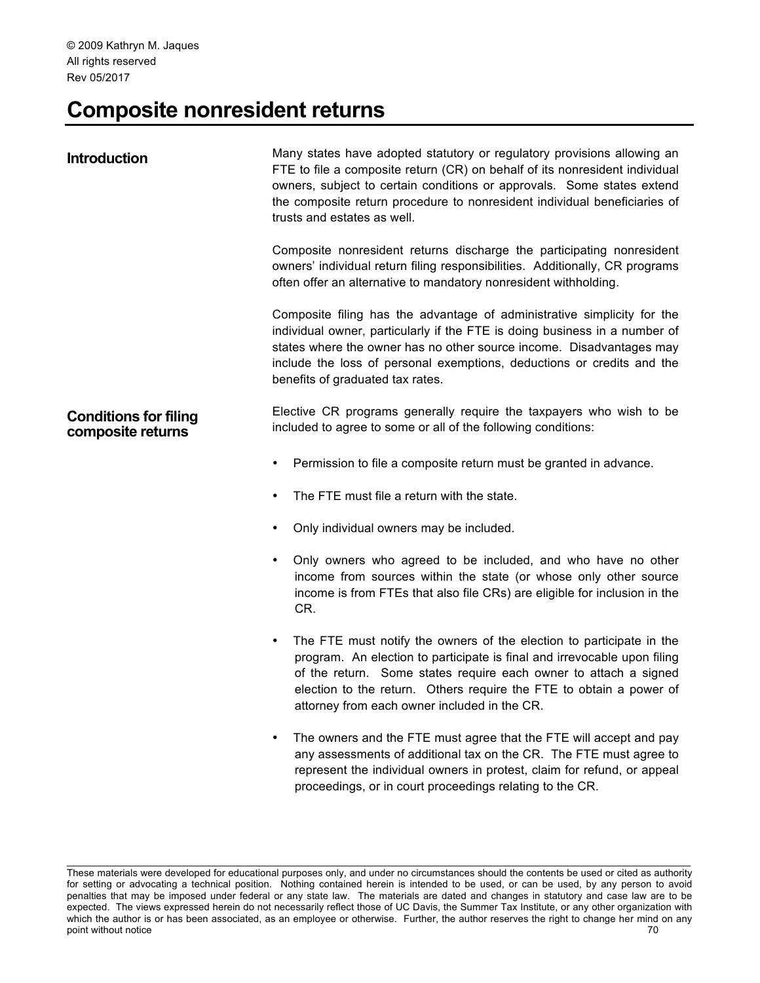# **Composite nonresident returns**

| <b>Introduction</b>                               | Many states have adopted statutory or regulatory provisions allowing an<br>FTE to file a composite return (CR) on behalf of its nonresident individual<br>owners, subject to certain conditions or approvals. Some states extend<br>the composite return procedure to nonresident individual beneficiaries of<br>trusts and estates as well.             |
|---------------------------------------------------|----------------------------------------------------------------------------------------------------------------------------------------------------------------------------------------------------------------------------------------------------------------------------------------------------------------------------------------------------------|
|                                                   | Composite nonresident returns discharge the participating nonresident<br>owners' individual return filing responsibilities. Additionally, CR programs<br>often offer an alternative to mandatory nonresident withholding.                                                                                                                                |
|                                                   | Composite filing has the advantage of administrative simplicity for the<br>individual owner, particularly if the FTE is doing business in a number of<br>states where the owner has no other source income. Disadvantages may<br>include the loss of personal exemptions, deductions or credits and the<br>benefits of graduated tax rates.              |
| <b>Conditions for filing</b><br>composite returns | Elective CR programs generally require the taxpayers who wish to be<br>included to agree to some or all of the following conditions:                                                                                                                                                                                                                     |
|                                                   | Permission to file a composite return must be granted in advance.<br>٠                                                                                                                                                                                                                                                                                   |
|                                                   | The FTE must file a return with the state.<br>٠                                                                                                                                                                                                                                                                                                          |
|                                                   | Only individual owners may be included.<br>٠                                                                                                                                                                                                                                                                                                             |
|                                                   | Only owners who agreed to be included, and who have no other<br>٠<br>income from sources within the state (or whose only other source<br>income is from FTEs that also file CRs) are eligible for inclusion in the<br>CR.                                                                                                                                |
|                                                   | The FTE must notify the owners of the election to participate in the<br>$\bullet$<br>program. An election to participate is final and irrevocable upon filing<br>of the return. Some states require each owner to attach a signed<br>election to the return. Others require the FTE to obtain a power of<br>attorney from each owner included in the CR. |
|                                                   | The owners and the FTE must agree that the FTE will accept and pay<br>٠<br>any assessments of additional tax on the CR. The FTE must agree to<br>represent the individual owners in protest, claim for refund, or appeal<br>proceedings, or in court proceedings relating to the CR.                                                                     |

These materials were developed for educational purposes only, and under no circumstances should the contents be used or cited as authority for setting or advocating a technical position. Nothing contained herein is intended to be used, or can be used, by any person to avoid penalties that may be imposed under federal or any state law. The materials are dated and changes in statutory and case law are to be expected. The views expressed herein do not necessarily reflect those of UC Davis, the Summer Tax Institute, or any other organization with which the author is or has been associated, as an employee or otherwise. Further, the author reserves the right to change her mind on any point without notice 70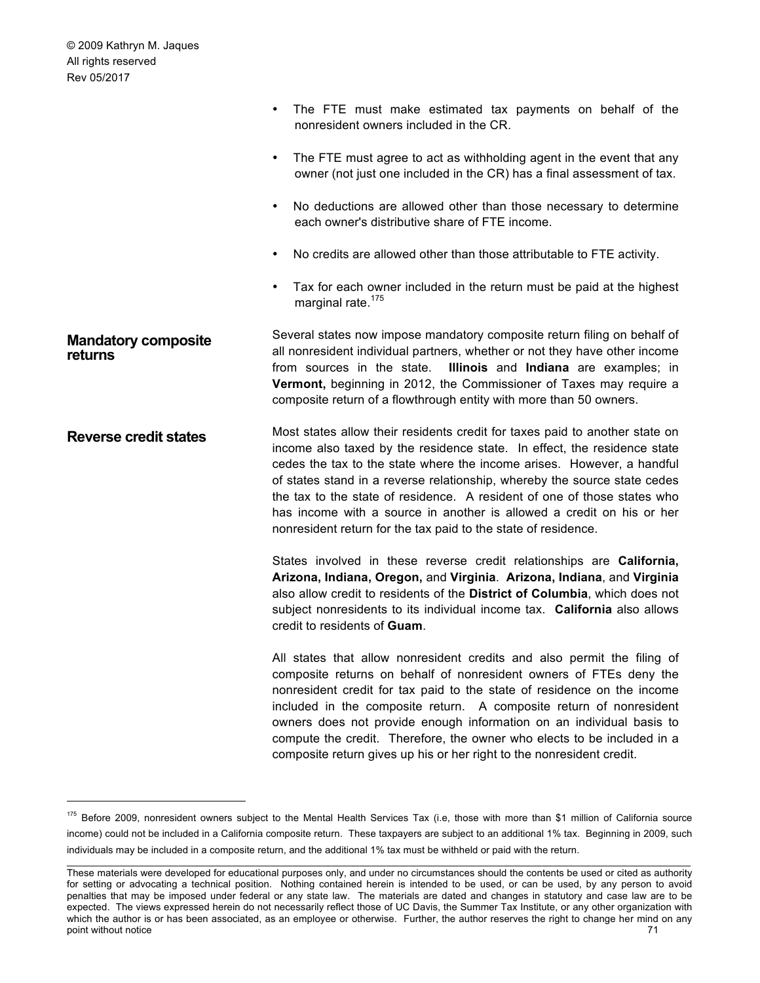|                                       | The FTE must make estimated tax payments on behalf of the<br>nonresident owners included in the CR.                                                                                                                                                                                                                                                                                                                                                                                                                                   |
|---------------------------------------|---------------------------------------------------------------------------------------------------------------------------------------------------------------------------------------------------------------------------------------------------------------------------------------------------------------------------------------------------------------------------------------------------------------------------------------------------------------------------------------------------------------------------------------|
|                                       | The FTE must agree to act as withholding agent in the event that any<br>$\bullet$<br>owner (not just one included in the CR) has a final assessment of tax.                                                                                                                                                                                                                                                                                                                                                                           |
|                                       | No deductions are allowed other than those necessary to determine<br>٠<br>each owner's distributive share of FTE income.                                                                                                                                                                                                                                                                                                                                                                                                              |
|                                       | No credits are allowed other than those attributable to FTE activity.<br>$\bullet$                                                                                                                                                                                                                                                                                                                                                                                                                                                    |
|                                       | Tax for each owner included in the return must be paid at the highest<br>$\bullet$<br>marginal rate. <sup>175</sup>                                                                                                                                                                                                                                                                                                                                                                                                                   |
| <b>Mandatory composite</b><br>returns | Several states now impose mandatory composite return filing on behalf of<br>all nonresident individual partners, whether or not they have other income<br>Illinois and Indiana are examples; in<br>from sources in the state.<br>Vermont, beginning in 2012, the Commissioner of Taxes may require a<br>composite return of a flowthrough entity with more than 50 owners.                                                                                                                                                            |
| <b>Reverse credit states</b>          | Most states allow their residents credit for taxes paid to another state on<br>income also taxed by the residence state. In effect, the residence state<br>cedes the tax to the state where the income arises. However, a handful<br>of states stand in a reverse relationship, whereby the source state cedes<br>the tax to the state of residence. A resident of one of those states who<br>has income with a source in another is allowed a credit on his or her<br>nonresident return for the tax paid to the state of residence. |
|                                       | States involved in these reverse credit relationships are California,<br>Arizona, Indiana, Oregon, and Virginia. Arizona, Indiana, and Virginia<br>also allow credit to residents of the District of Columbia, which does not<br>subject nonresidents to its individual income tax. California also allows<br>credit to residents of Guam.                                                                                                                                                                                            |
|                                       | All states that allow nonresident credits and also permit the filing of<br>composite returns on behalf of nonresident owners of FTEs deny the<br>nonresident credit for tax paid to the state of residence on the income<br>included in the composite return. A composite return of nonresident<br>owners does not provide enough information on an individual basis to<br>compute the credit. Therefore, the owner who elects to be included in a<br>composite return gives up his or her right to the nonresident credit.           |

<sup>175</sup> Before 2009, nonresident owners subject to the Mental Health Services Tax (i.e, those with more than \$1 million of California source income) could not be included in a California composite return. These taxpayers are subject to an additional 1% tax. Beginning in 2009, such individuals may be included in a composite return, and the additional 1% tax must be withheld or paid with the return.

These materials were developed for educational purposes only, and under no circumstances should the contents be used or cited as authority for setting or advocating a technical position. Nothing contained herein is intended to be used, or can be used, by any person to avoid penalties that may be imposed under federal or any state law. The materials are dated and changes in statutory and case law are to be expected. The views expressed herein do not necessarily reflect those of UC Davis, the Summer Tax Institute, or any other organization with which the author is or has been associated, as an employee or otherwise. Further, the author reserves the right to change her mind on any point without notice 71